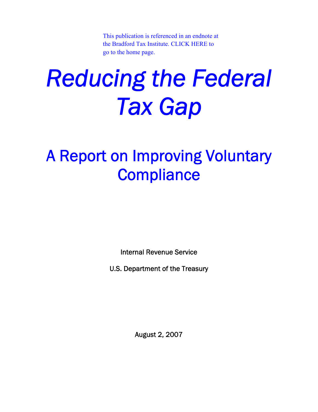[This publication is referenced in an endnote at](http://www.bradfordtaxinstitute.com/) the Bradford Tax Institute. CLICK HERE to go to the home page.

# *Reducing the Federal Tax Gap*

### A Report on Improving Voluntary **Compliance**

Internal Revenue Service

U.S. Department of the Treasury

August 2, 2007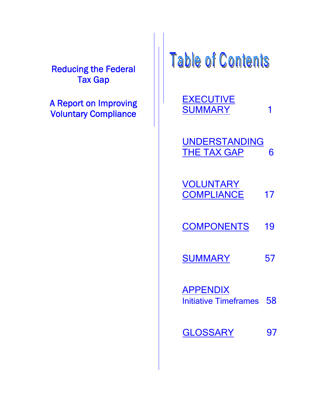Reducing the Federal Tax Gap

A Report on Improving Voluntary Compliance

Table of Contents

**EXECUTIVE** SUMMARY 1

UNDERSTANDING THE TAX GAP 6

| <b>VOLUNTARY</b>  |    |
|-------------------|----|
| <b>COMPLIANCE</b> | 17 |

COMPONENTS 19

SUMMARY 57

**APPENDIX** Initiative Timeframes 58

GLOSSARY 97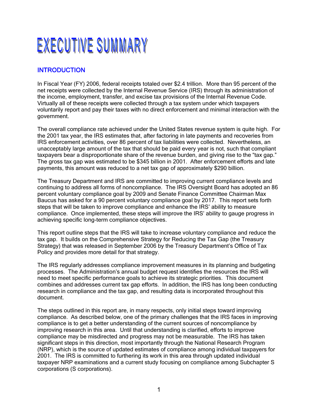### EXECUTIVE SUMMARY

#### **INTRODUCTION**

In Fiscal Year (FY) 2006, federal receipts totaled over \$2.4 trillion. More than 95 percent of the net receipts were collected by the Internal Revenue Service (IRS) through its administration of the income, employment, transfer, and excise tax provisions of the Internal Revenue Code. Virtually all of these receipts were collected through a tax system under which taxpayers voluntarily report and pay their taxes with no direct enforcement and minimal interaction with the government.

The overall compliance rate achieved under the United States revenue system is quite high. For the 2001 tax year, the IRS estimates that, after factoring in late payments and recoveries from IRS enforcement activities, over 86 percent of tax liabilities were collected. Nevertheless, an unacceptably large amount of the tax that should be paid every year is not, such that compliant taxpayers bear a disproportionate share of the revenue burden, and giving rise to the "tax gap." The gross tax gap was estimated to be \$345 billion in 2001. After enforcement efforts and late payments, this amount was reduced to a net tax gap of approximately \$290 billion.

The Treasury Department and IRS are committed to improving current compliance levels and continuing to address all forms of noncompliance. The IRS Oversight Board has adopted an 86 percent voluntary compliance goal by 2009 and Senate Finance Committee Chairman Max Baucus has asked for a 90 percent voluntary compliance goal by 2017. This report sets forth steps that will be taken to improve compliance and enhance the IRS' ability to measure compliance. Once implemented, these steps will improve the IRS' ability to gauge progress in achieving specific long-term compliance objectives.

This report outline steps that the IRS will take to increase voluntary compliance and reduce the tax gap. It builds on the Comprehensive Strategy for Reducing the Tax Gap (the Treasury Strategy) that was released in September 2006 by the Treasury Department's Office of Tax Policy and provides more detail for that strategy.

The IRS regularly addresses compliance improvement measures in its planning and budgeting processes. The Administration's annual budget request identifies the resources the IRS will need to meet specific performance goals to achieve its strategic priorities. This document combines and addresses current tax gap efforts. In addition, the IRS has long been conducting research in compliance and the tax gap, and resulting data is incorporated throughout this document.

The steps outlined in this report are, in many respects, only initial steps toward improving compliance. As described below, one of the primary challenges that the IRS faces in improving compliance is to get a better understanding of the current sources of noncompliance by improving research in this area. Until that understanding is clarified, efforts to improve compliance may be misdirected and progress may not be measurable. The IRS has taken significant steps in this direction, most importantly through the National Research Program (NRP), which is the source of updated estimates of compliance among individual taxpayers for 2001. The IRS is committed to furthering its work in this area through updated individual taxpayer NRP examinations and a current study focusing on compliance among Subchapter S corporations (S corporations).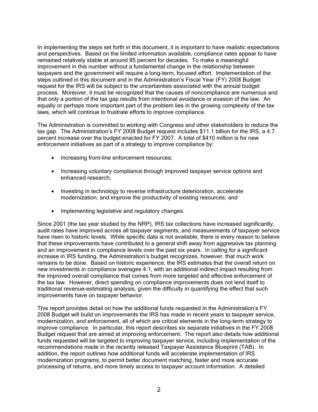In implementing the steps set forth in this document, it is important to have realistic expectations and perspectives. Based on the limited information available, compliance rates appear to have remained relatively stable at around 85 percent for decades. To make a meaningful improvement in this number without a fundamental change in the relationship between taxpayers and the government will require a long-term, focused effort. Implementation of the steps outlined in this document and in the Administration's Fiscal Year (FY) 2008 Budget request for the IRS will be subject to the uncertainties associated with the annual budget process. Moreover, it must be recognized that the causes of noncompliance are numerous and that only a portion of the tax gap results from intentional avoidance or evasion of the law. An equally or perhaps more important part of the problem lies in the growing complexity of the tax laws, which will continue to frustrate efforts to improve compliance.

The Administration is committed to working with Congress and other stakeholders to reduce the tax gap. The Administration's FY 2008 Budget request includes \$11.1 billion for the IRS, a 4.7 percent increase over the budget enacted for FY 2007. A total of \$410 million is for new enforcement initiatives as part of a strategy to improve compliance by:

- Increasing front-line enforcement resources;
- Increasing voluntary compliance through improved taxpayer service options and enhanced research;
- Investing in technology to reverse infrastructure deterioration, accelerate modernization, and improve the productivity of existing resources; and
- Implementing legislative and regulatory changes.

Since 2001 (the tax year studied by the NRP), IRS tax collections have increased significantly, audit rates have improved across all taxpayer segments, and measurements of taxpayer service have risen to historic levels. While specific data is not available, there is every reason to believe that these improvements have contributed to a general shift away from aggressive tax planning and an improvement in compliance levels over the past six years. In calling for a significant increase in IRS funding, the Administration's budget recognizes, however, that much work remains to be done. Based on historic experience, the IRS estimates that the overall return on new investments in compliance averages 4:1, with an additional indirect impact resulting from the improved overall compliance that comes from more targeted and effective enforcement of the tax law. However, direct spending on compliance improvements does not lend itself to traditional revenue-estimating analysis, given the difficulty in quantifying the effect that such improvements have on taxpayer behavior.

This report provides detail on how the additional funds requested in the Administration's FY 2008 Budget will build on improvements the IRS has made in recent years to taxpayer service, modernization, and enforcement, all of which are critical elements in the long-term strategy to improve compliance. In particular, this report describes six separate initiatives in the FY 2008 Budget request that are aimed at improving enforcement. The report also details how additional funds requested will be targeted to improving taxpayer service, including implementation of the recommendations made in the recently released Taxpayer Assistance Blueprint (TAB). In addition, the report outlines how additional funds will accelerate implementation of IRS modernization programs, to permit better document matching, faster and more accurate processing of returns, and more timely access to taxpayer account information. A detailed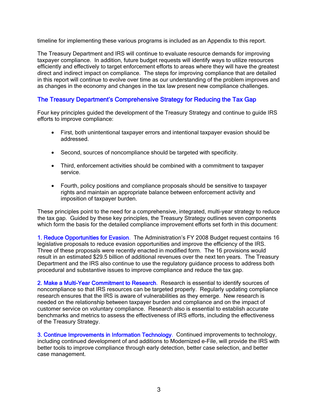timeline for implementing these various programs is included as an Appendix to this report.

The Treasury Department and IRS will continue to evaluate resource demands for improving taxpayer compliance. In addition, future budget requests will identify ways to utilize resources efficiently and effectively to target enforcement efforts to areas where they will have the greatest direct and indirect impact on compliance. The steps for improving compliance that are detailed in this report will continue to evolve over time as our understanding of the problem improves and as changes in the economy and changes in the tax law present new compliance challenges.

#### The Treasury Department's Comprehensive Strategy for Reducing the Tax Gap

Four key principles guided the development of the Treasury Strategy and continue to guide IRS efforts to improve compliance:

- First, both unintentional taxpayer errors and intentional taxpayer evasion should be addressed.
- Second, sources of noncompliance should be targeted with specificity.
- Third, enforcement activities should be combined with a commitment to taxpayer service.
- Fourth, policy positions and compliance proposals should be sensitive to taxpayer rights and maintain an appropriate balance between enforcement activity and imposition of taxpayer burden.

These principles point to the need for a comprehensive, integrated, multi-year strategy to reduce the tax gap. Guided by these key principles, the Treasury Strategy outlines seven components which form the basis for the detailed compliance improvement efforts set forth in this document:

1. Reduce Opportunities for Evasion. The Administration's FY 2008 Budget request contains 16 legislative proposals to reduce evasion opportunities and improve the efficiency of the IRS. Three of these proposals were recently enacted in modified form. The 16 provisions would result in an estimated \$29.5 billion of additional revenues over the next ten years. The Treasury Department and the IRS also continue to use the regulatory guidance process to address both procedural and substantive issues to improve compliance and reduce the tax gap.

2. Make a Multi-Year Commitment to Research. Research is essential to identify sources of noncompliance so that IRS resources can be targeted properly. Regularly updating compliance research ensures that the IRS is aware of vulnerabilities as they emerge. New research is needed on the relationship between taxpayer burden and compliance and on the impact of customer service on voluntary compliance. Research also is essential to establish accurate benchmarks and metrics to assess the effectiveness of IRS efforts, including the effectiveness of the Treasury Strategy.

3. Continue Improvements in Information Technology. Continued improvements to technology, including continued development of and additions to Modernized e-File, will provide the IRS with better tools to improve compliance through early detection, better case selection, and better case management.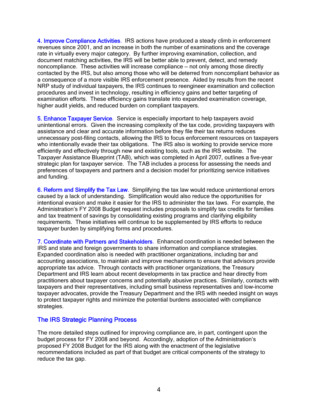4. Improve Compliance Activities. IRS actions have produced a steady climb in enforcement revenues since 2001, and an increase in both the number of examinations and the coverage rate in virtually every major category. By further improving examination, collection, and document matching activities, the IRS will be better able to prevent, detect, and remedy noncompliance. These activities will increase compliance — not only among those directly contacted by the IRS, but also among those who will be deterred from noncompliant behavior as a consequence of a more visible IRS enforcement presence. Aided by results from the recent NRP study of individual taxpayers, the IRS continues to reengineer examination and collection procedures and invest in technology, resulting in efficiency gains and better targeting of examination efforts. These efficiency gains translate into expanded examination coverage, higher audit yields, and reduced burden on compliant taxpayers.

5. Enhance Taxpayer Service. Service is especially important to help taxpayers avoid unintentional errors. Given the increasing complexity of the tax code, providing taxpayers with assistance and clear and accurate information before they file their tax returns reduces unnecessary post-filing contacts, allowing the IRS to focus enforcement resources on taxpayers who intentionally evade their tax obligations. The IRS also is working to provide service more efficiently and effectively through new and existing tools, such as the IRS website. The Taxpayer Assistance Blueprint (TAB), which was completed in April 2007, outlines a five-year strategic plan for taxpayer service. The TAB includes a process for assessing the needs and preferences of taxpayers and partners and a decision model for prioritizing service initiatives and funding.

6. Reform and Simplify the Tax Law. Simplifying the tax law would reduce unintentional errors caused by a lack of understanding. Simplification would also reduce the opportunities for intentional evasion and make it easier for the IRS to administer the tax laws. For example, the Administration's FY 2008 Budget request includes proposals to simplify tax credits for families and tax treatment of savings by consolidating existing programs and clarifying eligibility requirements. These initiatives will continue to be supplemented by IRS efforts to reduce taxpayer burden by simplifying forms and procedures.

7. Coordinate with Partners and Stakeholders. Enhanced coordination is needed between the IRS and state and foreign governments to share information and compliance strategies. Expanded coordination also is needed with practitioner organizations, including bar and accounting associations, to maintain and improve mechanisms to ensure that advisors provide appropriate tax advice. Through contacts with practitioner organizations, the Treasury Department and IRS learn about recent developments in tax practice and hear directly from practitioners about taxpayer concerns and potentially abusive practices. Similarly, contacts with taxpayers and their representatives, including small business representatives and low-income taxpayer advocates, provide the Treasury Department and the IRS with needed insight on ways to protect taxpayer rights and minimize the potential burdens associated with compliance strategies.

#### The IRS Strategic Planning Process

The more detailed steps outlined for improving compliance are, in part, contingent upon the budget process for FY 2008 and beyond. Accordingly, adoption of the Administration's proposed FY 2008 Budget for the IRS along with the enactment of the legislative recommendations included as part of that budget are critical components of the strategy to reduce the tax gap.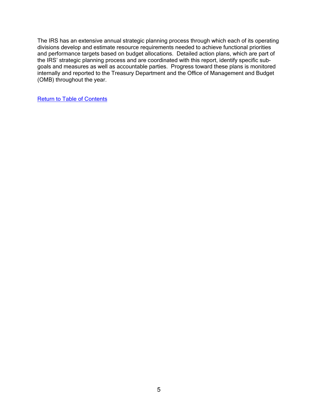The IRS has an extensive annual strategic planning process through which each of its operating divisions develop and estimate resource requirements needed to achieve functional priorities and performance targets based on budget allocations. Detailed action plans, which are part of the IRS' strategic planning process and are coordinated with this report, identify specific subgoals and measures as well as accountable parties. Progress toward these plans is monitored internally and reported to the Treasury Department and the Office of Management and Budget (OMB) throughout the year.

Return to Table of Contents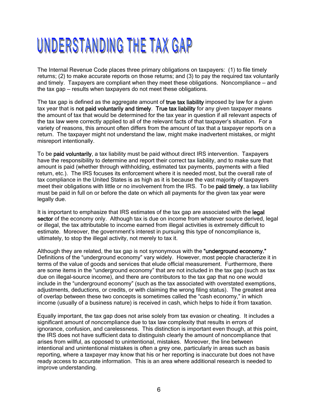### UNDERSTANDING THE TAX GAP

The Internal Revenue Code places three primary obligations on taxpayers: (1) to file timely returns; (2) to make accurate reports on those returns; and (3) to pay the required tax voluntarily and timely. Taxpayers are compliant when they meet these obligations. Noncompliance — and the tax gap — results when taxpayers do not meet these obligations.

The tax gap is defined as the aggregate amount of true tax liability imposed by law for a given tax year that is not paid voluntarily and timely. True tax liability for any given taxpayer means the amount of tax that would be determined for the tax year in question if all relevant aspects of the tax law were correctly applied to all of the relevant facts of that taxpayer's situation. For a variety of reasons, this amount often differs from the amount of tax that a taxpayer reports on a return. The taxpayer might not understand the law, might make inadvertent mistakes, or might misreport intentionally.

To be paid voluntarily, a tax liability must be paid without direct IRS intervention. Taxpayers have the responsibility to determine and report their correct tax liability, and to make sure that amount is paid (whether through withholding, estimated tax payments, payments with a filed return, etc.). The IRS focuses its enforcement where it is needed most, but the overall rate of tax compliance in the United States is as high as it is because the vast majority of taxpayers meet their obligations with little or no involvement from the IRS. To be paid timely, a tax liability must be paid in full on or before the date on which all payments for the given tax year were legally due.

It is important to emphasize that IRS estimates of the tax gap are associated with the legal sector of the economy only. Although tax is due on income from whatever source derived, legal or illegal, the tax attributable to income earned from illegal activities is extremely difficult to estimate. Moreover, the government's interest in pursuing this type of noncompliance is, ultimately, to stop the illegal activity, not merely to tax it.

Although they are related, the tax gap is not synonymous with the "underground economy." Definitions of the "underground economy" vary widely. However, most people characterize it in terms of the value of goods and services that elude official measurement. Furthermore, there are some items in the "underground economy" that are not included in the tax gap (such as tax due on illegal-source income), and there are contributors to the tax gap that no one would include in the "underground economy" (such as the tax associated with overstated exemptions, adjustments, deductions, or credits, or with claiming the wrong filing status). The greatest area of overlap between these two concepts is sometimes called the "cash economy," in which income (usually of a business nature) is received in cash, which helps to hide it from taxation.

Equally important, the tax gap does not arise solely from tax evasion or cheating. It includes a significant amount of noncompliance due to tax law complexity that results in errors of ignorance, confusion, and carelessness. This distinction is important even though, at this point, the IRS does not have sufficient data to distinguish clearly the amount of noncompliance that arises from willful, as opposed to unintentional, mistakes. Moreover, the line between intentional and unintentional mistakes is often a grey one, particularly in areas such as basis reporting, where a taxpayer may know that his or her reporting is inaccurate but does not have ready access to accurate information. This is an area where additional research is needed to improve understanding.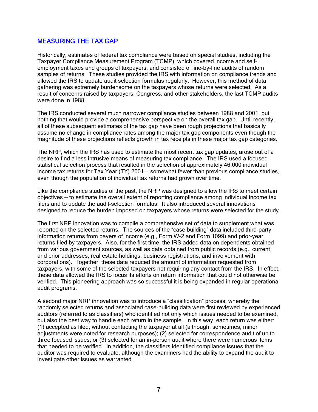#### MEASURING THE TAX GAP

Historically, estimates of federal tax compliance were based on special studies, including the Taxpayer Compliance Measurement Program (TCMP), which covered income and selfemployment taxes and groups of taxpayers, and consisted of line-by-line audits of random samples of returns. These studies provided the IRS with information on compliance trends and allowed the IRS to update audit selection formulas regularly. However, this method of data gathering was extremely burdensome on the taxpayers whose returns were selected. As a result of concerns raised by taxpayers, Congress, and other stakeholders, the last TCMP audits were done in 1988.

The IRS conducted several much narrower compliance studies between 1988 and 2001, but nothing that would provide a comprehensive perspective on the overall tax gap. Until recently, all of these subsequent estimates of the tax gap have been rough projections that basically assume no change in compliance rates among the major tax gap components even though the magnitude of these projections reflects growth in tax receipts in these major tax gap categories.

The NRP, which the IRS has used to estimate the most recent tax gap updates, arose out of a desire to find a less intrusive means of measuring tax compliance. The IRS used a focused statistical selection process that resulted in the selection of approximately 46,000 individual income tax returns for Tax Year (TY) 2001 — somewhat fewer than previous compliance studies, even though the population of individual tax returns had grown over time.

Like the compliance studies of the past, the NRP was designed to allow the IRS to meet certain objectives — to estimate the overall extent of reporting compliance among individual income tax filers and to update the audit-selection formulas. It also introduced several innovations designed to reduce the burden imposed on taxpayers whose returns were selected for the study.

The first NRP innovation was to compile a comprehensive set of data to supplement what was reported on the selected returns. The sources of the "case building" data included third-party information returns from payers of income (e.g., Form W-2 and Form 1099) and prior-year returns filed by taxpayers. Also, for the first time, the IRS added data on dependents obtained from various government sources, as well as data obtained from public records (e.g., current and prior addresses, real estate holdings, business registrations, and involvement with corporations). Together, these data reduced the amount of information requested from taxpayers, with some of the selected taxpayers not requiring any contact from the IRS. In effect, these data allowed the IRS to focus its efforts on return information that could not otherwise be verified. This pioneering approach was so successful it is being expanded in regular operational audit programs.

A second major NRP innovation was to introduce a "classification" process, whereby the randomly selected returns and associated case-building data were first reviewed by experienced auditors (referred to as classifiers) who identified not only which issues needed to be examined, but also the best way to handle each return in the sample. In this way, each return was either: (1) accepted as filed, without contacting the taxpayer at all (although, sometimes, minor adjustments were noted for research purposes); (2) selected for correspondence audit of up to three focused issues; or (3) selected for an in-person audit where there were numerous items that needed to be verified. In addition, the classifiers identified compliance issues that the auditor was required to evaluate, although the examiners had the ability to expand the audit to investigate other issues as warranted.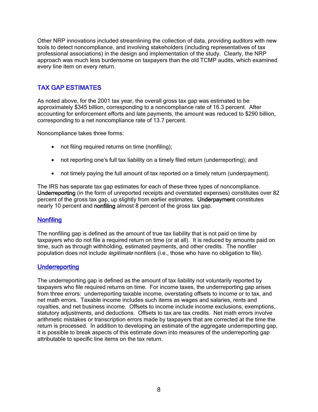Other NRP innovations included streamlining the collection of data, providing auditors with new tools to detect noncompliance, and involving stakeholders (including representatives of tax professional associations) in the design and implementation of the study. Clearly, the NRP approach was much less burdensome on taxpayers than the old TCMP audits, which examined every line item on every return.

#### TAX GAP ESTIMATES

As noted above, for the 2001 tax year, the overall gross tax gap was estimated to be approximately \$345 billion, corresponding to a noncompliance rate of 16.3 percent. After accounting for enforcement efforts and late payments, the amount was reduced to \$290 billion, corresponding to a net noncompliance rate of 13.7 percent.

Noncompliance takes three forms:

- not filing required returns on time (nonfiling):
- not reporting one's full tax liability on a timely filed return (underreporting); and
- not timely paying the full amount of tax reported on a timely return (underpayment).

The IRS has separate tax gap estimates for each of these three types of noncompliance. Underreporting (in the form of unreported receipts and overstated expenses) constitutes over 82 percent of the gross tax gap, up slightly from earlier estimates. Underpayment constitutes nearly 10 percent and nonfiling almost 8 percent of the gross tax gap.

#### **Nonfiling**

The nonfiling gap is defined as the amount of true tax liability that is not paid on time by taxpayers who do not file a required return on time (or at all). It is reduced by amounts paid on time, such as through withholding, estimated payments, and other credits. The nonfiler population does not include *legitimate* nonfilers (i.e., those who have no obligation to file).

#### **Underreporting**

The underreporting gap is defined as the amount of tax liability not voluntarily reported by taxpayers who file required returns on time. For income taxes, the underreporting gap arises from three errors: underreporting taxable income, overstating offsets to income or to tax, and net math errors. Taxable income includes such items as wages and salaries, rents and royalties, and net business income. Offsets to income include income exclusions, exemptions, statutory adjustments, and deductions. Offsets to tax are tax credits. Net math errors involve arithmetic mistakes or transcription errors made by taxpayers that are corrected at the time the return is processed. In addition to developing an estimate of the aggregate underreporting gap, it is possible to break aspects of this estimate down into measures of the underreporting gap attributable to specific line items on the tax return.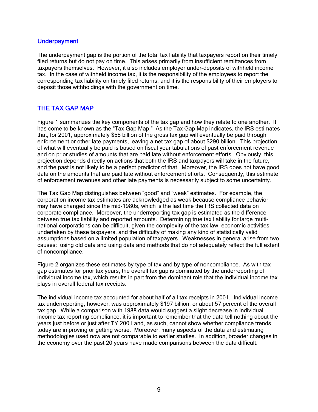#### **Underpayment**

The underpayment gap is the portion of the total tax liability that taxpayers report on their timely filed returns but do not pay on time. This arises primarily from insufficient remittances from taxpayers themselves. However, it also includes employer under-deposits of withheld income tax. In the case of withheld income tax, it is the responsibility of the employees to report the corresponding tax liability on timely filed returns, and it is the responsibility of their employers to deposit those withholdings with the government on time.

#### THE TAX GAP MAP

Figure 1 summarizes the key components of the tax gap and how they relate to one another. It has come to be known as the "Tax Gap Map." As the Tax Gap Map indicates, the IRS estimates that, for 2001, approximately \$55 billion of the gross tax gap will eventually be paid through enforcement or other late payments, leaving a net tax gap of about \$290 billion. This projection of what will eventually be paid is based on fiscal year tabulations of past enforcement revenue and on prior studies of amounts that are paid late without enforcement efforts. Obviously, this projection depends directly on actions that both the IRS and taxpayers will take in the future, and the past is not likely to be a perfect predictor of that. Moreover, the IRS does not have good data on the amounts that are paid late without enforcement efforts. Consequently, this estimate of enforcement revenues and other late payments is necessarily subject to some uncertainty.

The Tax Gap Map distinguishes between "good" and "weak" estimates. For example, the corporation income tax estimates are acknowledged as weak because compliance behavior may have changed since the mid-1980s, which is the last time the IRS collected data on corporate compliance. Moreover, the underreporting tax gap is estimated as the difference between true tax liability and reported amounts. Determining true tax liability for large multinational corporations can be difficult, given the complexity of the tax law, economic activities undertaken by these taxpayers, and the difficulty of making any kind of statistically valid assumptions based on a limited population of taxpayers. Weaknesses in general arise from two causes: using old data and using data and methods that do not adequately reflect the full extent of noncompliance.

Figure 2 organizes these estimates by type of tax and by type of noncompliance. As with tax gap estimates for prior tax years, the overall tax gap is dominated by the underreporting of individual income tax, which results in part from the dominant role that the individual income tax plays in overall federal tax receipts.

The individual income tax accounted for about half of all tax receipts in 2001. Individual income tax underreporting, however, was approximately \$197 billion, or about 57 percent of the overall tax gap. While a comparison with 1988 data would suggest a slight decrease in individual income tax reporting compliance, it is important to remember that the data tell nothing about the years just before or just after TY 2001 and, as such, cannot show whether compliance trends today are improving or getting worse. Moreover, many aspects of the data and estimating methodologies used now are not comparable to earlier studies. In addition, broader changes in the economy over the past 20 years have made comparisons between the data difficult.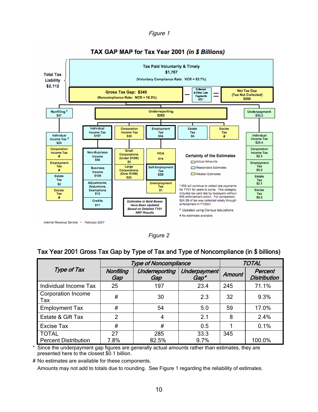Figure 1



*Figure 2* 

#### Tax Year 2001 Gross Tax Gap by Type of Tax and Type of Noncompliance (in \$ billions)

|                                  |                  | <b>Type of Noncompliance</b> | <b>TOTAL</b>         |               |                                |
|----------------------------------|------------------|------------------------------|----------------------|---------------|--------------------------------|
| Type of Tax                      | Nonfiling<br>Gap | Underreporting<br>Gap        | Underpayment<br>Gap* | <b>Amount</b> | Percent<br><b>Distribution</b> |
| Individual Income Tax            | 25               | 197                          | 23.4                 | 245           | 71.1%                          |
| <b>Corporation Income</b><br>Tax | #                | 30                           | 2.3                  | 32            | 9.3%                           |
| <b>Employment Tax</b>            | #                | 54                           | 5.0                  | 59            | 17.0%                          |
| Estate & Gift Tax                | 2                | 4                            | 2.1                  | 8             | 2.4%                           |
| Excise Tax                       | #                | #                            | 0.5                  |               | 0.1%                           |
| <b>TOTAL</b>                     | 27               | 285                          | 33.3                 | 345           |                                |
| <b>Percent Distribution</b>      | 7.8%             | 82.5%                        | 9.7%                 |               | 100.0%                         |

\* Since the underpayment gap figures are generally actual amounts rather than estimates, they are presented here to the closest \$0.1 billion.

# No estimates are available for these components.

Amounts may not add to totals due to rounding. See Figure 1 regarding the reliability of estimates.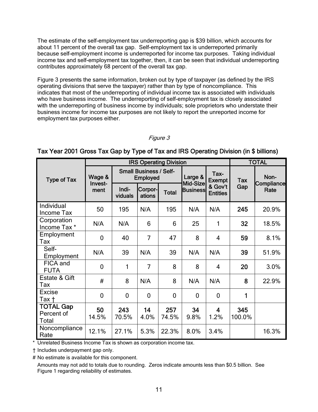The estimate of the self-employment tax underreporting gap is \$39 billion, which accounts for about 11 percent of the overall tax gap. Self-employment tax is underreported primarily because self-employment income is underreported for income tax purposes. Taking individual income tax and self-employment tax together, then, it can be seen that individual underreporting contributes approximately 68 percent of the overall tax gap.

Figure 3 presents the same information, broken out by type of taxpayer (as defined by the IRS operating divisions that serve the taxpayer) rather than by type of noncompliance. This indicates that most of the underreporting of individual income tax is associated with individuals who have business income. The underreporting of self-employment tax is closely associated with the underreporting of business income by individuals; sole proprietors who understate their business income for income tax purposes are not likely to report the unreported income for employment tax purposes either.

#### Figure 3

|                                         | <b>IRS Operating Division</b> |                                           |                   |                |                     |                            | <b>TOTAL</b>  |                    |
|-----------------------------------------|-------------------------------|-------------------------------------------|-------------------|----------------|---------------------|----------------------------|---------------|--------------------|
| <b>Type of Tax</b>                      | Wage &<br>Invest-             | <b>Small Business / Self-</b><br>Employed |                   |                | Large &<br>Mid-Size | Tax-<br><b>Exempt</b>      | <b>Tax</b>    | Non-<br>Compliance |
|                                         | ment                          | Indi-<br>viduals                          | Corpor-<br>ations | <b>Total</b>   | <b>Business</b>     | & Gov't<br><b>Entities</b> | Gap           | Rate               |
| Individual<br>Income Tax                | 50                            | 195                                       | N/A               | 195            | N/A                 | N/A                        | 245           | 20.9%              |
| Corporation<br>Income Tax *             | N/A                           | N/A                                       | 6                 | 6              | 25                  | 1                          | 32            | 18.5%              |
| Employment<br>Tax                       | $\mathbf 0$                   | 40                                        | $\overline{7}$    | 47             | 8                   | $\overline{4}$             | 59            | 8.1%               |
| Self-<br>Employment                     | N/A                           | 39                                        | N/A               | 39             | N/A                 | N/A                        | 39            | 51.9%              |
| FICA and<br><b>FUTA</b>                 | $\overline{0}$                | 1                                         | 7                 | 8              | 8                   | 4                          | 20            | 3.0%               |
| Estate & Gift<br>Tax                    | #                             | 8                                         | N/A               | 8              | N/A                 | N/A                        | 8             | 22.9%              |
| <b>Excise</b><br>Tax †                  | $\overline{0}$                | $\overline{0}$                            | $\overline{0}$    | $\overline{0}$ | $\overline{0}$      | $\overline{0}$             | 1             |                    |
| <b>TOTAL Gap</b><br>Percent of<br>Total | 50<br>14.5%                   | 243<br>70.5%                              | 14<br>4.0%        | 257<br>74.5%   | 34<br>9.8%          | 4<br>1.2%                  | 345<br>100.0% |                    |
| Noncompliance<br>Rate                   | 12.1%                         | 27.1%                                     | 5.3%              | 22.3%          | 8.0%                | 3.4%                       |               | 16.3%              |

#### Tax Year 2001 Gross Tax Gap by Type of Tax and IRS Operating Division (in \$ billions)

\* Unrelated Business Income Tax is shown as corporation income tax.

† Includes underpayment gap only.

# No estimate is available for this component.

Amounts may not add to totals due to rounding. Zeros indicate amounts less than \$0.5 billion. See Figure 1 regarding reliability of estimates.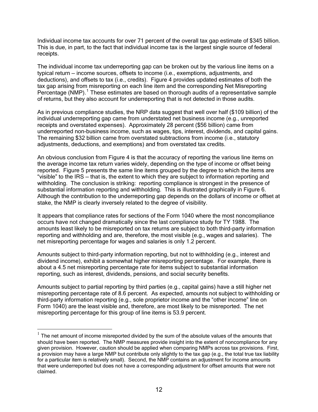Individual income tax accounts for over 71 percent of the overall tax gap estimate of \$345 billion. This is due, in part, to the fact that individual income tax is the largest single source of federal receipts.

The individual income tax underreporting gap can be broken out by the various line items on a typical return — income sources, offsets to income (i.e., exemptions, adjustments, and deductions), and offsets to tax (i.e., credits). Figure 4 provides updated estimates of both the tax gap arising from misreporting on each line item and the corresponding Net Misreporting Percentage (NMP).<sup>1</sup> These estimates are based on thorough audits of a representative sample of returns, but they also account for underreporting that is not detected in those audits.

As in previous compliance studies, the NRP data suggest that well over half (\$109 billion) of the individual underreporting gap came from understated net business income (e.g., unreported receipts and overstated expenses). Approximately 28 percent (\$56 billion) came from underreported non-business income, such as wages, tips, interest, dividends, and capital gains. The remaining \$32 billion came from overstated subtractions from income (i.e., statutory adjustments, deductions, and exemptions) and from overstated tax credits.

An obvious conclusion from Figure 4 is that the accuracy of reporting the various line items on the average income tax return varies widely, depending on the type of income or offset being reported. Figure 5 presents the same line items grouped by the degree to which the items are "visible" to the IRS — that is, the extent to which they are subject to information reporting and withholding. The conclusion is striking: reporting compliance is strongest in the presence of substantial information reporting and withholding. This is illustrated graphically in Figure 6. Although the contribution to the underreporting gap depends on the dollars of income or offset at stake, the NMP is clearly inversely related to the degree of visibility.

It appears that compliance rates for sections of the Form 1040 where the most noncompliance occurs have not changed dramatically since the last compliance study for TY 1988. The amounts least likely to be misreported on tax returns are subject to both third-party information reporting and withholding and are, therefore, the most visible (e.g., wages and salaries). The net misreporting percentage for wages and salaries is only 1.2 percent.

Amounts subject to third-party information reporting, but not to withholding (e.g., interest and dividend income), exhibit a somewhat higher misreporting percentage. For example, there is about a 4.5 net misreporting percentage rate for items subject to substantial information reporting, such as interest, dividends, pensions, and social security benefits.

Amounts subject to partial reporting by third parties (e.g., capital gains) have a still higher net misreporting percentage rate of 8.6 percent. As expected, amounts not subject to withholding or third-party information reporting (e.g., sole proprietor income and the "other income" line on Form 1040) are the least visible and, therefore, are most likely to be misreported. The net misreporting percentage for this group of line items is 53.9 percent.

 $\overline{a}$ 

 $1$  The net amount of income misreported divided by the sum of the absolute values of the amounts that should have been reported. The NMP measures provide insight into the extent of noncompliance for any given provision. However, caution should be applied when comparing NMPs across tax provisions. First, a provision may have a large NMP but contribute only slightly to the tax gap (e.g., the total true tax liability for a particular item is relatively small). Second, the NMP contains an adjustment for income amounts that were underreported but does not have a corresponding adjustment for offset amounts that were not claimed.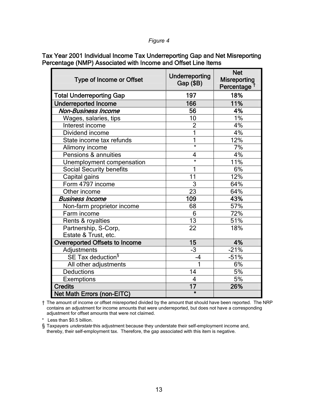#### *Figure 4*

Tax Year 2001 Individual Income Tax Underreporting Gap and Net Misreporting Percentage (NMP) Associated with Income and Offset Line Items

| <b>Type of Income or Offset</b>   | Underreporting<br>Gap (\$B) | <b>Net</b><br><b>Misreporting</b><br>Percentage |  |
|-----------------------------------|-----------------------------|-------------------------------------------------|--|
| <b>Total Underreporting Gap</b>   | 197                         | 18%                                             |  |
| <b>Underreported Income</b>       | 166                         | 11%                                             |  |
| <b>Non-Business Income</b>        | 56                          | 4%                                              |  |
| Wages, salaries, tips             | 10                          | 1%                                              |  |
| Interest income                   | $\overline{2}$              | 4%                                              |  |
| Dividend income                   | 1                           | 4%                                              |  |
| State income tax refunds          | 1                           | 12%                                             |  |
| Alimony income                    | $\star$                     | 7%                                              |  |
| Pensions & annuities              | 4                           | 4%                                              |  |
| Unemployment compensation         | $\star$                     | 11%                                             |  |
| <b>Social Security benefits</b>   |                             | 6%                                              |  |
| Capital gains                     | 11                          | 12%                                             |  |
| Form 4797 income                  | 3                           | 64%                                             |  |
| Other income                      | 23                          | 64%                                             |  |
| <b>Business Income</b>            | 109                         | 43%                                             |  |
| Non-farm proprietor income        | 68                          | 57%                                             |  |
| Farm income                       | 6                           | 72%                                             |  |
| Rents & royalties                 | $\overline{13}$             | 51%                                             |  |
| Partnership, S-Corp,              | 22                          | 18%                                             |  |
| Estate & Trust, etc.              |                             |                                                 |  |
| Overreported Offsets to Income    | 15                          | 4%                                              |  |
| Adjustments                       | $-3$                        | $-21%$                                          |  |
| SE Tax deduction <sup>§</sup>     | -4                          | $-51%$                                          |  |
| All other adjustments             | 1                           | 6%                                              |  |
| <b>Deductions</b>                 | 14                          | 5%                                              |  |
| Exemptions                        | $\overline{4}$              | 5%                                              |  |
| <b>Credits</b>                    | 17                          | 26%                                             |  |
| <b>Net Math Errors (non-EITC)</b> | $\star$                     |                                                 |  |

† The amount of income or offset misreported divided by the amount that should have been reported. The NRP contains an adjustment for income amounts that were underreported, but does not have a corresponding adjustment for offset amounts that were not claimed.

\* Less than \$0.5 billion.

§ Taxpayers *understate* this adjustment because they understate their self-employment income and, thereby, their self-employment tax. Therefore, the gap associated with this item is negative.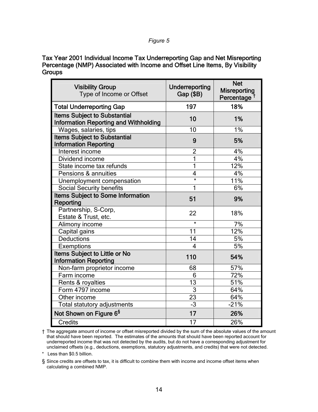#### *Figure 5*

Tax Year 2001 Individual Income Tax Underreporting Gap and Net Misreporting Percentage (NMP) Associated with Income and Offset Line Items, By Visibility **Groups** 

| <b>Visibility Group</b><br>Type of Income or Offset                                 | Underreporting<br>Gap (\$B) | <b>Net</b><br><b>Misreporting</b><br>Percentage <sup>t</sup> |  |
|-------------------------------------------------------------------------------------|-----------------------------|--------------------------------------------------------------|--|
| <b>Total Underreporting Gap</b>                                                     | 197                         | 18%                                                          |  |
| <b>Items Subject to Substantial</b><br><b>Information Reporting and Withholding</b> | 10                          | 1%                                                           |  |
| Wages, salaries, tips                                                               | 10                          | 1%                                                           |  |
| <b>Items Subject to Substantial</b><br><b>Information Reporting</b>                 | 9                           | 5%                                                           |  |
| Interest income                                                                     | $\overline{2}$              | 4%                                                           |  |
| Dividend income                                                                     |                             | 4%                                                           |  |
| State income tax refunds                                                            |                             | 12%                                                          |  |
| Pensions & annuities                                                                | 4                           | 4%                                                           |  |
| Unemployment compensation                                                           | $\star$                     | 11%                                                          |  |
| <b>Social Security benefits</b>                                                     |                             | 6%                                                           |  |
| <b>Items Subject to Some Information</b><br>Reporting                               | 51                          | 9%                                                           |  |
| Partnership, S-Corp,<br>Estate & Trust, etc.                                        | 22                          | 18%                                                          |  |
| Alimony income                                                                      | $\star$                     | 7%                                                           |  |
| Capital gains                                                                       | 11                          | 12%                                                          |  |
| <b>Deductions</b>                                                                   | 14                          | 5%                                                           |  |
| Exemptions                                                                          | 4                           | 5%                                                           |  |
| Items Subject to Little or No<br><b>Information Reporting</b>                       | 110                         | 54%                                                          |  |
| Non-farm proprietor income                                                          | 68                          | 57%                                                          |  |
| Farm income                                                                         | 6                           | 72%                                                          |  |
| Rents & royalties                                                                   | 13                          | 51%                                                          |  |
| Form 4797 income                                                                    | $\overline{3}$              | 64%                                                          |  |
| Other income                                                                        | 23                          | 64%                                                          |  |
| Total statutory adjustments                                                         | $-3$                        | $-21%$                                                       |  |
| Not Shown on Figure 6 <sup>§</sup>                                                  | 17                          | 26%                                                          |  |
| <b>Credits</b>                                                                      | 17                          | 26%                                                          |  |

† The aggregate amount of income or offset misreported divided by the sum of the absolute values of the amount that should have been reported. The estimates of the amounts that should have been reported account for underreported income that was not detected by the audits, but do not have a corresponding adjustment for unclaimed offsets (e.g., deductions, exemptions, statutory adjustments, and credits) that were not detected.

\* Less than \$0.5 billion.

§ Since credits are offsets to tax, it is difficult to combine them with income and income offset items when calculating a combined NMP.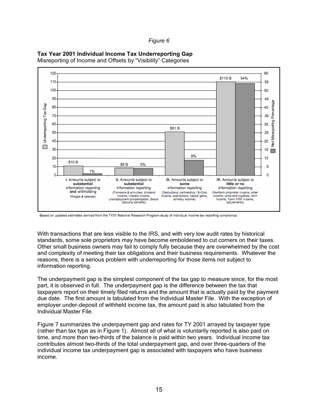*Figure 6* 



**Tax Year 2001 Individual Income Tax Underreporting Gap** 

Misreporting of Income and Offsets by "Visibility" Categories

With transactions that are less visible to the IRS, and with very low audit rates by historical standards, some sole proprietors may have become emboldened to cut corners on their taxes. Other small business owners may fail to comply fully because they are overwhelmed by the cost and complexity of meeting their tax obligations and their business requirements. Whatever the reasons, there is a serious problem with underreporting for those items not subject to information reporting.

The underpayment gap is the simplest component of the tax gap to measure since, for the most part, it is observed in full. The underpayment gap is the difference between the tax that taxpayers report on their timely filed returns and the amount that is actually paid by the payment due date. The first amount is tabulated from the Individual Master File. With the exception of employer under-deposit of withheld income tax, the amount paid is also tabulated from the Individual Master File.

Figure 7 summarizes the underpayment gap and rates for TY 2001 arrayed by taxpayer type (rather than tax type as in Figure 1). Almost all of what is voluntarily reported is also paid on time, and more than two-thirds of the balance is paid within two years. Individual income tax contributes almost two-thirds of the total underpayment gap, and over three-quarters of the individual income tax underpayment gap is associated with taxpayers who have business income.

Based on updated estimates derived from the TY01 National Research Program study of individual income tax reporting compliance.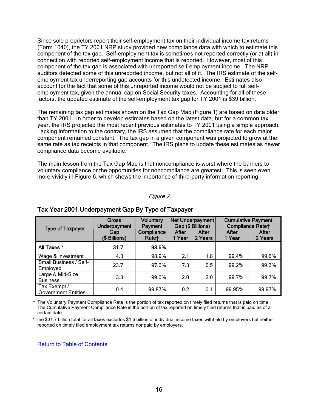Since sole proprietors report their self-employment tax on their individual income tax returns (Form 1040), the TY 2001 NRP study provided new compliance data with which to estimate this component of the tax gap. Self-employment tax is sometimes not reported correctly (or at all) in connection with reported self-employment income that is reported. However, most of this component of the tax gap is associated with unreported self-employment income. The NRP auditors detected some of this unreported income, but not all of it. The IRS estimate of the selfemployment tax underreporting gap accounts for this undetected income. Estimates also account for the fact that some of this unreported income would not be subject to full selfemployment tax, given the annual cap on Social Security taxes. Accounting for all of these factors, the updated estimate of the self-employment tax gap for TY 2001 is \$39 billion.

The remaining tax gap estimates shown on the Tax Gap Map (Figure 1) are based on data older than TY 2001. In order to develop estimates based on the latest data, but for a common tax year, the IRS projected the most recent previous estimates to TY 2001 using a simple approach. Lacking information to the contrary, the IRS assumed that the compliance rate for each major component remained constant. The tax gap in a given component was projected to grow at the same rate as tax receipts in that component. The IRS plans to update these estimates as newer compliance data become available.

The main lesson from the Tax Gap Map is that noncompliance is worst where the barriers to voluntary compliance or the opportunities for noncompliance are greatest. This is seen even more vividly in Figure 6, which shows the importance of third-party information reporting.

#### Figure 7

| <b>Type of Taxpayer</b>                    | Gross<br><b>Underpayment</b> | <b>Voluntary</b><br>Payment |                 | Net Underpayment<br>Gap (\$ Billions) | <b>Cumulative Payment</b><br><b>Compliance Ratet</b> |                  |
|--------------------------------------------|------------------------------|-----------------------------|-----------------|---------------------------------------|------------------------------------------------------|------------------|
|                                            | Gap<br>(\$ Billions)         | Compliance<br>Rate+         | After<br>1 Year | After<br>2 Years                      | After<br>1 Year                                      | After<br>2 Years |
| All Taxes *                                | 31.7                         | 98.6%                       |                 |                                       |                                                      |                  |
| Wage & Investment                          | 4.3                          | 98.9%                       | 2.1             | 1.8                                   | 99.4%                                                | 99.6%            |
| <b>Small Business / Self-</b><br>Employed  | 23.7                         | 97.6%                       | 7.3             | 6.5                                   | 99.2%                                                | 99.3%            |
| Large & Mid-Size<br><b>Business</b>        | 3.3                          | 99.6%                       | 2.0             | 2.0                                   | 99.7%                                                | 99.7%            |
| Tax Exempt /<br><b>Government Entities</b> | 0.4                          | 99.87%                      | 0.2             | 0.1                                   | 99.95%                                               | 99.97%           |

#### Tax Year 2001 Underpayment Gap By Type of Taxpayer

† The Voluntary Payment Compliance Rate is the portion of tax reported on timely filed returns that is paid on time. The Cumulative Payment Compliance Rate is the portion of tax reported on timely filed returns that is paid as of a certain date.

\* The \$31.7 billion total for all taxes excludes \$1.6 billion of individual income taxes withheld by employers but neither reported on timely filed employment tax returns nor paid by employers.

Return to Table of Contents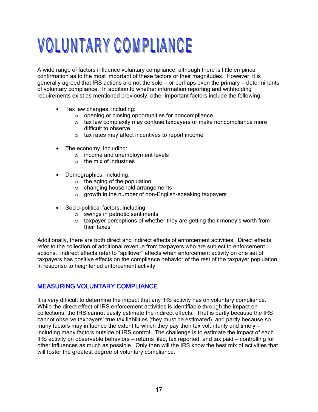### VOLUNTARY COMPLIANCE

A wide range of factors influence voluntary compliance, although there is little empirical confirmation as to the most important of these factors or their magnitudes. However, it is generally agreed that IRS actions are not the sole — or perhaps even the primary — determinants of voluntary compliance. In addition to whether information reporting and withholding requirements exist as mentioned previously, other important factors include the following:

- Tax law changes, including:
	- o opening or closing opportunities for noncompliance
	- o tax law complexity may confuse taxpayers or make noncompliance more difficult to observe
	- o tax rates may affect incentives to report income
- The economy, including:
	- o income and unemployment levels
	- o the mix of industries
- Demographics, including:
	- o the aging of the population
	- o changing household arrangements
	- o growth in the number of non-English-speaking taxpayers
- Socio-political factors, including:
	- o swings in patriotic sentiments
	- o taxpayer perceptions of whether they are getting their money's worth from their taxes

Additionally, there are both direct and indirect effects of enforcement activities. Direct effects refer to the collection of additional revenue from taxpayers who are subject to enforcement actions. Indirect effects refer to "spillover" effects when enforcement activity on one set of taxpayers has positive effects on the compliance behavior of the rest of the taxpayer population in response to heightened enforcement activity.

#### MEASURING VOLUNTARY COMPLIANCE

It is very difficult to determine the impact that any IRS activity has on voluntary compliance. While the direct effect of IRS enforcement activities is identifiable through the impact on collections, the IRS cannot easily estimate the indirect effects. That is partly because the IRS cannot observe taxpayers' true tax liabilities (they must be estimated), and partly because so many factors may influence the extent to which they pay their tax voluntarily and timely including many factors outside of IRS control. The challenge is to estimate the impact of each IRS activity on observable behaviors — returns filed, tax reported, and tax paid — controlling for other influences as much as possible. Only then will the IRS know the best mix of activities that will foster the greatest degree of voluntary compliance.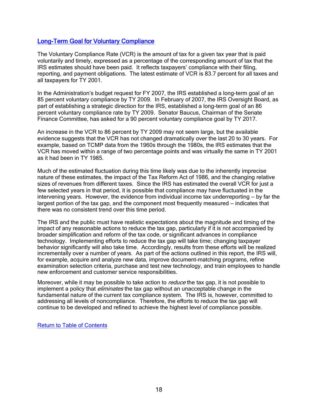#### Long-Term Goal for Voluntary Compliance

The Voluntary Compliance Rate (VCR) is the amount of tax for a given tax year that is paid voluntarily and timely, expressed as a percentage of the corresponding amount of tax that the IRS estimates should have been paid. It reflects taxpayers' compliance with their filing, reporting, and payment obligations. The latest estimate of VCR is 83.7 percent for all taxes and all taxpayers for TY 2001.

In the Administration's budget request for FY 2007, the IRS established a long-term goal of an 85 percent voluntary compliance by TY 2009. In February of 2007, the IRS Oversight Board, as part of establishing a strategic direction for the IRS, established a long-term goal of an 86 percent voluntary compliance rate by TY 2009. Senator Baucus, Chairman of the Senate Finance Committee, has asked for a 90 percent voluntary compliance goal by TY 2017.

An increase in the VCR to 86 percent by TY 2009 may not seem large, but the available evidence suggests that the VCR has not changed dramatically over the last 20 to 30 years. For example, based on TCMP data from the 1960s through the 1980s, the IRS estimates that the VCR has moved within a range of two percentage points and was virtually the same in TY 2001 as it had been in TY 1985.

Much of the estimated fluctuation during this time likely was due to the inherently imprecise nature of these estimates, the impact of the Tax Reform Act of 1986, and the changing relative sizes of revenues from different taxes. Since the IRS has estimated the overall VCR for just a few selected years in that period, it is possible that compliance may have fluctuated in the intervening years. However, the evidence from individual income tax underreporting — by far the largest portion of the tax gap, and the component most frequently measured — indicates that there was no consistent trend over this time period.

The IRS and the public must have realistic expectations about the magnitude and timing of the impact of any reasonable actions to reduce the tax gap, particularly if it is not accompanied by broader simplification and reform of the tax code, or significant advances in compliance technology. Implementing efforts to reduce the tax gap will take time; changing taxpayer behavior significantly will also take time. Accordingly, results from these efforts will be realized incrementally over a number of years. As part of the actions outlined in this report, the IRS will, for example, acquire and analyze new data, improve document-matching programs, refine examination selection criteria, purchase and test new technology, and train employees to handle new enforcement and customer service responsibilities.

Moreover, while it may be possible to take action to *reduce* the tax gap, it is not possible to implement a policy that *eliminates* the tax gap without an unacceptable change in the fundamental nature of the current tax compliance system. The IRS is, however, committed to addressing all levels of noncompliance. Therefore, the efforts to reduce the tax gap will continue to be developed and refined to achieve the highest level of compliance possible.

Return to Table of Contents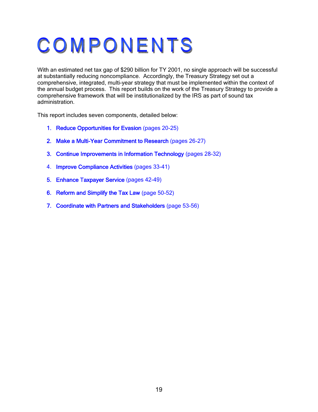## COMPONENTS

With an estimated net tax gap of \$290 billion for TY 2001, no single approach will be successful at substantially reducing noncompliance. Accordingly, the Treasury Strategy set out a comprehensive, integrated, multi-year strategy that must be implemented within the context of the annual budget process. This report builds on the work of the Treasury Strategy to provide a comprehensive framework that will be institutionalized by the IRS as part of sound tax administration.

This report includes seven components, detailed below:

- 1. Reduce Opportunities for Evasion (pages 20-25)
- 2. Make a Multi-Year Commitment to Research (pages 26-27)
- 3. Continue Improvements in Information Technology (pages 28-32)
- 4. Improve Compliance Activities (pages 33-41)
- 5. Enhance Taxpayer Service (pages 42-49)
- 6. Reform and Simplify the Tax Law (page 50-52)
- 7. Coordinate with Partners and Stakeholders (page 53-56)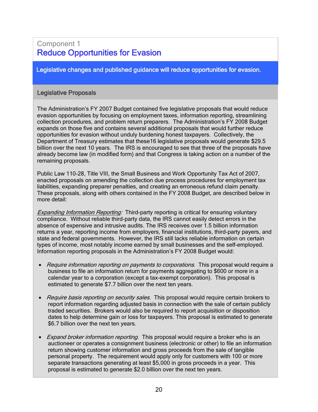#### Component 1 Reduce Opportunities for Evasion

Legislative changes and published guidance will reduce opportunities for evasion.

#### Legislative Proposals

The Administration's FY 2007 Budget contained five legislative proposals that would reduce evasion opportunities by focusing on employment taxes, information reporting, streamlining collection procedures, and problem return preparers. The Administration's FY 2008 Budget expands on those five and contains several additional proposals that would further reduce opportunities for evasion without unduly burdening honest taxpayers. Collectively, the Department of Treasury estimates that these16 legislative proposals would generate \$29.5 billion over the next 10 years. The IRS is encouraged to see that three of the proposals have already become law (in modified form) and that Congress is taking action on a number of the remaining proposals.

Public Law 110-28, Title VIII, the Small Business and Work Opportunity Tax Act of 2007, enacted proposals on amending the collection due process procedures for employment tax liabilities, expanding preparer penalties, and creating an erroneous refund claim penalty. These proposals, along with others contained in the FY 2008 Budget, are described below in more detail:

Expanding Information Reporting: Third-party reporting is critical for ensuring voluntary compliance. Without reliable third-party data, the IRS cannot easily detect errors in the absence of expensive and intrusive audits. The IRS receives over 1.5 billion information returns a year, reporting income from employers, financial institutions, third-party payers, and state and federal governments. However, the IRS still lacks reliable information on certain types of income, most notably income earned by small businesses and the self-employed. Information reporting proposals in the Administration's FY 2008 Budget would:

- Require information reporting on payments to corporations. This proposal would require a business to file an information return for payments aggregating to \$600 or more in a calendar year to a corporation (except a tax-exempt corporation). This proposal is estimated to generate \$7.7 billion over the next ten years.
- Require basis reporting on security sales. This proposal would require certain brokers to report information regarding adjusted basis in connection with the sale of certain publicly traded securities. Brokers would also be required to report acquisition or disposition dates to help determine gain or loss for taxpayers. This proposal is estimated to generate \$6.7 billion over the next ten years.
- Expand broker information reporting. This proposal would require a broker who is an auctioneer or operates a consignment business (electronic or other) to file an information return showing customer information and gross proceeds from the sale of tangible personal property. The requirement would apply only for customers with 100 or more separate transactions generating at least \$5,000 in gross proceeds in a year. This proposal is estimated to generate \$2.0 billion over the next ten years.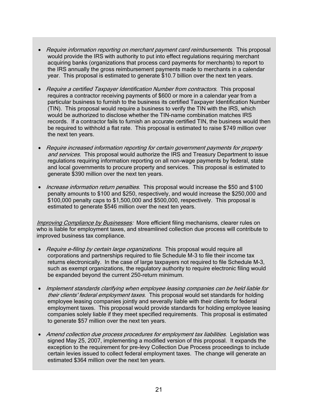- Require information reporting on merchant payment card reimbursements. This proposal would provide the IRS with authority to put into effect regulations requiring merchant acquiring banks (organizations that process card payments for merchants) to report to the IRS annually the gross reimbursement payments made to merchants in a calendar year. This proposal is estimated to generate \$10.7 billion over the next ten years.
- Require a certified Taxpayer Identification Number from contractors. This proposal requires a contractor receiving payments of \$600 or more in a calendar year from a particular business to furnish to the business its certified Taxpayer Identification Number (TIN). This proposal would require a business to verify the TIN with the IRS, which would be authorized to disclose whether the TIN-name combination matches IRS records. If a contractor fails to furnish an accurate certified TIN, the business would then be required to withhold a flat rate. This proposal is estimated to raise \$749 million over the next ten years.
- Require increased information reporting for certain government payments for property and services. This proposal would authorize the IRS and Treasury Department to issue regulations requiring information reporting on all non-wage payments by federal, state and local governments to procure property and services. This proposal is estimated to generate \$390 million over the next ten years.
- *Increase information return penalties*. This proposal would increase the \$50 and \$100 penalty amounts to \$100 and \$250, respectively, and would increase the \$250,000 and \$100,000 penalty caps to \$1,500,000 and \$500,000, respectively. This proposal is estimated to generate \$546 million over the next ten years.

**Improving Compliance by Businesses**: More efficient filing mechanisms, clearer rules on who is liable for employment taxes, and streamlined collection due process will contribute to improved business tax compliance.

- Require e-filing by certain large organizations. This proposal would require all corporations and partnerships required to file Schedule M-3 to file their income tax returns electronically. In the case of large taxpayers not required to file Schedule M-3, such as exempt organizations, the regulatory authority to require electronic filing would be expanded beyond the current 250-return minimum.
- Implement standards clarifying when employee leasing companies can be held liable for their clients' federal employment taxes. This proposal would set standards for holding employee leasing companies jointly and severally liable with their clients for federal employment taxes. This proposal would provide standards for holding employee leasing companies solely liable if they meet specified requirements. This proposal is estimated to generate \$57 million over the next ten years.
- Amend collection due process procedures for employment tax liabilities. Legislation was signed May 25, 2007, implementing a modified version of this proposal. It expands the exception to the requirement for pre-levy Collection Due Process proceedings to include certain levies issued to collect federal employment taxes. The change will generate an estimated \$364 million over the next ten years.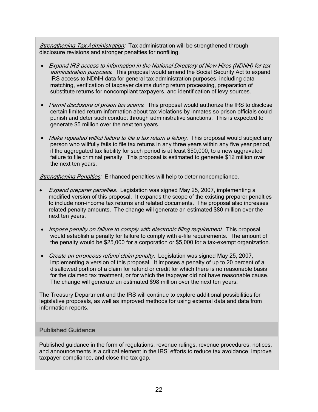Strengthening Tax Administration: Tax administration will be strengthened through disclosure revisions and stronger penalties for nonfiling.

- Expand IRS access to information in the National Directory of New Hires (NDNH) for tax administration purposes. This proposal would amend the Social Security Act to expand IRS access to NDNH data for general tax administration purposes, including data matching, verification of taxpayer claims during return processing, preparation of substitute returns for noncompliant taxpayers, and identification of levy sources.
- Permit disclosure of prison tax scams. This proposal would authorize the IRS to disclose certain limited return information about tax violations by inmates so prison officials could punish and deter such conduct through administrative sanctions. This is expected to generate \$5 million over the next ten years.
- Make repeated willful failure to file a tax return a felony. This proposal would subject any person who willfully fails to file tax returns in any three years within any five year period, if the aggregated tax liability for such period is at least \$50,000, to a new aggravated failure to file criminal penalty. This proposal is estimated to generate \$12 million over the next ten years.

Strengthening Penalties: Enhanced penalties will help to deter noncompliance.

- Expand preparer penalties. Legislation was signed May 25, 2007, implementing a modified version of this proposal. It expands the scope of the existing preparer penalties to include non-income tax returns and related documents. The proposal also increases related penalty amounts. The change will generate an estimated \$80 million over the next ten years.
- Impose penalty on failure to comply with electronic filing requirement. This proposal would establish a penalty for failure to comply with e-file requirements. The amount of the penalty would be \$25,000 for a corporation or \$5,000 for a tax-exempt organization.
- Create an erroneous refund claim penalty. Legislation was signed May 25, 2007, implementing a version of this proposal. It imposes a penalty of up to 20 percent of a disallowed portion of a claim for refund or credit for which there is no reasonable basis for the claimed tax treatment, or for which the taxpayer did not have reasonable cause. The change will generate an estimated \$98 million over the next ten years.

The Treasury Department and the IRS will continue to explore additional possibilities for legislative proposals, as well as improved methods for using external data and data from information reports.

#### Published Guidance

Published guidance in the form of regulations, revenue rulings, revenue procedures, notices, and announcements is a critical element in the IRS' efforts to reduce tax avoidance, improve taxpayer compliance, and close the tax gap.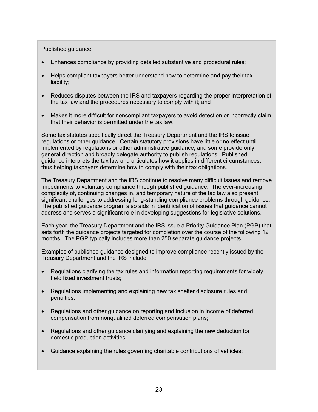#### Published guidance:

- Enhances compliance by providing detailed substantive and procedural rules;
- Helps compliant taxpayers better understand how to determine and pay their tax liability;
- Reduces disputes between the IRS and taxpayers regarding the proper interpretation of the tax law and the procedures necessary to comply with it; and
- Makes it more difficult for noncompliant taxpayers to avoid detection or incorrectly claim that their behavior is permitted under the tax law.

Some tax statutes specifically direct the Treasury Department and the IRS to issue regulations or other guidance. Certain statutory provisions have little or no effect until implemented by regulations or other administrative guidance, and some provide only general direction and broadly delegate authority to publish regulations. Published guidance interprets the tax law and articulates how it applies in different circumstances, thus helping taxpayers determine how to comply with their tax obligations.

The Treasury Department and the IRS continue to resolve many difficult issues and remove impediments to voluntary compliance through published guidance. The ever-increasing complexity of, continuing changes in, and temporary nature of the tax law also present significant challenges to addressing long-standing compliance problems through guidance. The published guidance program also aids in identification of issues that guidance cannot address and serves a significant role in developing suggestions for legislative solutions.

Each year, the Treasury Department and the IRS issue a Priority Guidance Plan (PGP) that sets forth the guidance projects targeted for completion over the course of the following 12 months. The PGP typically includes more than 250 separate guidance projects.

Examples of published guidance designed to improve compliance recently issued by the Treasury Department and the IRS include:

- Regulations clarifying the tax rules and information reporting requirements for widely held fixed investment trusts;
- Regulations implementing and explaining new tax shelter disclosure rules and penalties;
- Regulations and other guidance on reporting and inclusion in income of deferred compensation from nonqualified deferred compensation plans;
- Regulations and other guidance clarifying and explaining the new deduction for domestic production activities;
- Guidance explaining the rules governing charitable contributions of vehicles;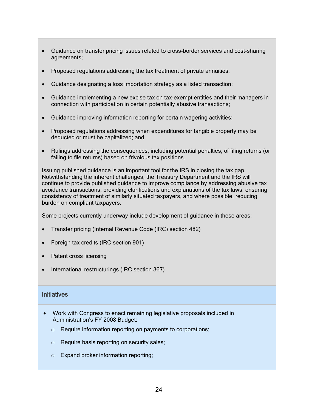- Guidance on transfer pricing issues related to cross-border services and cost-sharing agreements;
- Proposed regulations addressing the tax treatment of private annuities;
- Guidance designating a loss importation strategy as a listed transaction;
- Guidance implementing a new excise tax on tax-exempt entities and their managers in connection with participation in certain potentially abusive transactions;
- Guidance improving information reporting for certain wagering activities;
- Proposed regulations addressing when expenditures for tangible property may be deducted or must be capitalized; and
- Rulings addressing the consequences, including potential penalties, of filing returns (or failing to file returns) based on frivolous tax positions.

Issuing published guidance is an important tool for the IRS in closing the tax gap. Notwithstanding the inherent challenges, the Treasury Department and the IRS will continue to provide published guidance to improve compliance by addressing abusive tax avoidance transactions, providing clarifications and explanations of the tax laws, ensuring consistency of treatment of similarly situated taxpayers, and where possible, reducing burden on compliant taxpayers.

Some projects currently underway include development of guidance in these areas:

- Transfer pricing (Internal Revenue Code (IRC) section 482)
- Foreign tax credits (IRC section 901)
- Patent cross licensing
- International restructurings (IRC section 367)

#### **Initiatives**

- Work with Congress to enact remaining legislative proposals included in Administration's FY 2008 Budget:
	- o Require information reporting on payments to corporations;
	- o Require basis reporting on security sales;
	- o Expand broker information reporting;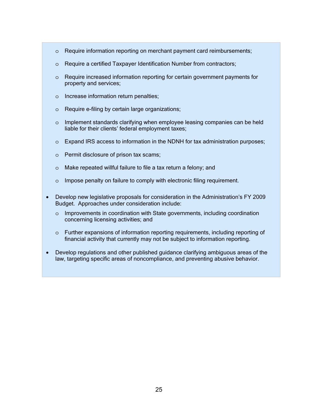- o Require information reporting on merchant payment card reimbursements;
- o Require a certified Taxpayer Identification Number from contractors;
- o Require increased information reporting for certain government payments for property and services;
- o Increase information return penalties;
- o Require e-filing by certain large organizations;
- o Implement standards clarifying when employee leasing companies can be held liable for their clients' federal employment taxes;
- o Expand IRS access to information in the NDNH for tax administration purposes;
- o Permit disclosure of prison tax scams;
- o Make repeated willful failure to file a tax return a felony; and
- o Impose penalty on failure to comply with electronic filing requirement.
- Develop new legislative proposals for consideration in the Administration's FY 2009 Budget. Approaches under consideration include:
	- $\circ$  Improvements in coordination with State governments, including coordination concerning licensing activities; and
	- o Further expansions of information reporting requirements, including reporting of financial activity that currently may not be subject to information reporting.
- Develop regulations and other published guidance clarifying ambiguous areas of the law, targeting specific areas of noncompliance, and preventing abusive behavior.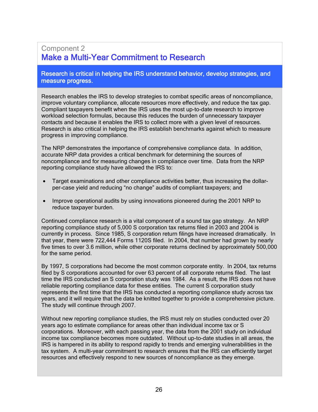#### Component 2 Make a Multi-Year Commitment to Research

#### Research is critical in helping the IRS understand behavior, develop strategies, and measure progress.

Research enables the IRS to develop strategies to combat specific areas of noncompliance, improve voluntary compliance, allocate resources more effectively, and reduce the tax gap. Compliant taxpayers benefit when the IRS uses the most up-to-date research to improve workload selection formulas, because this reduces the burden of unnecessary taxpayer contacts and because it enables the IRS to collect more with a given level of resources. Research is also critical in helping the IRS establish benchmarks against which to measure progress in improving compliance.

The NRP demonstrates the importance of comprehensive compliance data. In addition, accurate NRP data provides a critical benchmark for determining the sources of noncompliance and for measuring changes in compliance over time. Data from the NRP reporting compliance study have allowed the IRS to:

- Target examinations and other compliance activities better, thus increasing the dollarper-case yield and reducing "no change" audits of compliant taxpayers; and
- Improve operational audits by using innovations pioneered during the 2001 NRP to reduce taxpayer burden.

Continued compliance research is a vital component of a sound tax gap strategy. An NRP reporting compliance study of 5,000 S corporation tax returns filed in 2003 and 2004 is currently in process. Since 1985, S corporation return filings have increased dramatically. In that year, there were 722,444 Forms 1120S filed. In 2004, that number had grown by nearly five times to over 3.6 million, while other corporate returns declined by approximately 500,000 for the same period.

By 1997, S corporations had become the most common corporate entity. In 2004, tax returns filed by S corporations accounted for over 63 percent of all corporate returns filed. The last time the IRS conducted an S corporation study was 1984. As a result, the IRS does not have reliable reporting compliance data for these entities. The current S corporation study represents the first time that the IRS has conducted a reporting compliance study across tax years, and it will require that the data be knitted together to provide a comprehensive picture. The study will continue through 2007.

Without new reporting compliance studies, the IRS must rely on studies conducted over 20 years ago to estimate compliance for areas other than individual income tax or S corporations. Moreover, with each passing year, the data from the 2001 study on individual income tax compliance becomes more outdated. Without up-to-date studies in all areas, the IRS is hampered in its ability to respond rapidly to trends and emerging vulnerabilities in the tax system. A multi-year commitment to research ensures that the IRS can efficiently target resources and effectively respond to new sources of noncompliance as they emerge.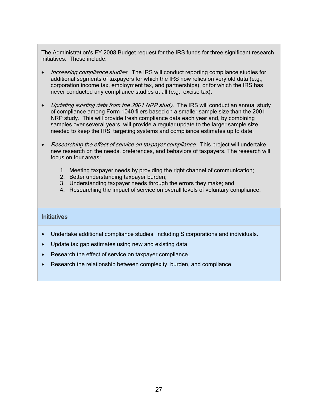The Administration's FY 2008 Budget request for the IRS funds for three significant research initiatives. These include:

- *Increasing compliance studies*. The IRS will conduct reporting compliance studies for additional segments of taxpayers for which the IRS now relies on very old data (e.g., corporation income tax, employment tax, and partnerships), or for which the IRS has never conducted any compliance studies at all (e.g., excise tax).
- Updating existing data from the 2001 NRP study. The IRS will conduct an annual study of compliance among Form 1040 filers based on a smaller sample size than the 2001 NRP study. This will provide fresh compliance data each year and, by combining samples over several years, will provide a regular update to the larger sample size needed to keep the IRS' targeting systems and compliance estimates up to date.
- Researching the effect of service on taxpayer compliance. This project will undertake new research on the needs, preferences, and behaviors of taxpayers. The research will focus on four areas:
	- 1. Meeting taxpayer needs by providing the right channel of communication;
	- 2. Better understanding taxpayer burden;
	- 3. Understanding taxpayer needs through the errors they make; and
	- 4. Researching the impact of service on overall levels of voluntary compliance.

#### **Initiatives**

- Undertake additional compliance studies, including S corporations and individuals.
- Update tax gap estimates using new and existing data.
- Research the effect of service on taxpayer compliance.
- Research the relationship between complexity, burden, and compliance.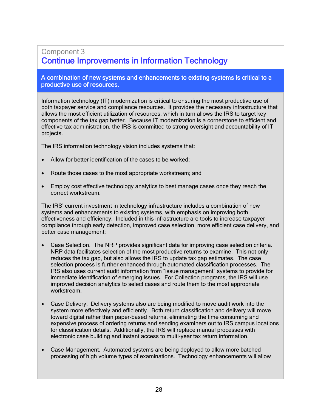#### Component 3 Continue Improvements in Information Technology

#### A combination of new systems and enhancements to existing systems is critical to a productive use of resources.

Information technology (IT) modernization is critical to ensuring the most productive use of both taxpayer service and compliance resources. It provides the necessary infrastructure that allows the most efficient utilization of resources, which in turn allows the IRS to target key components of the tax gap better. Because IT modernization is a cornerstone to efficient and effective tax administration, the IRS is committed to strong oversight and accountability of IT projects.

The IRS information technology vision includes systems that:

- Allow for better identification of the cases to be worked;
- Route those cases to the most appropriate workstream; and
- Employ cost effective technology analytics to best manage cases once they reach the correct workstream.

The IRS' current investment in technology infrastructure includes a combination of new systems and enhancements to existing systems, with emphasis on improving both effectiveness and efficiency. Included in this infrastructure are tools to increase taxpayer compliance through early detection, improved case selection, more efficient case delivery, and better case management:

- Case Selection. The NRP provides significant data for improving case selection criteria. NRP data facilitates selection of the most productive returns to examine. This not only reduces the tax gap, but also allows the IRS to update tax gap estimates. The case selection process is further enhanced through automated classification processes. The IRS also uses current audit information from "issue management" systems to provide for immediate identification of emerging issues. For Collection programs, the IRS will use improved decision analytics to select cases and route them to the most appropriate workstream.
- Case Delivery. Delivery systems also are being modified to move audit work into the system more effectively and efficiently. Both return classification and delivery will move toward digital rather than paper-based returns, eliminating the time consuming and expensive process of ordering returns and sending examiners out to IRS campus locations for classification details. Additionally, the IRS will replace manual processes with electronic case building and instant access to multi-year tax return information.
- Case Management. Automated systems are being deployed to allow more batched processing of high volume types of examinations. Technology enhancements will allow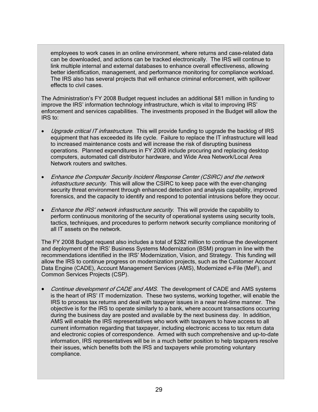employees to work cases in an online environment, where returns and case-related data can be downloaded, and actions can be tracked electronically. The IRS will continue to link multiple internal and external databases to enhance overall effectiveness, allowing better identification, management, and performance monitoring for compliance workload. The IRS also has several projects that will enhance criminal enforcement, with spillover effects to civil cases.

The Administration's FY 2008 Budget request includes an additional \$81 million in funding to improve the IRS' information technology infrastructure, which is vital to improving IRS' enforcement and services capabilities. The investments proposed in the Budget will allow the IRS to:

- *Upgrade critical IT infrastructure.* This will provide funding to upgrade the backlog of IRS equipment that has exceeded its life cycle. Failure to replace the IT infrastructure will lead to increased maintenance costs and will increase the risk of disrupting business operations. Planned expenditures in FY 2008 include procuring and replacing desktop computers, automated call distributor hardware, and Wide Area Network/Local Area Network routers and switches.
- Enhance the Computer Security Incident Response Center (CSIRC) and the network infrastructure security. This will allow the CSIRC to keep pace with the ever-changing security threat environment through enhanced detection and analysis capability, improved forensics, and the capacity to identify and respond to potential intrusions before they occur.
- Enhance the IRS' network infrastructure security. This will provide the capability to perform continuous monitoring of the security of operational systems using security tools, tactics, techniques, and procedures to perform network security compliance monitoring of all IT assets on the network.

The FY 2008 Budget request also includes a total of \$282 million to continue the development and deployment of the IRS' Business Systems Modernization (BSM) program in line with the recommendations identified in the IRS' Modernization, Vision, and Strategy. This funding will allow the IRS to continue progress on modernization projects, such as the Customer Account Data Engine (CADE), Account Management Services (AMS), Modernized e-File (MeF), and Common Services Projects (CSP).

• Continue development of CADE and AMS. The development of CADE and AMS systems is the heart of IRS' IT modernization. These two systems, working together, will enable the IRS to process tax returns and deal with taxpayer issues in a near real-time manner. The objective is for the IRS to operate similarly to a bank, where account transactions occurring during the business day are posted and available by the next business day. In addition, AMS will enable the IRS representatives who work with taxpayers to have access to all current information regarding that taxpayer, including electronic access to tax return data and electronic copies of correspondence. Armed with such comprehensive and up-to-date information, IRS representatives will be in a much better position to help taxpayers resolve their issues, which benefits both the IRS and taxpayers while promoting voluntary compliance.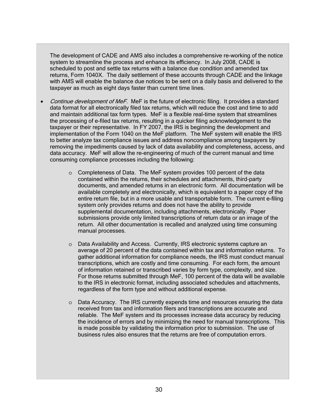The development of CADE and AMS also includes a comprehensive re-working of the notice system to streamline the process and enhance its efficiency. In July 2008, CADE is scheduled to post and settle tax returns with a balance due condition and amended tax returns, Form 1040X. The daily settlement of these accounts through CADE and the linkage with AMS will enable the balance due notices to be sent on a daily basis and delivered to the taxpayer as much as eight days faster than current time lines.

- Continue development of MeF. MeF is the future of electronic filing. It provides a standard data format for all electronically filed tax returns, which will reduce the cost and time to add and maintain additional tax form types. MeF is a flexible real-time system that streamlines the processing of e-filed tax returns, resulting in a quicker filing acknowledgement to the taxpayer or their representative. In FY 2007, the IRS is beginning the development and implementation of the Form 1040 on the MeF platform. The MeF system will enable the IRS to better analyze tax compliance issues and address noncompliance among taxpayers by removing the impediments caused by lack of data availability and completeness, access, and data accuracy. MeF will allow the re-engineering of much of the current manual and time consuming compliance processes including the following:
	- o Completeness of Data. The MeF system provides 100 percent of the data contained within the returns, their schedules and attachments, third-party documents, and amended returns in an electronic form. All documentation will be available completely and electronically, which is equivalent to a paper copy of the entire return file, but in a more usable and transportable form. The current e-filing system only provides returns and does not have the ability to provide supplemental documentation, including attachments, electronically. Paper submissions provide only limited transcriptions of return data or an image of the return. All other documentation is recalled and analyzed using time consuming manual processes.
	- o Data Availability and Access. Currently, IRS electronic systems capture an average of 20 percent of the data contained within tax and information returns. To gather additional information for compliance needs, the IRS must conduct manual transcriptions, which are costly and time consuming. For each form, the amount of information retained or transcribed varies by form type, complexity, and size. For those returns submitted through MeF, 100 percent of the data will be available to the IRS in electronic format, including associated schedules and attachments, regardless of the form type and without additional expense.
	- o Data Accuracy. The IRS currently expends time and resources ensuring the data received from tax and information filers and transcriptions are accurate and reliable. The MeF system and its processes increase data accuracy by reducing the incidence of errors and by minimizing the need for manual transcriptions. This is made possible by validating the information prior to submission. The use of business rules also ensures that the returns are free of computation errors.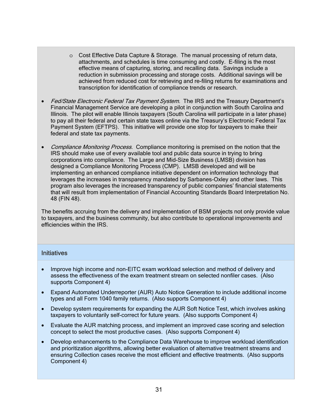- $\circ$  Cost Effective Data Capture & Storage. The manual processing of return data, attachments, and schedules is time consuming and costly. E-filing is the most effective means of capturing, storing, and recalling data. Savings include a reduction in submission processing and storage costs. Additional savings will be achieved from reduced cost for retrieving and re-filing returns for examinations and transcription for identification of compliance trends or research.
- Fed/State Electronic Federal Tax Payment System. The IRS and the Treasury Department's Financial Management Service are developing a pilot in conjunction with South Carolina and Illinois. The pilot will enable Illinois taxpayers (South Carolina will participate in a later phase) to pay all their federal and certain state taxes online via the Treasury's Electronic Federal Tax Payment System (EFTPS). This initiative will provide one stop for taxpayers to make their federal and state tax payments.
- Compliance Monitoring Process. Compliance monitoring is premised on the notion that the IRS should make use of every available tool and public data source in trying to bring corporations into compliance. The Large and Mid-Size Business (LMSB) division has designed a Compliance Monitoring Process (CMP). LMSB developed and will be implementing an enhanced compliance initiative dependent on information technology that leverages the increases in transparency mandated by Sarbanes-Oxley and other laws. This program also leverages the increased transparency of public companies' financial statements that will result from implementation of Financial Accounting Standards Board Interpretation No. 48 (FIN 48).

The benefits accruing from the delivery and implementation of BSM projects not only provide value to taxpayers, and the business community, but also contribute to operational improvements and efficiencies within the IRS.

#### **Initiatives**

- Improve high income and non-EITC exam workload selection and method of delivery and assess the effectiveness of the exam treatment stream on selected nonfiler cases. (Also supports Component 4)
- Expand Automated Underreporter (AUR) Auto Notice Generation to include additional income types and all Form 1040 family returns. (Also supports Component 4)
- Develop system requirements for expanding the AUR Soft Notice Test, which involves asking taxpayers to voluntarily self-correct for future years. (Also supports Component 4)
- Evaluate the AUR matching process, and implement an improved case scoring and selection concept to select the most productive cases. (Also supports Component 4)
- Develop enhancements to the Compliance Data Warehouse to improve workload identification and prioritization algorithms, allowing better evaluation of alternative treatment streams and ensuring Collection cases receive the most efficient and effective treatments. (Also supports Component 4)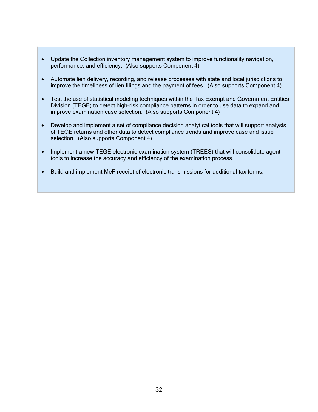- Update the Collection inventory management system to improve functionality navigation, performance, and efficiency. (Also supports Component 4)
- Automate lien delivery, recording, and release processes with state and local jurisdictions to improve the timeliness of lien filings and the payment of fees. (Also supports Component 4)
- Test the use of statistical modeling techniques within the Tax Exempt and Government Entities Division (TEGE) to detect high-risk compliance patterns in order to use data to expand and improve examination case selection. (Also supports Component 4)
- Develop and implement a set of compliance decision analytical tools that will support analysis of TEGE returns and other data to detect compliance trends and improve case and issue selection. (Also supports Component 4)
- Implement a new TEGE electronic examination system (TREES) that will consolidate agent tools to increase the accuracy and efficiency of the examination process.
- Build and implement MeF receipt of electronic transmissions for additional tax forms.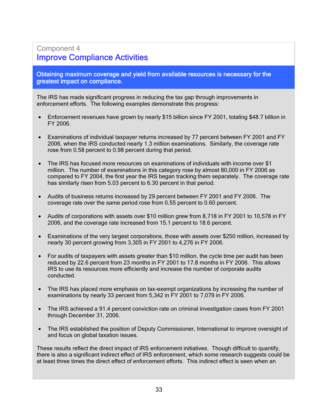#### Component 4 Improve Compliance Activities

Obtaining maximum coverage and yield from available resources is necessary for the greatest impact on compliance.

The IRS has made significant progress in reducing the tax gap through improvements in enforcement efforts. The following examples demonstrate this progress:

- Enforcement revenues have grown by nearly \$15 billion since FY 2001, totaling \$48.7 billion in FY 2006.
- Examinations of individual taxpayer returns increased by 77 percent between FY 2001 and FY 2006, when the IRS conducted nearly 1.3 million examinations. Similarly, the coverage rate rose from 0.58 percent to 0.98 percent during that period.
- The IRS has focused more resources on examinations of individuals with income over \$1 million. The number of examinations in this category rose by almost 80,000 in FY 2006 as compared to FY 2004, the first year the IRS began tracking them separately. The coverage rate has similarly risen from 5.03 percent to 6.30 percent in that period.
- Audits of business returns increased by 29 percent between FY 2001 and FY 2006. The coverage rate over the same period rose from 0.55 percent to 0.60 percent.
- Audits of corporations with assets over \$10 million grew from 8,718 in FY 2001 to 10,578 in FY 2006, and the coverage rate increased from 15.1 percent to 18.6 percent.
- Examinations of the very largest corporations, those with assets over \$250 million, increased by nearly 30 percent growing from 3,305 in FY 2001 to 4,276 in FY 2006.
- For audits of taxpayers with assets greater than \$10 million, the cycle time per audit has been reduced by 22.6 percent from 23 months in FY 2001 to 17.8 months in FY 2006. This allows IRS to use its resources more efficiently and increase the number of corporate audits conducted.
- The IRS has placed more emphasis on tax-exempt organizations by increasing the number of examinations by nearly 33 percent from 5,342 in FY 2001 to 7,079 in FY 2006.
- The IRS achieved a 91.4 percent conviction rate on criminal investigation cases from FY 2001 through December 31, 2006.
- The IRS established the position of Deputy Commissioner, International to improve oversight of and focus on global taxation issues.

These results reflect the direct impact of IRS enforcement initiatives. Though difficult to quantify, there is also a significant indirect effect of IRS enforcement, which some research suggests could be at least three times the direct effect of enforcement efforts. This indirect effect is seen when an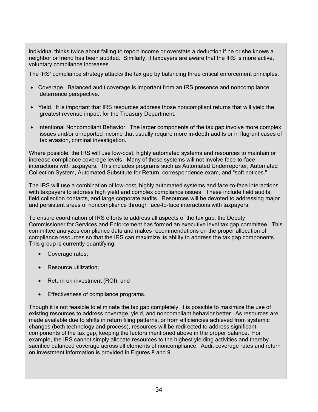individual thinks twice about failing to report income or overstate a deduction if he or she knows a neighbor or friend has been audited. Similarly, if taxpayers are aware that the IRS is more active, voluntary compliance increases.

The IRS' compliance strategy attacks the tax gap by balancing three critical enforcement principles.

- Coverage. Balanced audit coverage is important from an IRS presence and noncompliance deterrence perspective.
- Yield. It is important that IRS resources address those noncompliant returns that will yield the greatest revenue impact for the Treasury Department.
- Intentional Noncompliant Behavior. The larger components of the tax gap involve more complex issues and/or unreported income that usually require more in-depth audits or in flagrant cases of tax evasion, criminal investigation.

Where possible, the IRS will use low-cost, highly automated systems and resources to maintain or increase compliance coverage levels. Many of these systems will not involve face-to-face interactions with taxpayers. This includes programs such as Automated Underreporter, Automated Collection System, Automated Substitute for Return, correspondence exam, and "soft notices."

The IRS will use a combination of low-cost, highly automated systems and face-to-face interactions with taxpayers to address high yield and complex compliance issues. These include field audits, field collection contacts, and large corporate audits. Resources will be devoted to addressing major and persistent areas of noncompliance through face-to-face interactions with taxpayers.

To ensure coordination of IRS efforts to address all aspects of the tax gap, the Deputy Commissioner for Services and Enforcement has formed an executive level tax gap committee. This committee analyzes compliance data and makes recommendations on the proper allocation of compliance resources so that the IRS can maximize its ability to address the tax gap components. This group is currently quantifying:

- Coverage rates;
- Resource utilization;
- Return on investment (ROI); and
- Effectiveness of compliance programs.

Though it is not feasible to eliminate the tax gap completely, it is possible to maximize the use of existing resources to address coverage, yield, and noncompliant behavior better. As resources are made available due to shifts in return filing patterns, or from efficiencies achieved from systemic changes (both technology and process), resources will be redirected to address significant components of the tax gap, keeping the factors mentioned above in the proper balance. For example, the IRS cannot simply allocate resources to the highest yielding activities and thereby sacrifice balanced coverage across all elements of noncompliance. Audit coverage rates and return on investment information is provided in Figures 8 and 9.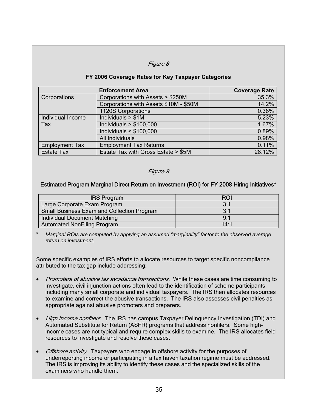#### Figure 8

#### **FY 2006 Coverage Rates for Key Taxpayer Categories**

| <b>Enforcement Area</b> |                                        | <b>Coverage Rate</b> |
|-------------------------|----------------------------------------|----------------------|
| Corporations            | Corporations with Assets > \$250M      | 35.3%                |
|                         | Corporations with Assets \$10M - \$50M | 14.2%                |
|                         | 1120S Corporations                     | 0.38%                |
| Individual Income       | Individuals $> $1M$                    | 5.23%                |
| Tax                     | Individuals $> $100,000$               | 1.67%                |
|                         | Individuals $<$ \$100,000              | 0.89%                |
|                         | All Individuals                        | 0.98%                |
| <b>Employment Tax</b>   | <b>Employment Tax Returns</b>          | 0.11%                |
| <b>Estate Tax</b>       | Estate Tax with Gross Estate > \$5M    | 28.12%               |

#### Figure 9

#### Estimated Program Marginal Direct Return on Investment (ROI) for FY 2008 Hiring Initiatives\*

| <b>IRS Program</b>                                | <b>ROI</b> |
|---------------------------------------------------|------------|
| Large Corporate Exam Program                      | 3:1        |
| <b>Small Business Exam and Collection Program</b> | 3:1        |
| <b>Individual Document Matching</b>               | 9:1        |
| <b>Automated NonFiling Program</b>                | 14.1       |

\* *Marginal ROIs are computed by applying an assumed "marginality" factor to the observed average return on investment.* 

Some specific examples of IRS efforts to allocate resources to target specific noncompliance attributed to the tax gap include addressing:

- Promoters of abusive tax avoidance transactions. While these cases are time consuming to investigate, civil injunction actions often lead to the identification of scheme participants, including many small corporate and individual taxpayers. The IRS then allocates resources to examine and correct the abusive transactions. The IRS also assesses civil penalties as appropriate against abusive promoters and preparers.
- High income nonfilers. The IRS has campus Taxpayer Delinguency Investigation (TDI) and Automated Substitute for Return (ASFR) programs that address nonfilers. Some highincome cases are not typical and require complex skills to examine. The IRS allocates field resources to investigate and resolve these cases.
- *Offshore activity*. Taxpayers who engage in offshore activity for the purposes of underreporting income or participating in a tax haven taxation regime must be addressed. The IRS is improving its ability to identify these cases and the specialized skills of the examiners who handle them.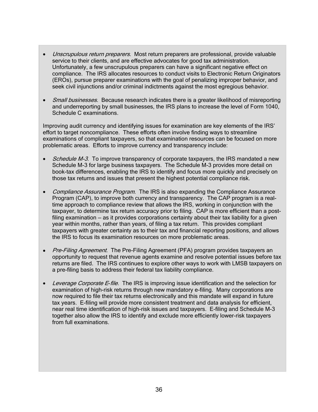- Unscrupulous return preparers. Most return preparers are professional, provide valuable service to their clients, and are effective advocates for good tax administration. Unfortunately, a few unscrupulous preparers can have a significant negative effect on compliance. The IRS allocates resources to conduct visits to Electronic Return Originators (EROs), pursue preparer examinations with the goal of penalizing improper behavior, and seek civil injunctions and/or criminal indictments against the most egregious behavior.
- Small businesses. Because research indicates there is a greater likelihood of misreporting and underreporting by small businesses, the IRS plans to increase the level of Form 1040, Schedule C examinations.

Improving audit currency and identifying issues for examination are key elements of the IRS' effort to target noncompliance. These efforts often involve finding ways to streamline examinations of compliant taxpayers, so that examination resources can be focused on more problematic areas. Efforts to improve currency and transparency include:

- Schedule M-3. To improve transparency of corporate taxpayers, the IRS mandated a new Schedule M-3 for large business taxpayers. The Schedule M-3 provides more detail on book-tax differences, enabling the IRS to identify and focus more quickly and precisely on those tax returns and issues that present the highest potential compliance risk.
- Compliance Assurance Program. The IRS is also expanding the Compliance Assurance Program (CAP), to improve both currency and transparency. The CAP program is a realtime approach to compliance review that allows the IRS, working in conjunction with the taxpayer, to determine tax return accuracy prior to filing. CAP is more efficient than a postfiling examination – as it provides corporations certainty about their tax liability for a given year within months, rather than years, of filing a tax return. This provides compliant taxpayers with greater certainty as to their tax and financial reporting positions, and allows the IRS to focus its examination resources on more problematic areas.
- Pre-Filing Agreement. The Pre-Filing Agreement (PFA) program provides taxpayers an opportunity to request that revenue agents examine and resolve potential issues before tax returns are filed. The IRS continues to explore other ways to work with LMSB taxpayers on a pre-filing basis to address their federal tax liability compliance.
- Leverage Corporate E-file. The IRS is improving issue identification and the selection for examination of high-risk returns through new mandatory e-filing. Many corporations are now required to file their tax returns electronically and this mandate will expand in future tax years. E-filing will provide more consistent treatment and data analysis for efficient, near real time identification of high-risk issues and taxpayers. E-filing and Schedule M-3 together also allow the IRS to identify and exclude more efficiently lower-risk taxpayers from full examinations.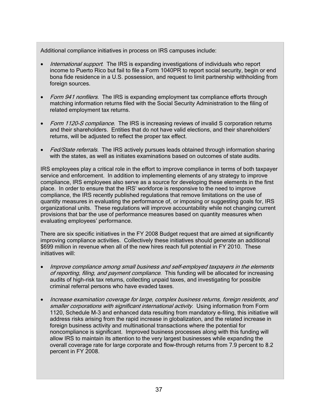Additional compliance initiatives in process on IRS campuses include:

- International support. The IRS is expanding investigations of individuals who report income to Puerto Rico but fail to file a Form 1040PR to report social security, begin or end bona fide residence in a U.S. possession, and request to limit partnership withholding from foreign sources.
- Form 941 nonfilers. The IRS is expanding employment tax compliance efforts through matching information returns filed with the Social Security Administration to the filing of related employment tax returns.
- Form 1120-S compliance. The IRS is increasing reviews of invalid S corporation returns and their shareholders. Entities that do not have valid elections, and their shareholders' returns, will be adjusted to reflect the proper tax effect.
- Fed/State referrals. The IRS actively pursues leads obtained through information sharing with the states, as well as initiates examinations based on outcomes of state audits.

IRS employees play a critical role in the effort to improve compliance in terms of both taxpayer service and enforcement. In addition to implementing elements of any strategy to improve compliance, IRS employees also serve as a source for developing these elements in the first place. In order to ensure that the IRS' workforce is responsive to the need to improve compliance, the IRS recently published regulations that remove limitations on the use of quantity measures in evaluating the performance of, or imposing or suggesting goals for, IRS organizational units. These regulations will improve accountability while not changing current provisions that bar the use of performance measures based on quantity measures when evaluating employees' performance.

There are six specific initiatives in the FY 2008 Budget request that are aimed at significantly improving compliance activities. Collectively these initiatives should generate an additional \$699 million in revenue when all of the new hires reach full potential in FY 2010. These initiatives will:

- Improve compliance among small business and self-employed taxpayers in the elements of reporting, filing, and payment compliance. This funding will be allocated for increasing audits of high-risk tax returns, collecting unpaid taxes, and investigating for possible criminal referral persons who have evaded taxes.
- Increase examination coverage for large, complex business returns, foreign residents, and smaller corporations with significant international activity. Using information from Form 1120, Schedule M-3 and enhanced data resulting from mandatory e-filing, this initiative will address risks arising from the rapid increase in globalization, and the related increase in foreign business activity and multinational transactions where the potential for noncompliance is significant. Improved business processes along with this funding will allow IRS to maintain its attention to the very largest businesses while expanding the overall coverage rate for large corporate and flow-through returns from 7.9 percent to 8.2 percent in FY 2008.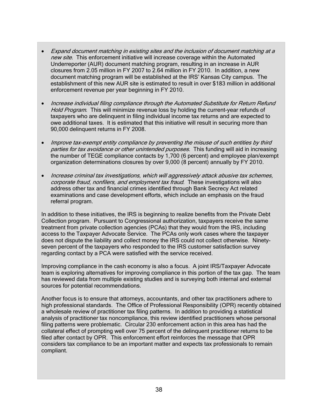- Expand document matching in existing sites and the inclusion of document matching at a new site. This enforcement initiative will increase coverage within the Automated Underreporter (AUR) document matching program, resulting in an increase in AUR closures from 2.05 million in FY 2007 to 2.64 million in FY 2010. In addition, a new document matching program will be established at the IRS' Kansas City campus. The establishment of this new AUR site is estimated to result in over \$183 million in additional enforcement revenue per year beginning in FY 2010.
- Increase individual filing compliance through the Automated Substitute for Return Refund Hold Program. This will minimize revenue loss by holding the current-year refunds of taxpayers who are delinquent in filing individual income tax returns and are expected to owe additional taxes. It is estimated that this initiative will result in securing more than 90,000 delinquent returns in FY 2008.
- Improve tax-exempt entity compliance by preventing the misuse of such entities by third parties for tax avoidance or other unintended purposes. This funding will aid in increasing the number of TEGE compliance contacts by 1,700 (6 percent) and employee plan/exempt organization determinations closures by over 9,000 (8 percent) annually by FY 2010.
- Increase criminal tax investigations, which will aggressively attack abusive tax schemes, corporate fraud, nonfilers, and employment tax fraud. These investigations will also address other tax and financial crimes identified through Bank Secrecy Act related examinations and case development efforts, which include an emphasis on the fraud referral program.

In addition to these initiatives, the IRS is beginning to realize benefits from the Private Debt Collection program. Pursuant to Congressional authorization, taxpayers receive the same treatment from private collection agencies (PCAs) that they would from the IRS, including access to the Taxpayer Advocate Service. The PCAs only work cases where the taxpayer does not dispute the liability and collect money the IRS could not collect otherwise. Ninetyseven percent of the taxpayers who responded to the IRS customer satisfaction survey regarding contact by a PCA were satisfied with the service received.

Improving compliance in the cash economy is also a focus. A joint IRS/Taxpayer Advocate team is exploring alternatives for improving compliance in this portion of the tax gap. The team has reviewed data from multiple existing studies and is surveying both internal and external sources for potential recommendations.

Another focus is to ensure that attorneys, accountants, and other tax practitioners adhere to high professional standards. The Office of Professional Responsibility (OPR) recently obtained a wholesale review of practitioner tax filing patterns. In addition to providing a statistical analysis of practitioner tax noncompliance, this review identified practitioners whose personal filing patterns were problematic. Circular 230 enforcement action in this area has had the collateral effect of prompting well over 75 percent of the delinquent practitioner returns to be filed after contact by OPR. This enforcement effort reinforces the message that OPR considers tax compliance to be an important matter and expects tax professionals to remain compliant.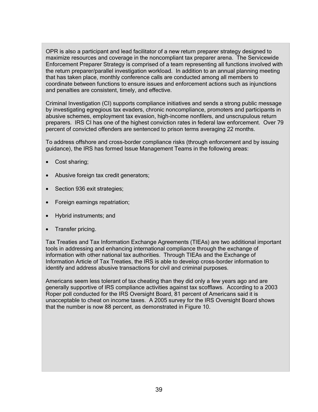OPR is also a participant and lead facilitator of a new return preparer strategy designed to maximize resources and coverage in the noncompliant tax preparer arena. The Servicewide Enforcement Preparer Strategy is comprised of a team representing all functions involved with the return preparer/parallel investigation workload. In addition to an annual planning meeting that has taken place, monthly conference calls are conducted among all members to coordinate between functions to ensure issues and enforcement actions such as injunctions and penalties are consistent, timely, and effective.

Criminal Investigation (CI) supports compliance initiatives and sends a strong public message by investigating egregious tax evaders, chronic noncompliance, promoters and participants in abusive schemes, employment tax evasion, high-income nonfilers, and unscrupulous return preparers. IRS CI has one of the highest conviction rates in federal law enforcement. Over 79 percent of convicted offenders are sentenced to prison terms averaging 22 months.

To address offshore and cross-border compliance risks (through enforcement and by issuing guidance), the IRS has formed Issue Management Teams in the following areas:

- Cost sharing;
- Abusive foreign tax credit generators;
- Section 936 exit strategies;
- Foreign earnings repatriation;
- Hybrid instruments; and
- Transfer pricing.

Tax Treaties and Tax Information Exchange Agreements (TIEAs) are two additional important tools in addressing and enhancing international compliance through the exchange of information with other national tax authorities. Through TIEAs and the Exchange of Information Article of Tax Treaties, the IRS is able to develop cross-border information to identify and address abusive transactions for civil and criminal purposes.

Americans seem less tolerant of tax cheating than they did only a few years ago and are generally supportive of IRS compliance activities against tax scofflaws. According to a 2003 Roper poll conducted for the IRS Oversight Board, 81 percent of Americans said it is unacceptable to cheat on income taxes. A 2005 survey for the IRS Oversight Board shows that the number is now 88 percent, as demonstrated in Figure 10.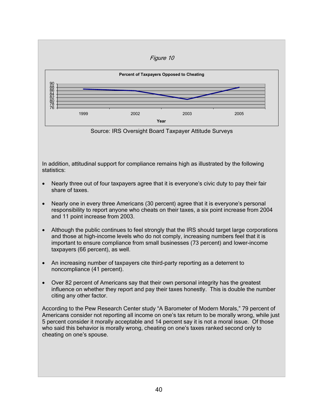

Source: IRS Oversight Board Taxpayer Attitude Surveys

In addition, attitudinal support for compliance remains high as illustrated by the following statistics:

- Nearly three out of four taxpayers agree that it is everyone's civic duty to pay their fair share of taxes.
- Nearly one in every three Americans (30 percent) agree that it is everyone's personal responsibility to report anyone who cheats on their taxes, a six point increase from 2004 and 11 point increase from 2003.
- Although the public continues to feel strongly that the IRS should target large corporations and those at high-income levels who do not comply, increasing numbers feel that it is important to ensure compliance from small businesses (73 percent) and lower-income taxpayers (66 percent), as well.
- An increasing number of taxpayers cite third-party reporting as a deterrent to noncompliance (41 percent).
- Over 82 percent of Americans say that their own personal integrity has the greatest influence on whether they report and pay their taxes honestly. This is double the number citing any other factor.

According to the Pew Research Center study "A Barometer of Modern Morals," 79 percent of Americans consider not reporting all income on one's tax return to be morally wrong, while just 5 percent consider it morally acceptable and 14 percent say it is not a moral issue. Of those who said this behavior is morally wrong, cheating on one's taxes ranked second only to cheating on one's spouse.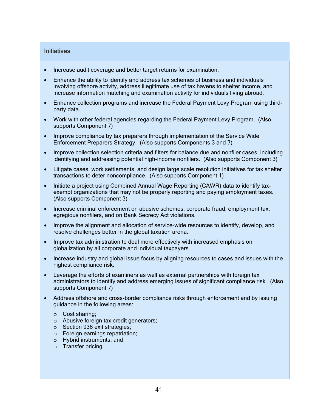#### **Initiatives**

- Increase audit coverage and better target returns for examination.
- Enhance the ability to identify and address tax schemes of business and individuals involving offshore activity, address illegitimate use of tax havens to shelter income, and increase information matching and examination activity for individuals living abroad.
- Enhance collection programs and increase the Federal Payment Levy Program using thirdparty data.
- Work with other federal agencies regarding the Federal Payment Levy Program. (Also supports Component 7)
- Improve compliance by tax preparers through implementation of the Service Wide Enforcement Preparers Strategy. (Also supports Components 3 and 7)
- Improve collection selection criteria and filters for balance due and nonfiler cases, including identifying and addressing potential high-income nonfilers. (Also supports Component 3)
- Litigate cases, work settlements, and design large scale resolution initiatives for tax shelter transactions to deter noncompliance. (Also supports Component 1)
- Initiate a project using Combined Annual Wage Reporting (CAWR) data to identify taxexempt organizations that may not be properly reporting and paying employment taxes. (Also supports Component 3)
- Increase criminal enforcement on abusive schemes, corporate fraud, employment tax, egregious nonfilers, and on Bank Secrecy Act violations.
- Improve the alignment and allocation of service-wide resources to identify, develop, and resolve challenges better in the global taxation arena.
- Improve tax administration to deal more effectively with increased emphasis on globalization by all corporate and individual taxpayers.
- Increase industry and global issue focus by aligning resources to cases and issues with the highest compliance risk.
- Leverage the efforts of examiners as well as external partnerships with foreign tax administrators to identify and address emerging issues of significant compliance risk. (Also supports Component 7)
- Address offshore and cross-border compliance risks through enforcement and by issuing guidance in the following areas:
	- o Cost sharing;
	- o Abusive foreign tax credit generators;
	- o Section 936 exit strategies;
	- o Foreign earnings repatriation;
	- o Hybrid instruments; and
	- o Transfer pricing.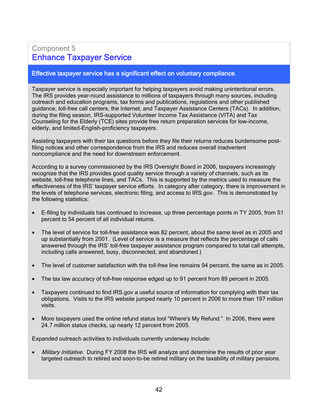# Component 5 Enhance Taxpayer Service

#### Effective taxpayer service has a significant effect on voluntary compliance.

Taxpayer service is especially important for helping taxpayers avoid making unintentional errors. The IRS provides year-round assistance to millions of taxpayers through many sources, including outreach and education programs, tax forms and publications, regulations and other published guidance, toll-free call centers, the Internet, and Taxpayer Assistance Centers (TACs). In addition, during the filing season, IRS-supported Volunteer Income Tax Assistance (VITA) and Tax Counseling for the Elderly (TCE) sites provide free return preparation services for low-income, elderly, and limited-English-proficiency taxpayers.

Assisting taxpayers with their tax questions before they file their returns reduces burdensome postfiling notices and other correspondence from the IRS and reduces overall inadvertent noncompliance and the need for downstream enforcement.

According to a survey commissioned by the IRS Oversight Board in 2006, taxpayers increasingly recognize that the IRS provides good quality service through a variety of channels, such as its website, toll-free telephone lines, and TACs. This is supported by the metrics used to measure the effectiveness of the IRS' taxpayer service efforts. In category after category, there is improvement in the levels of telephone services, electronic filing, and access to IRS.gov. This is demonstrated by the following statistics:

- E-filing by individuals has continued to increase, up three percentage points in TY 2005, from 51 percent to 54 percent of all individual returns.
- The level of service for toll-free assistance was 82 percent, about the same level as in 2005 and up substantially from 2001. (Level of service is a measure that reflects the percentage of calls answered through the IRS' toll-free taxpayer assistance program compared to total call attempts, including calls answered, busy, disconnected, and abandoned.)
- The level of customer satisfaction with the toll-free line remains 94 percent, the same as in 2005.
- The tax law accuracy of toll-free response edged up to 91 percent from 89 percent in 2005.
- Taxpayers continued to find IRS.gov a useful source of information for complying with their tax obligations. Visits to the IRS website jumped nearly 10 percent in 2006 to more than 197 million visits.
- More taxpayers used the online refund status tool "Where's My Refund." In 2006, there were 24.7 million status checks, up nearly 12 percent from 2005.

Expanded outreach activities to individuals currently underway include:

• Military Initiative. During FY 2008 the IRS will analyze and determine the results of prior year targeted outreach to retired and soon-to-be retired military on the taxability of military pensions.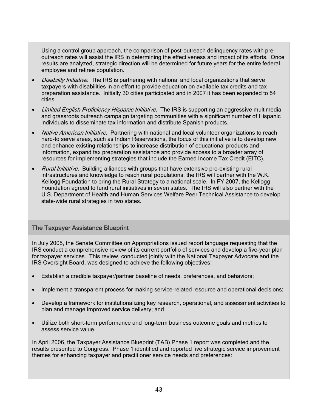Using a control group approach, the comparison of post-outreach delinquency rates with preoutreach rates will assist the IRS in determining the effectiveness and impact of its efforts. Once results are analyzed, strategic direction will be determined for future years for the entire federal employee and retiree population.

- Disability Initiative. The IRS is partnering with national and local organizations that serve taxpayers with disabilities in an effort to provide education on available tax credits and tax preparation assistance. Initially 30 cities participated and in 2007 it has been expanded to 54 cities.
- Limited English Proficiency Hispanic Initiative. The IRS is supporting an aggressive multimedia and grassroots outreach campaign targeting communities with a significant number of Hispanic individuals to disseminate tax information and distribute Spanish products.
- Native American Initiative. Partnering with national and local volunteer organizations to reach hard-to serve areas, such as Indian Reservations, the focus of this initiative is to develop new and enhance existing relationships to increase distribution of educational products and information, expand tax preparation assistance and provide access to a broader array of resources for implementing strategies that include the Earned Income Tax Credit (EITC).
- Rural Initiative. Building alliances with groups that have extensive pre-existing rural infrastructures and knowledge to reach rural populations, the IRS will partner with the W.K. Kellogg Foundation to bring the Rural Strategy to a national scale. In FY 2007, the Kellogg Foundation agreed to fund rural initiatives in seven states. The IRS will also partner with the U.S. Department of Health and Human Services Welfare Peer Technical Assistance to develop state-wide rural strategies in two states.

## The Taxpayer Assistance Blueprint

In July 2005, the Senate Committee on Appropriations issued report language requesting that the IRS conduct a comprehensive review of its current portfolio of services and develop a five-year plan for taxpayer services. This review, conducted jointly with the National Taxpayer Advocate and the IRS Oversight Board, was designed to achieve the following objectives:

- Establish a credible taxpayer/partner baseline of needs, preferences, and behaviors;
- Implement a transparent process for making service-related resource and operational decisions;
- Develop a framework for institutionalizing key research, operational, and assessment activities to plan and manage improved service delivery; and
- Utilize both short-term performance and long-term business outcome goals and metrics to assess service value.

In April 2006, the Taxpayer Assistance Blueprint (TAB) Phase 1 report was completed and the results presented to Congress. Phase 1 identified and reported five strategic service improvement themes for enhancing taxpayer and practitioner service needs and preferences: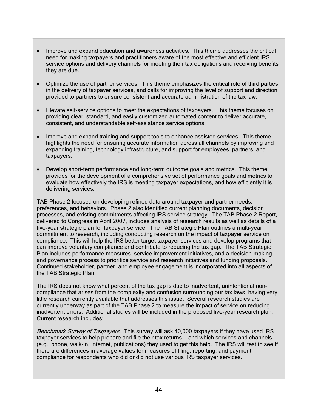- Improve and expand education and awareness activities. This theme addresses the critical need for making taxpayers and practitioners aware of the most effective and efficient IRS service options and delivery channels for meeting their tax obligations and receiving benefits they are due.
- Optimize the use of partner services. This theme emphasizes the critical role of third parties in the delivery of taxpayer services, and calls for improving the level of support and direction provided to partners to ensure consistent and accurate administration of the tax law.
- Elevate self-service options to meet the expectations of taxpayers. This theme focuses on providing clear, standard, and easily customized automated content to deliver accurate, consistent, and understandable self-assistance service options.
- Improve and expand training and support tools to enhance assisted services. This theme highlights the need for ensuring accurate information across all channels by improving and expanding training, technology infrastructure, and support for employees, partners, and taxpayers.
- Develop short-term performance and long-term outcome goals and metrics. This theme provides for the development of a comprehensive set of performance goals and metrics to evaluate how effectively the IRS is meeting taxpayer expectations, and how efficiently it is delivering services.

TAB Phase 2 focused on developing refined data around taxpayer and partner needs, preferences, and behaviors. Phase 2 also identified current planning documents, decision processes, and existing commitments affecting IRS service strategy. The TAB Phase 2 Report, delivered to Congress in April 2007, includes analysis of research results as well as details of a five-year strategic plan for taxpayer service. The TAB Strategic Plan outlines a multi-year commitment to research, including conducting research on the impact of taxpayer service on compliance. This will help the IRS better target taxpayer services and develop programs that can improve voluntary compliance and contribute to reducing the tax gap. The TAB Strategic Plan includes performance measures, service improvement initiatives, and a decision-making and governance process to prioritize service and research initiatives and funding proposals. Continued stakeholder, partner, and employee engagement is incorporated into all aspects of the TAB Strategic Plan.

The IRS does not know what percent of the tax gap is due to inadvertent, unintentional noncompliance that arises from the complexity and confusion surrounding our tax laws, having very little research currently available that addresses this issue. Several research studies are currently underway as part of the TAB Phase 2 to measure the impact of service on reducing inadvertent errors. Additional studies will be included in the proposed five-year research plan. Current research includes:

Benchmark Survey of Taxpayers. This survey will ask 40,000 taxpayers if they have used IRS taxpayer services to help prepare and file their tax returns — and which services and channels (e.g., phone, walk-in, Internet, publications) they used to get this help. The IRS will test to see if there are differences in average values for measures of filing, reporting, and payment compliance for respondents who did or did not use various IRS taxpayer services.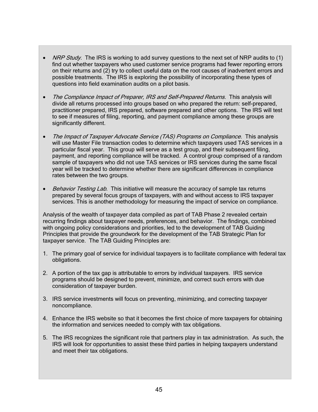- NRP Study. The IRS is working to add survey questions to the next set of NRP audits to (1) find out whether taxpayers who used customer service programs had fewer reporting errors on their returns and (2) try to collect useful data on the root causes of inadvertent errors and possible treatments. The IRS is exploring the possibility of incorporating these types of questions into field examination audits on a pilot basis.
- The Compliance Impact of Preparer, IRS and Self-Prepared Returns. This analysis will divide all returns processed into groups based on who prepared the return: self-prepared, practitioner prepared, IRS prepared, software prepared and other options. The IRS will test to see if measures of filing, reporting, and payment compliance among these groups are significantly different.
- The Impact of Taxpayer Advocate Service (TAS) Programs on Compliance. This analysis will use Master File transaction codes to determine which taxpayers used TAS services in a particular fiscal year. This group will serve as a test group, and their subsequent filing, payment, and reporting compliance will be tracked. A control group comprised of a random sample of taxpayers who did not use TAS services or IRS services during the same fiscal year will be tracked to determine whether there are significant differences in compliance rates between the two groups.
- Behavior Testing Lab. This initiative will measure the accuracy of sample tax returns prepared by several focus groups of taxpayers, with and without access to IRS taxpayer services. This is another methodology for measuring the impact of service on compliance.

Analysis of the wealth of taxpayer data compiled as part of TAB Phase 2 revealed certain recurring findings about taxpayer needs, preferences, and behavior. The findings, combined with ongoing policy considerations and priorities, led to the development of TAB Guiding Principles that provide the groundwork for the development of the TAB Strategic Plan for taxpayer service. The TAB Guiding Principles are:

- 1. The primary goal of service for individual taxpayers is to facilitate compliance with federal tax obligations.
- 2. A portion of the tax gap is attributable to errors by individual taxpayers. IRS service programs should be designed to prevent, minimize, and correct such errors with due consideration of taxpayer burden.
- 3. IRS service investments will focus on preventing, minimizing, and correcting taxpayer noncompliance.
- 4. Enhance the IRS website so that it becomes the first choice of more taxpayers for obtaining the information and services needed to comply with tax obligations.
- 5. The IRS recognizes the significant role that partners play in tax administration. As such, the IRS will look for opportunities to assist these third parties in helping taxpayers understand and meet their tax obligations.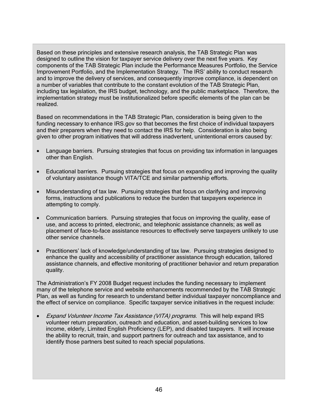Based on these principles and extensive research analysis, the TAB Strategic Plan was designed to outline the vision for taxpayer service delivery over the next five years. Key components of the TAB Strategic Plan include the Performance Measures Portfolio, the Service Improvement Portfolio, and the Implementation Strategy. The IRS' ability to conduct research and to improve the delivery of services, and consequently improve compliance, is dependent on a number of variables that contribute to the constant evolution of the TAB Strategic Plan, including tax legislation, the IRS budget, technology, and the public marketplace. Therefore, the implementation strategy must be institutionalized before specific elements of the plan can be realized.

Based on recommendations in the TAB Strategic Plan, consideration is being given to the funding necessary to enhance IRS gov so that becomes the first choice of individual taxpayers and their preparers when they need to contact the IRS for help. Consideration is also being given to other program initiatives that will address inadvertent, unintentional errors caused by:

- Language barriers. Pursuing strategies that focus on providing tax information in languages other than English.
- Educational barriers. Pursuing strategies that focus on expanding and improving the quality of voluntary assistance though VITA/TCE and similar partnership efforts.
- Misunderstanding of tax law. Pursuing strategies that focus on clarifying and improving forms, instructions and publications to reduce the burden that taxpayers experience in attempting to comply.
- Communication barriers. Pursuing strategies that focus on improving the quality, ease of use, and access to printed, electronic, and telephonic assistance channels; as well as placement of face-to-face assistance resources to effectively serve taxpayers unlikely to use other service channels.
- Practitioners' lack of knowledge/understanding of tax law. Pursuing strategies designed to enhance the quality and accessibility of practitioner assistance through education, tailored assistance channels, and effective monitoring of practitioner behavior and return preparation quality.

The Administration's FY 2008 Budget request includes the funding necessary to implement many of the telephone service and website enhancements recommended by the TAB Strategic Plan, as well as funding for research to understand better individual taxpayer noncompliance and the effect of service on compliance. Specific taxpayer service initiatives in the request include:

• Expand Volunteer Income Tax Assistance (VITA) programs. This will help expand IRS volunteer return preparation, outreach and education, and asset-building services to low income, elderly, Limited English Proficiency (LEP), and disabled taxpayers. It will increase the ability to recruit, train, and support partners for outreach and tax assistance, and to identify those partners best suited to reach special populations.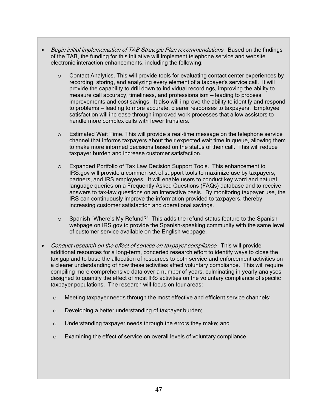- Begin initial implementation of TAB Strategic Plan recommendations. Based on the findings of the TAB, the funding for this initiative will implement telephone service and website electronic interaction enhancements, including the following:
	- o Contact Analytics. This will provide tools for evaluating contact center experiences by recording, storing, and analyzing every element of a taxpayer's service call. It will provide the capability to drill down to individual recordings, improving the ability to measure call accuracy, timeliness, and professionalism — leading to process improvements and cost savings. It also will improve the ability to identify and respond to problems — leading to more accurate, clearer responses to taxpayers. Employee satisfaction will increase through improved work processes that allow assistors to handle more complex calls with fewer transfers.
	- o Estimated Wait Time. This will provide a real-time message on the telephone service channel that informs taxpayers about their expected wait time in queue, allowing them to make more informed decisions based on the status of their call. This will reduce taxpayer burden and increase customer satisfaction.
	- o Expanded Portfolio of Tax Law Decision Support Tools. This enhancement to IRS.gov will provide a common set of support tools to maximize use by taxpayers, partners, and IRS employees. It will enable users to conduct key word and natural language queries on a Frequently Asked Questions (FAQs) database and to receive answers to tax-law questions on an interactive basis. By monitoring taxpayer use, the IRS can continuously improve the information provided to taxpayers, thereby increasing customer satisfaction and operational savings.
	- o Spanish "Where's My Refund?" This adds the refund status feature to the Spanish webpage on IRS.gov to provide the Spanish-speaking community with the same level of customer service available on the English webpage.
- Conduct research on the effect of service on taxpayer compliance. This will provide additional resources for a long-term, concerted research effort to identify ways to close the tax gap and to base the allocation of resources to both service and enforcement activities on a clearer understanding of how these activities affect voluntary compliance. This will require compiling more comprehensive data over a number of years, culminating in yearly analyses designed to quantify the effect of most IRS activities on the voluntary compliance of specific taxpayer populations. The research will focus on four areas:
	- o Meeting taxpayer needs through the most effective and efficient service channels;
	- o Developing a better understanding of taxpayer burden;
	- o Understanding taxpayer needs through the errors they make; and
	- o Examining the effect of service on overall levels of voluntary compliance.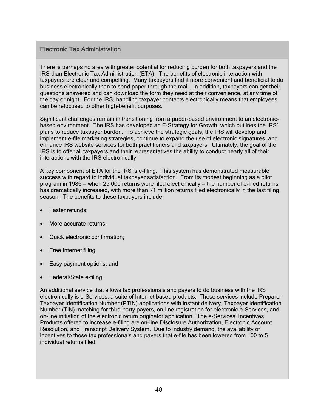## Electronic Tax Administration

There is perhaps no area with greater potential for reducing burden for both taxpayers and the IRS than Electronic Tax Administration (ETA). The benefits of electronic interaction with taxpayers are clear and compelling. Many taxpayers find it more convenient and beneficial to do business electronically than to send paper through the mail. In addition, taxpayers can get their questions answered and can download the form they need at their convenience, at any time of the day or night. For the IRS, handling taxpayer contacts electronically means that employees can be refocused to other high-benefit purposes.

Significant challenges remain in transitioning from a paper-based environment to an electronicbased environment. The IRS has developed an E-Strategy for Growth, which outlines the IRS' plans to reduce taxpayer burden. To achieve the strategic goals, the IRS will develop and implement e-file marketing strategies, continue to expand the use of electronic signatures, and enhance IRS website services for both practitioners and taxpayers. Ultimately, the goal of the IRS is to offer all taxpayers and their representatives the ability to conduct nearly all of their interactions with the IRS electronically.

A key component of ETA for the IRS is e-filing. This system has demonstrated measurable success with regard to individual taxpayer satisfaction. From its modest beginning as a pilot program in 1986 — when 25,000 returns were filed electronically — the number of e-filed returns has dramatically increased, with more than 71 million returns filed electronically in the last filing season. The benefits to these taxpayers include:

- Faster refunds;
- More accurate returns;
- Quick electronic confirmation;
- Free Internet filing;
- Easy payment options; and
- Federal/State e-filing.

An additional service that allows tax professionals and payers to do business with the IRS electronically is e-Services, a suite of Internet based products. These services include Preparer Taxpayer Identification Number (PTIN) applications with instant delivery, Taxpayer Identification Number (TIN) matching for third-party payers, on-line registration for electronic e-Services, and on-line initiation of the electronic return originator application. The e-Services' Incentives Products offered to increase e-filing are on-line Disclosure Authorization, Electronic Account Resolution, and Transcript Delivery System. Due to industry demand, the availability of incentives to those tax professionals and payers that e-file has been lowered from 100 to 5 individual returns filed.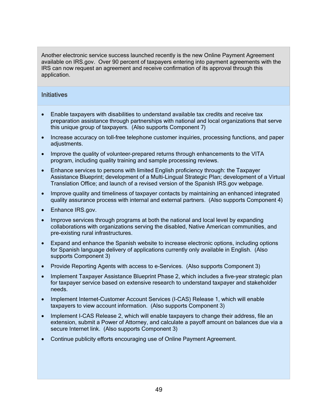Another electronic service success launched recently is the new Online Payment Agreement available on IRS.gov. Over 90 percent of taxpayers entering into payment agreements with the IRS can now request an agreement and receive confirmation of its approval through this application.

#### **Initiatives**

- Enable taxpayers with disabilities to understand available tax credits and receive tax preparation assistance through partnerships with national and local organizations that serve this unique group of taxpayers. (Also supports Component 7)
- Increase accuracy on toll-free telephone customer inquiries, processing functions, and paper adiustments.
- Improve the quality of volunteer-prepared returns through enhancements to the VITA program, including quality training and sample processing reviews.
- Enhance services to persons with limited English proficiency through: the Taxpayer Assistance Blueprint; development of a Multi-Lingual Strategic Plan; development of a Virtual Translation Office; and launch of a revised version of the Spanish IRS.gov webpage.
- Improve quality and timeliness of taxpayer contacts by maintaining an enhanced integrated quality assurance process with internal and external partners. (Also supports Component 4)
- Enhance IRS.gov.
- Improve services through programs at both the national and local level by expanding collaborations with organizations serving the disabled, Native American communities, and pre-existing rural infrastructures.
- Expand and enhance the Spanish website to increase electronic options, including options for Spanish language delivery of applications currently only available in English. (Also supports Component 3)
- Provide Reporting Agents with access to e-Services. (Also supports Component 3)
- Implement Taxpayer Assistance Blueprint Phase 2, which includes a five-year strategic plan for taxpayer service based on extensive research to understand taxpayer and stakeholder needs.
- Implement Internet-Customer Account Services (I-CAS) Release 1, which will enable taxpayers to view account information. (Also supports Component 3)
- Implement I-CAS Release 2, which will enable taxpayers to change their address, file an extension, submit a Power of Attorney, and calculate a payoff amount on balances due via a secure Internet link. (Also supports Component 3)
- Continue publicity efforts encouraging use of Online Payment Agreement.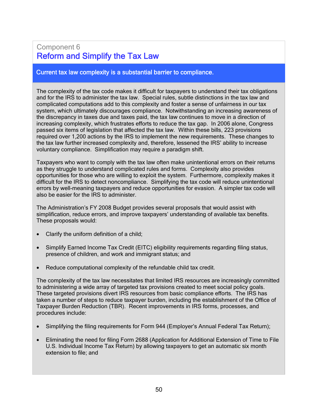# Component 6 Reform and Simplify the Tax Law

#### Current tax law complexity is a substantial barrier to compliance.

The complexity of the tax code makes it difficult for taxpayers to understand their tax obligations and for the IRS to administer the tax law. Special rules, subtle distinctions in the tax law and complicated computations add to this complexity and foster a sense of unfairness in our tax system, which ultimately discourages compliance. Notwithstanding an increasing awareness of the discrepancy in taxes due and taxes paid, the tax law continues to move in a direction of increasing complexity, which frustrates efforts to reduce the tax gap. In 2006 alone, Congress passed six items of legislation that affected the tax law. Within these bills, 223 provisions required over 1,200 actions by the IRS to implement the new requirements. These changes to the tax law further increased complexity and, therefore, lessened the IRS' ability to increase voluntary compliance. Simplification may require a paradigm shift.

Taxpayers who want to comply with the tax law often make unintentional errors on their returns as they struggle to understand complicated rules and forms. Complexity also provides opportunities for those who are willing to exploit the system. Furthermore, complexity makes it difficult for the IRS to detect noncompliance. Simplifying the tax code will reduce unintentional errors by well-meaning taxpayers and reduce opportunities for evasion. A simpler tax code will also be easier for the IRS to administer.

The Administration's FY 2008 Budget provides several proposals that would assist with simplification, reduce errors, and improve taxpayers' understanding of available tax benefits. These proposals would:

- Clarify the uniform definition of a child;
- Simplify Earned Income Tax Credit (EITC) eligibility requirements regarding filing status, presence of children, and work and immigrant status; and
- Reduce computational complexity of the refundable child tax credit.

The complexity of the tax law necessitates that limited IRS resources are increasingly committed to administering a wide array of targeted tax provisions created to meet social policy goals. These targeted provisions divert IRS resources from basic compliance efforts. The IRS has taken a number of steps to reduce taxpayer burden, including the establishment of the Office of Taxpayer Burden Reduction (TBR). Recent improvements in IRS forms, processes, and procedures include:

- Simplifying the filing requirements for Form 944 (Employer's Annual Federal Tax Return);
- Eliminating the need for filing Form 2688 (Application for Additional Extension of Time to File U.S. Individual Income Tax Return) by allowing taxpayers to get an automatic six month extension to file; and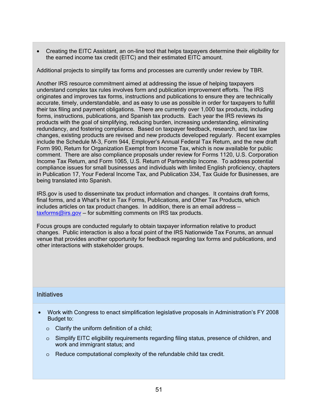• Creating the EITC Assistant, an on-line tool that helps taxpayers determine their eligibility for the earned income tax credit (EITC) and their estimated EITC amount.

Additional projects to simplify tax forms and processes are currently under review by TBR.

Another IRS resource commitment aimed at addressing the issue of helping taxpayers understand complex tax rules involves form and publication improvement efforts. The IRS originates and improves tax forms, instructions and publications to ensure they are technically accurate, timely, understandable, and as easy to use as possible in order for taxpayers to fulfill their tax filing and payment obligations. There are currently over 1,000 tax products, including forms, instructions, publications, and Spanish tax products. Each year the IRS reviews its products with the goal of simplifying, reducing burden, increasing understanding, eliminating redundancy, and fostering compliance. Based on taxpayer feedback, research, and tax law changes, existing products are revised and new products developed regularly. Recent examples include the Schedule M-3, Form 944, Employer's Annual Federal Tax Return, and the new draft Form 990, Return for Organization Exempt from Income Tax, which is now available for public comment. There are also compliance proposals under review for Forms 1120, U.S. Corporation Income Tax Return, and Form 1065, U.S. Return of Partnership Income. To address potential compliance issues for small businesses and individuals with limited English proficiency, chapters in Publication 17, Your Federal Income Tax, and Publication 334, Tax Guide for Businesses, are being translated into Spanish.

IRS.gov is used to disseminate tax product information and changes. It contains draft forms, final forms, and a What's Hot in Tax Forms, Publications, and Other Tax Products, which includes articles on tax product changes. In addition, there is an email address  $taxforms@irs.gov - for submitting comments on IRS tax products.$ 

Focus groups are conducted regularly to obtain taxpayer information relative to product changes. Public interaction is also a focal point of the IRS Nationwide Tax Forums, an annual venue that provides another opportunity for feedback regarding tax forms and publications, and other interactions with stakeholder groups.

### **Initiatives**

- Work with Congress to enact simplification legislative proposals in Administration's FY 2008 Budget to:
	- $\circ$  Clarify the uniform definition of a child;
	- o Simplify EITC eligibility requirements regarding filing status, presence of children, and work and immigrant status; and
	- o Reduce computational complexity of the refundable child tax credit.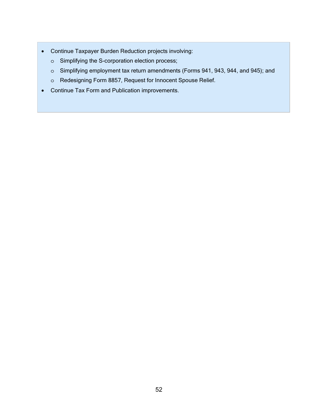- Continue Taxpayer Burden Reduction projects involving:
	- o Simplifying the S-corporation election process;
	- o Simplifying employment tax return amendments (Forms 941, 943, 944, and 945); and
	- o Redesigning Form 8857, Request for Innocent Spouse Relief.
- Continue Tax Form and Publication improvements.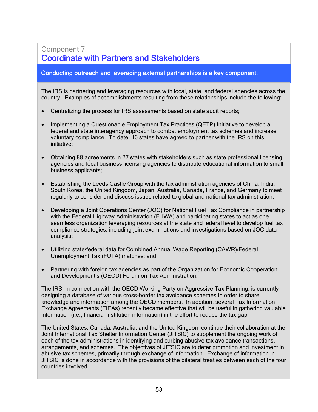# Component 7 Coordinate with Partners and Stakeholders

## Conducting outreach and leveraging external partnerships is a key component.

The IRS is partnering and leveraging resources with local, state, and federal agencies across the country. Examples of accomplishments resulting from these relationships include the following:

- Centralizing the process for IRS assessments based on state audit reports;
- Implementing a Questionable Employment Tax Practices (QETP) Initiative to develop a federal and state interagency approach to combat employment tax schemes and increase voluntary compliance. To date, 16 states have agreed to partner with the IRS on this initiative;
- Obtaining 88 agreements in 27 states with stakeholders such as state professional licensing agencies and local business licensing agencies to distribute educational information to small business applicants;
- Establishing the Leeds Castle Group with the tax administration agencies of China, India, South Korea, the United Kingdom, Japan, Australia, Canada, France, and Germany to meet regularly to consider and discuss issues related to global and national tax administration;
- Developing a Joint Operations Center (JOC) for National Fuel Tax Compliance in partnership with the Federal Highway Administration (FHWA) and participating states to act as one seamless organization leveraging resources at the state and federal level to develop fuel tax compliance strategies, including joint examinations and investigations based on JOC data analysis;
- Utilizing state/federal data for Combined Annual Wage Reporting (CAWR)/Federal Unemployment Tax (FUTA) matches; and
- Partnering with foreign tax agencies as part of the Organization for Economic Cooperation and Development's (OECD) Forum on Tax Administration.

The IRS, in connection with the OECD Working Party on Aggressive Tax Planning, is currently designing a database of various cross-border tax avoidance schemes in order to share knowledge and information among the OECD members. In addition, several Tax Information Exchange Agreements (TIEAs) recently became effective that will be useful in gathering valuable information (i.e., financial institution information) in the effort to reduce the tax gap.

The United States, Canada, Australia, and the United Kingdom continue their collaboration at the Joint International Tax Shelter Information Center (JITSIC) to supplement the ongoing work of each of the tax administrations in identifying and curbing abusive tax avoidance transactions, arrangements, and schemes. The objectives of JITSIC are to deter promotion and investment in abusive tax schemes, primarily through exchange of information. Exchange of information in JITSIC is done in accordance with the provisions of the bilateral treaties between each of the four countries involved.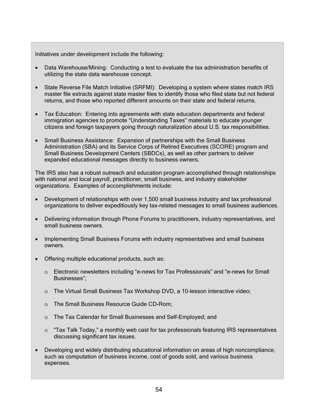Initiatives under development include the following:

- Data Warehouse/Mining: Conducting a test to evaluate the tax administration benefits of utilizing the state data warehouse concept.
- State Reverse File Match Initiative (SRFMI): Developing a system where states match IRS master file extracts against state master files to identify those who filed state but not federal returns, and those who reported different amounts on their state and federal returns.
- Tax Education: Entering into agreements with state education departments and federal immigration agencies to promote "Understanding Taxes" materials to educate younger citizens and foreign taxpayers going through naturalization about U.S. tax responsibilities.
- Small Business Assistance: Expansion of partnerships with the Small Business Administration (SBA) and its Service Corps of Retired Executives (SCORE) program and Small Business Development Centers (SBDCs), as well as other partners to deliver expanded educational messages directly to business owners.

The IRS also has a robust outreach and education program accomplished through relationships with national and local payroll, practitioner, small business, and industry stakeholder organizations. Examples of accomplishments include:

- Development of relationships with over 1,500 small business industry and tax professional organizations to deliver expeditiously key tax-related messages to small business audiences.
- Delivering information through Phone Forums to practitioners, industry representatives, and small business owners.
- Implementing Small Business Forums with industry representatives and small business owners.
- Offering multiple educational products, such as:
	- o Electronic newsletters including "e-news for Tax Professionals" and "e-news for Small Businesses";
	- o The Virtual Small Business Tax Workshop DVD, a 10-lesson interactive video;
	- o The Small Business Resource Guide CD-Rom;
	- o The Tax Calendar for Small Businesses and Self-Employed; and
	- o "Tax Talk Today," a monthly web cast for tax professionals featuring IRS representatives discussing significant tax issues.
- Developing and widely distributing educational information on areas of high noncompliance, such as computation of business income, cost of goods sold, and various business expenses.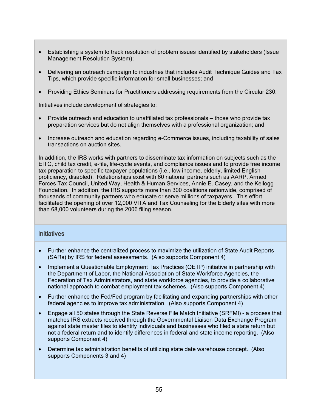- Establishing a system to track resolution of problem issues identified by stakeholders (Issue Management Resolution System);
- Delivering an outreach campaign to industries that includes Audit Technique Guides and Tax Tips, which provide specific information for small businesses; and
- Providing Ethics Seminars for Practitioners addressing requirements from the Circular 230.

Initiatives include development of strategies to:

- Provide outreach and education to unaffiliated tax professionals those who provide tax preparation services but do not align themselves with a professional organization; and
- Increase outreach and education regarding e-Commerce issues, including taxability of sales transactions on auction sites.

In addition, the IRS works with partners to disseminate tax information on subjects such as the EITC, child tax credit, e-file, life-cycle events, and compliance issues and to provide free income tax preparation to specific taxpayer populations (i.e., low income, elderly, limited English proficiency, disabled). Relationships exist with 60 national partners such as AARP, Armed Forces Tax Council, United Way, Health & Human Services, Annie E. Casey, and the Kellogg Foundation. In addition, the IRS supports more than 300 coalitions nationwide, comprised of thousands of community partners who educate or serve millions of taxpayers. This effort facilitated the opening of over 12,000 VITA and Tax Counseling for the Elderly sites with more than 68,000 volunteers during the 2006 filing season.

#### **Initiatives**

- Further enhance the centralized process to maximize the utilization of State Audit Reports (SARs) by IRS for federal assessments. (Also supports Component 4)
- Implement a Questionable Employment Tax Practices (QETP) initiative in partnership with the Department of Labor, the National Association of State Workforce Agencies, the Federation of Tax Administrators, and state workforce agencies, to provide a collaborative national approach to combat employment tax schemes. (Also supports Component 4)
- Further enhance the Fed/Fed program by facilitating and expanding partnerships with other federal agencies to improve tax administration. (Also supports Component 4)
- Engage all 50 states through the State Reverse File Match Initiative (SRFMI) a process that matches IRS extracts received through the Governmental Liaison Data Exchange Program against state master files to identify individuals and businesses who filed a state return but not a federal return and to identify differences in federal and state income reporting. (Also supports Component 4)
- Determine tax administration benefits of utilizing state date warehouse concept. (Also supports Components 3 and 4)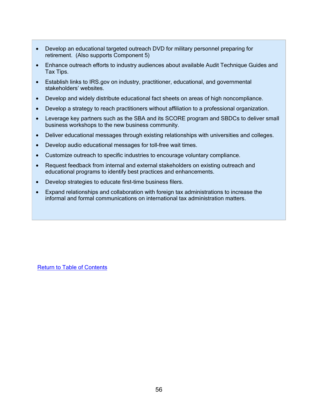- Develop an educational targeted outreach DVD for military personnel preparing for retirement. (Also supports Component 5)
- Enhance outreach efforts to industry audiences about available Audit Technique Guides and Tax Tips.
- Establish links to IRS.gov on industry, practitioner, educational, and governmental stakeholders' websites.
- Develop and widely distribute educational fact sheets on areas of high noncompliance.
- Develop a strategy to reach practitioners without affiliation to a professional organization.
- Leverage key partners such as the SBA and its SCORE program and SBDCs to deliver small business workshops to the new business community.
- Deliver educational messages through existing relationships with universities and colleges.
- Develop audio educational messages for toll-free wait times.
- Customize outreach to specific industries to encourage voluntary compliance.
- Request feedback from internal and external stakeholders on existing outreach and educational programs to identify best practices and enhancements.
- Develop strategies to educate first-time business filers.
- Expand relationships and collaboration with foreign tax administrations to increase the informal and formal communications on international tax administration matters.

Return to Table of Contents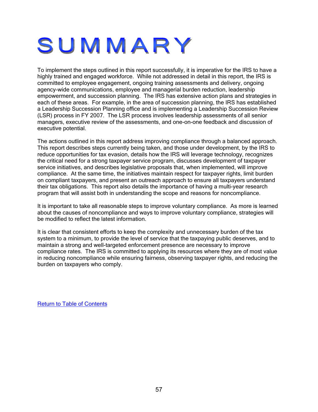# SUMMARY

To implement the steps outlined in this report successfully, it is imperative for the IRS to have a highly trained and engaged workforce. While not addressed in detail in this report, the IRS is committed to employee engagement, ongoing training assessments and delivery, ongoing agency-wide communications, employee and managerial burden reduction, leadership empowerment, and succession planning. The IRS has extensive action plans and strategies in each of these areas. For example, in the area of succession planning, the IRS has established a Leadership Succession Planning office and is implementing a Leadership Succession Review (LSR) process in FY 2007. The LSR process involves leadership assessments of all senior managers, executive review of the assessments, and one-on-one feedback and discussion of executive potential.

The actions outlined in this report address improving compliance through a balanced approach. This report describes steps currently being taken, and those under development, by the IRS to reduce opportunities for tax evasion, details how the IRS will leverage technology, recognizes the critical need for a strong taxpayer service program, discusses development of taxpayer service initiatives, and describes legislative proposals that, when implemented, will improve compliance. At the same time, the initiatives maintain respect for taxpayer rights, limit burden on compliant taxpayers, and present an outreach approach to ensure all taxpayers understand their tax obligations. This report also details the importance of having a multi-year research program that will assist both in understanding the scope and reasons for noncompliance.

It is important to take all reasonable steps to improve voluntary compliance. As more is learned about the causes of noncompliance and ways to improve voluntary compliance, strategies will be modified to reflect the latest information.

It is clear that consistent efforts to keep the complexity and unnecessary burden of the tax system to a minimum, to provide the level of service that the taxpaying public deserves, and to maintain a strong and well-targeted enforcement presence are necessary to improve compliance rates. The IRS is committed to applying its resources where they are of most value in reducing noncompliance while ensuring fairness, observing taxpayer rights, and reducing the burden on taxpayers who comply.

Return to Table of Contents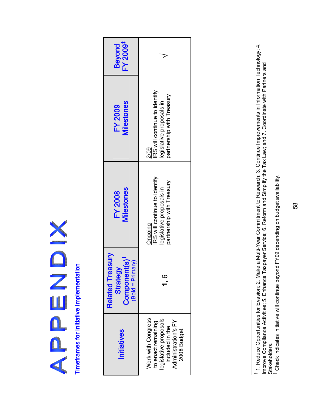NONDENS

Timeframes for Initiative Implementation Timeframes for Initiative Implementation

| FY 2009 <sup>‡</sup><br><b>Beyond</b>                                                  |                                                                                                                                   |
|----------------------------------------------------------------------------------------|-----------------------------------------------------------------------------------------------------------------------------------|
| Milestones<br><b>FY 2009</b>                                                           | RS will continue to identify<br>partnership with Treasury<br>egislative proposals in<br>$\frac{1}{2}$                             |
| <b>Milestones</b><br><b>FY 2008</b>                                                    | RS will continue to identify<br>partnership with Treasury<br>egislative proposals in<br>Dngoing                                   |
| <b>Related Treasury</b><br>Component(s) <sup>1</sup><br>$(Bold = Primary)$<br>Strategy |                                                                                                                                   |
| <b>Initiatives</b>                                                                     | <b>Nork with Congress</b><br>egislative proposals<br>to enact remaining<br>Administration's FY<br>included in the<br>2008 Budget. |

1. Reduce Opportunities for Evasion; 2. Make a Multi-Year Commitment to Research; 3. Continue Improvements in Information Technology; 4. 1. Reduce Opportunities for Evasion; 2. Make a Multi-Year Commitment to Research; 3. Continue Improvements in Information Technology; 4. Improve Compliance Activities; 5. Enhance Taxpayer Service; 6. Reform and Simplify the Tax Law; and 7. Coordinate with Partners and Improve Compliance Activities; 5. Enhance Taxpayer Service; 6. Reform and Simplify the Tax Law; and 7. Coordinate with Partners and Stakeholders.<br><sup>‡</sup> Check indicates initiative will continue beyond FY09 depending on budget availability. Stakeholders.

Check indicates initiative will continue beyond FY09 depending on budget availability.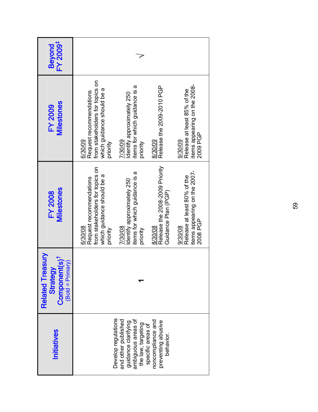| <b>Initiatives</b>                                                                                                                 | <b>Related Treasury</b><br>Component(s) <sup>†</sup><br>$(Bold = Primary)$<br>Strategy | Milestones<br><b>FY 2008</b>                                                                                    | <b>Milestones</b><br><b>FY 2009</b>                                                                             | FY 2009 <sup>‡</sup><br><b>Beyond</b> |
|------------------------------------------------------------------------------------------------------------------------------------|----------------------------------------------------------------------------------------|-----------------------------------------------------------------------------------------------------------------|-----------------------------------------------------------------------------------------------------------------|---------------------------------------|
|                                                                                                                                    |                                                                                        | from stakeholders for topics on<br>which guidance should be a<br>Request recommendations<br>6/30/08<br>priority | from stakeholders for topics on<br>which guidance should be a<br>Request recommendations<br>6/30/09<br>priority |                                       |
| Develop regulations<br>ambiguous areas of<br>the law, targeting<br>specific areas of<br>and other published<br>guidance clarifying |                                                                                        | items for which guidance is a<br>Identify approximately 250<br>7/30/08<br>priority                              | items for which guidance is a<br>Identify approximately 250<br>7/30/09<br>priority                              |                                       |
| noncompliance and<br>preventing abusive<br>behavior.                                                                               |                                                                                        | Release the 2008-2009 Priority<br>Guidance Plan (PGP)<br>8/30/08                                                | Release the 2009-2010 PGP<br>8/30/09                                                                            |                                       |
|                                                                                                                                    |                                                                                        | items appearing on the 2007-<br>Release at least 80% of the<br>2008 PGP<br>9/30/08                              | items appearing on the 2008-<br>Release at least 85% of the<br>2009 PGP<br>9/30/09                              |                                       |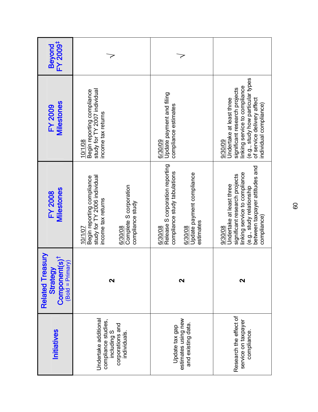| FY 2009 <sup>#</sup><br><b>Beyond</b>                                      |                                                                                                        |                                            |                                                                            |                                                   |                                                                                                                                                                                                    |
|----------------------------------------------------------------------------|--------------------------------------------------------------------------------------------------------|--------------------------------------------|----------------------------------------------------------------------------|---------------------------------------------------|----------------------------------------------------------------------------------------------------------------------------------------------------------------------------------------------------|
| Milestones<br><b>FY 2009</b>                                               | study for TY 2007 individual<br>Begin reporting compliance<br>income tax returns<br>10/1/08            |                                            | Update payment and filing<br>compliance estimates<br>6/30/09               |                                                   | (e.g., study how particular types<br>linking service to compliance<br>significant research projects<br>of service delivery affect<br>Undertake at least three<br>individual compliance)<br>9/30/09 |
| <b>Milestones</b><br><b>FY 2008</b>                                        | study for TY 2006 individual<br>Begin reporting compliance<br>income tax returns<br>6/30/08<br>10/1/07 | Complete S corporation<br>compliance study | Release S corporation reporting<br>compliance study tabulations<br>6/30/08 | Update payment compliance<br>estimates<br>6/30/08 | between taxpayer attitudes and<br>linking service to compliance<br>significant research projects<br>Undertake at least three<br>(e.g., study relationship<br>compliance)<br>9/30/08                |
| <b>Related Treasury</b><br>$Component(s)†$<br>(Bold = Primary)<br>Strategy | N                                                                                                      |                                            |                                                                            | $\mathbf{\Omega}$                                 | N                                                                                                                                                                                                  |
| <b>Initiatives</b>                                                         | Undertake additional<br>compliance studies,<br>corporations and<br>including S<br>individuals.         |                                            | Update tax gap                                                             | estimates using new<br>and existing data.         | Research the effect of<br>service on taxpayer<br>compliance.                                                                                                                                       |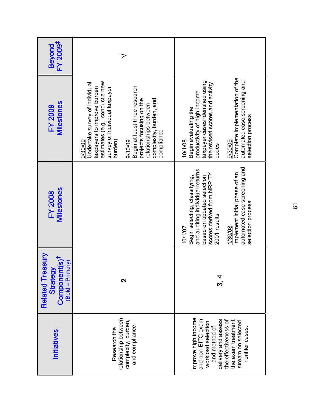| FY 2009 <sup>‡</sup><br><b>Beyond</b>                                           |                                                                                                                                                                                                                                                                                                  |                                                                                                                                                                                                                                                          |
|---------------------------------------------------------------------------------|--------------------------------------------------------------------------------------------------------------------------------------------------------------------------------------------------------------------------------------------------------------------------------------------------|----------------------------------------------------------------------------------------------------------------------------------------------------------------------------------------------------------------------------------------------------------|
| Milestones<br><b>FY 2009</b>                                                    | estimates (e.g., conduct a new<br>Undertake survey of individual<br>Begin at least three research<br>taxpayers to improve burden<br>survey of individual taxpayer<br>complexity, burden, and<br>projects focusing on the<br>relationships between<br>compliance<br>burden)<br>9/30/09<br>9/30/09 | Complete implementation of the<br>automated case screening and<br>taxpayer cases identified using<br>the revised scores and activity<br>productivity of high-income<br>Begin evaluating the<br>selection process<br>10/1/08<br>9/30/09<br>codes          |
| Milestones<br><b>FY 2008</b>                                                    |                                                                                                                                                                                                                                                                                                  | automated case screening and<br>and auditing individual returns<br>Implement initial phase of an<br>scores derived from NRP TY<br>based on updated selection<br>Begin selecting, classifying,<br>selection process<br>2001 results<br>1/30/08<br>10/1/07 |
| Related Treasury<br>Component(s) <sup>1</sup><br>$(Bold = Primary)$<br>Strategy | N                                                                                                                                                                                                                                                                                                | ડ<br>બ                                                                                                                                                                                                                                                   |
| <b>Initiatives</b>                                                              | relationship between<br>complexity, burden,<br>and compliance<br>Research the                                                                                                                                                                                                                    | Improve high income<br>and non-EITC exam<br>delivery and assess<br>the effectiveness of<br>the exam treatment<br>stream on selected<br>workload selection<br>and method of<br>nonfiler cases.                                                            |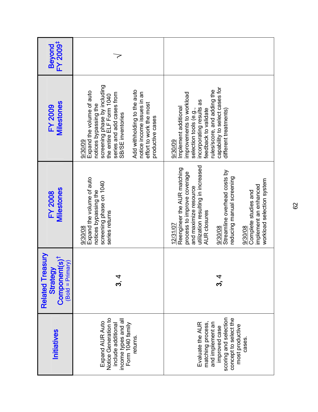| Beyond<br>FY 2009 <sup>‡</sup>                                                  |                                                                                                                                                                                                                                                                                         |                                                                                                                                                                                                                                                                                                                               |  |
|---------------------------------------------------------------------------------|-----------------------------------------------------------------------------------------------------------------------------------------------------------------------------------------------------------------------------------------------------------------------------------------|-------------------------------------------------------------------------------------------------------------------------------------------------------------------------------------------------------------------------------------------------------------------------------------------------------------------------------|--|
| <b>Milestones</b><br><b>FY 2009</b>                                             | screening phase by including<br>Add withholding to the auto<br>Expand the volume of auto<br>notice income issues in an<br>series and add cases from<br>the entire ELF Form 1040<br>effort to work the most<br>notices bypassing the<br>SB/SE inventories<br>productive cases<br>9/30/09 | capability to select cases for<br>rules/score, and adding the<br>improvements to workload<br>incorporating results as<br>Implement additional<br>selection tools (e.g.,<br>feedback to validate<br>different treatments)<br>9/30/09                                                                                           |  |
| Milestones<br><b>FY 2008</b>                                                    | Expand the volume of auto<br>screening phase on 1040<br>notices bypassing the<br>series returns<br>9/30/08                                                                                                                                                                              | utilization resulting in increased<br>Reengineer the AUR matching<br>Streamline overhead costs by<br>process to improve coverage<br>reducing manual screening<br>workload selection system<br>implement an enhanced<br>and maximize resource<br>Complete studies and<br><b>AUR</b> closures<br>12/31/07<br>9/30/08<br>9/30/08 |  |
| Related Treasury<br>Component(s) <sup>†</sup><br>$(Bold = Primary)$<br>Strategy |                                                                                                                                                                                                                                                                                         | ર<br>પ                                                                                                                                                                                                                                                                                                                        |  |
| Initiatives                                                                     | Notice Generation to<br>income types and all<br>Form 1040 family<br>Expand AUR Auto<br>include additional<br>returns.                                                                                                                                                                   | scoring and selection<br>concept to select the<br>Evaluate the AUR<br>and implement an<br>matching process,<br>most productive<br>improved case<br>cases.                                                                                                                                                                     |  |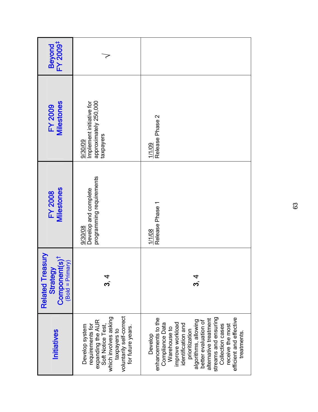| <b>Initiatives</b>                                                                                                                                                                                                                                                                                              | <b>Anse</b><br>Component(s) <sup>t</sup><br>$(Bold = Primary)$<br>Strategy<br><b>Related Tre</b> | <b>Milestones</b><br><b>FY 2008</b>                         | <b>Milestones</b><br><b>FY 2009</b>                                       | Beyond<br>FY 2009 <sup>‡</sup> |
|-----------------------------------------------------------------------------------------------------------------------------------------------------------------------------------------------------------------------------------------------------------------------------------------------------------------|--------------------------------------------------------------------------------------------------|-------------------------------------------------------------|---------------------------------------------------------------------------|--------------------------------|
| voluntarily self-correct<br>which involves asking<br>expanding the AUR<br>Develop system<br>requirements for<br>Soft Notice Test<br>for future years.<br>taxpayers to                                                                                                                                           | પ<br>વ                                                                                           | programming requirements<br>Develop and complete<br>9/30/08 | approximately 250,000<br>Implement initiative for<br>taxpayers<br>9/30/09 |                                |
| streams and ensuring<br>enhancements to the<br>efficient and effective<br>alternative treatment<br>algorithms, allowing<br>better evaluation of<br>improve workload<br>Compliance Data<br>identification and<br>Collection cases<br>receive the most<br>Warehouse to<br>prioritization<br>treatments<br>Develop | ಬ<br>4                                                                                           | Release Phase 1<br>1/1/08                                   | Release Phase 2<br>1/1/09                                                 |                                |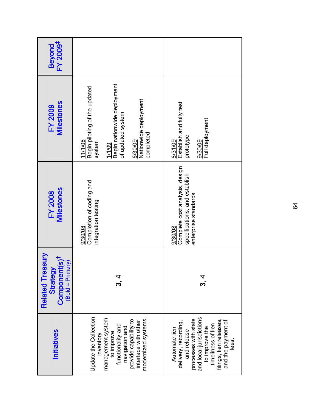| Beyond<br>FY 2009 <sup>‡</sup>                                                             |                                                                                                                                                                                      |                                                                                                                                                                                                           |
|--------------------------------------------------------------------------------------------|--------------------------------------------------------------------------------------------------------------------------------------------------------------------------------------|-----------------------------------------------------------------------------------------------------------------------------------------------------------------------------------------------------------|
| <b>Milestones</b><br><b>FY 2009</b>                                                        | Begin nationwide deployment<br>Begin piloting of the updated<br>Nationwide deployment<br>of updated system<br>completed<br>6/30/09<br>11/1/08<br>system<br>1/1/09                    | Establish and fully test<br>Full deployment<br>prototype<br>8/31/09<br>9/30/09                                                                                                                            |
| Milestones<br><b>FY 2008</b>                                                               | Completion of coding and<br>integration testing<br>9/30/08                                                                                                                           | Complete cost analysis, design<br>specifications, and establish<br>enterprise standards<br>9/30/08                                                                                                        |
| <b>Related Treasury</b><br>Component(s) <sup>†</sup><br>$($ Bold = Primary $)$<br>Strategy | ಬ<br>ಬ                                                                                                                                                                               | ಬ<br>4                                                                                                                                                                                                    |
| Initiatives                                                                                | Update the Collection<br>management system<br>modernized systems.<br>provide capability to<br>interface with other<br>functionality and<br>navigation and<br>to improve<br>inventory | processes with state<br>and local jurisdictions<br>filings, lien releases,<br>and the payment of<br>fees.<br>delivery, recording,<br>timeliness of lien<br>to improve the<br>Automate lien<br>and release |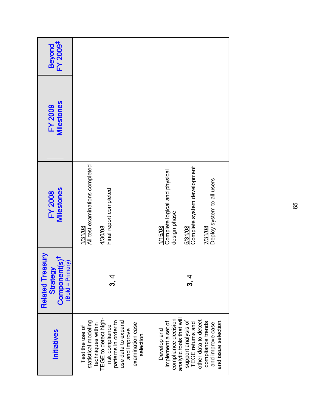| Beyond<br>FY 2009 <sup>‡</sup>                                                                   |                                                                                                                                                                                                        |                                                                                                                                                                                                                                 |
|--------------------------------------------------------------------------------------------------|--------------------------------------------------------------------------------------------------------------------------------------------------------------------------------------------------------|---------------------------------------------------------------------------------------------------------------------------------------------------------------------------------------------------------------------------------|
| <b>Milestones</b><br><b>FY 2009</b>                                                              |                                                                                                                                                                                                        |                                                                                                                                                                                                                                 |
| Milestones<br><b>FY 2008</b>                                                                     | All test examinations completed<br>Final report completed<br>4/30/08<br>1/31/08                                                                                                                        | Complete system development<br>Complete logical and physical<br>Deploy system to all users<br>design phase<br>7/31/08<br>1/15/08<br>5/31/08                                                                                     |
| <b>Anse</b><br>Component(s) <sup>t</sup><br>$(Bold = Primary)$<br>Strategy<br><b>Related Tre</b> | પ<br>પ                                                                                                                                                                                                 | ને<br>એ                                                                                                                                                                                                                         |
| Initiatives                                                                                      | TEGE to detect high-<br>statistical modeling<br>use data to expand<br>patterns in order to<br>examination case<br>techniques within<br>risk compliance<br>Test the use of<br>and improve<br>selection. | analytic tools that will<br>compliance decision<br>other data to detect<br>and issue selection.<br>support analysis of<br>implement a set of<br>compliance trends<br><b>TEGE</b> returns and<br>and improve case<br>Develop and |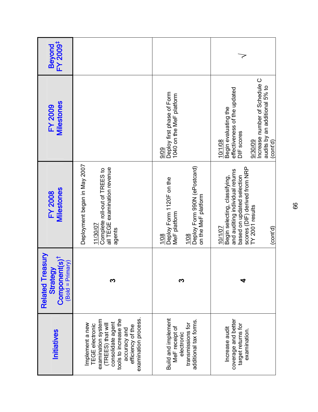| FY 2009 <sup>#</sup><br><b>Beyond</b>                                                  |                                                                                                                                                                                                       |                                                                                                                 |                                                                                                                                                                           |
|----------------------------------------------------------------------------------------|-------------------------------------------------------------------------------------------------------------------------------------------------------------------------------------------------------|-----------------------------------------------------------------------------------------------------------------|---------------------------------------------------------------------------------------------------------------------------------------------------------------------------|
| <b>Milestones</b><br><b>FY 2009</b>                                                    |                                                                                                                                                                                                       | Deploy first phase of Form<br>1040 on the MeF platform<br>9/09                                                  | Increase number of Schedule C<br>audits by an additional 5% to<br>effectiveness of the updated<br>Begin evaluating the<br>DIF scores<br>10/1/08<br>9/30/09<br>(cont'd)    |
| <b>Milestones</b><br><b>FY 2008</b>                                                    | Deployment began in May 2007<br>all TEGE examination revenue<br>Complete roll-out of TREES to<br>11/30/07<br>agents                                                                                   | Deploy Form 990N (ePostcard)<br>Deploy Form 1120F on the<br>on the MeF platform<br>MeF platform<br>1/08<br>1/08 | scores (DIF) derived from NRP<br>and auditing individual returns<br>Begin selecting, classifying,<br>based on updated selection<br>TY 2001 results<br>(cont'd)<br>10/1/07 |
| <b>Related Treasury</b><br>Component(s) <sup>†</sup><br>$(Bold = Primary)$<br>Strategy | ო                                                                                                                                                                                                     |                                                                                                                 | đ                                                                                                                                                                         |
| Initiatives                                                                            | examination process.<br>tools to increase the<br>examination system<br>consolidate agent<br>Implement a new<br>(TREES) that will<br><b>TEGE</b> electronic<br>efficiency of the<br>pue <i>foemase</i> | Build and implement<br>additional tax forms.<br>transmissions for<br>MeF receipt of<br>electronic               | coverage and better<br>target returns for<br>Increase audit<br>examination.                                                                                               |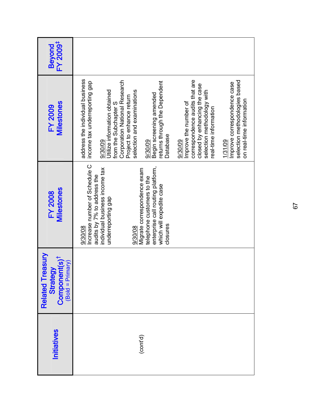| FY 2009 <sup>‡</sup><br><b>Beyond</b>                                                  |                                                                                                                                                                                                                                                                                                                                                                                                                                                                                                                                                                                                |
|----------------------------------------------------------------------------------------|------------------------------------------------------------------------------------------------------------------------------------------------------------------------------------------------------------------------------------------------------------------------------------------------------------------------------------------------------------------------------------------------------------------------------------------------------------------------------------------------------------------------------------------------------------------------------------------------|
| <b>Milestones</b><br><b>FY 2009</b>                                                    | address the individual business<br>correspondence audits that are<br>Corporation National Research<br>selection methodologies based<br>income tax underreporting gap<br>returns through the Dependent<br>Improve correspondence case<br>closed by enhancing the case<br>Utilize information obtained<br>selection and examinations<br>selection methodology with<br>Begin screening amended<br>Project to enhance return<br>on real-time information<br>Improve the number of<br>from the Subchapter S<br>real-time information<br><b>Database</b><br>1/31/09<br>9/30/09<br>9/30/09<br>9/30/09 |
| <b>Milestones</b><br><b>FY 2008</b>                                                    | Increase number of Schedule C<br>enterprise call routing platform,<br>individual business income tax<br>Migrate correspondence exam<br>audits by 7% to address the<br>telephone customers to the<br>which will expedite case<br>underreporting gap<br>closures<br>9/30/08<br>9/30/08                                                                                                                                                                                                                                                                                                           |
| <b>Related Treasury</b><br>Component(s) <sup>†</sup><br>$(Bold = Primary)$<br>Strategy |                                                                                                                                                                                                                                                                                                                                                                                                                                                                                                                                                                                                |
| <b>Initiatives</b>                                                                     | (cont'd)                                                                                                                                                                                                                                                                                                                                                                                                                                                                                                                                                                                       |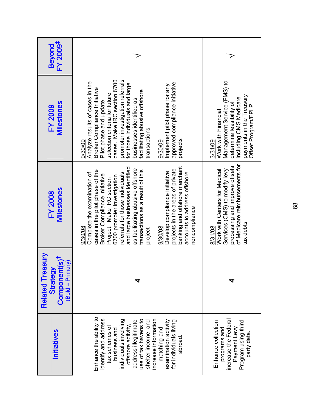| FY 2009 <sup>‡</sup><br><b>Beyond</b>                                                  |                                                                                                                                                                                                                                                                                                                                                                                                                                                                                                  |                                                                                                                                                                        |
|----------------------------------------------------------------------------------------|--------------------------------------------------------------------------------------------------------------------------------------------------------------------------------------------------------------------------------------------------------------------------------------------------------------------------------------------------------------------------------------------------------------------------------------------------------------------------------------------------|------------------------------------------------------------------------------------------------------------------------------------------------------------------------|
| <b>Milestones</b><br><b>FY 2009</b>                                                    | promoter investigation referrals<br>cases. Make IRC section 6700<br>Analyze results of cases in the<br>approved compliance initiative<br>for those individuals and large<br>Implement pilot phase for any<br>Broker Compliance Initiative<br>facilitating abusive offshore<br>selection criteria for future<br>businesses identified as<br>Pilot phase and update<br>transactions<br>projects<br>9/30/09<br>9/30/09                                                                              | Management Service (FMS) to<br>payments in the Treasury<br>including CMS Medicare<br>determine feasibility of<br>Offset Program/FPLP<br>Work with Financial<br>3/31/09 |
| <b>Milestones</b><br><b>FY 2008</b>                                                    | banking and offshore merchant<br>and large businesses identified<br>as facilitating abusive offshore<br>projects in the areas of private<br>cases in the pilot phase of the<br>transactions as a result of this<br>Develop compliance initiative<br>accounts to address offshore<br>Complete the examination of<br>referrals for those individuals<br>Broker Compliance Initiative<br>6700 promoter investigation<br>Project. Make IRC section<br>noncompliance<br>9/30/08<br>9/30/08<br>project | of Medicare reimbursements for<br>processing and improve offsets<br>Services (CMS) to modify levy<br>Work with Centers for Medical<br>tax debts<br>8/31/08             |
| <b>Related Treasury</b><br>Component(s) <sup>t</sup><br>$(Bold = Primary)$<br>Strategy |                                                                                                                                                                                                                                                                                                                                                                                                                                                                                                  |                                                                                                                                                                        |
| <b>Initiatives</b>                                                                     | Enhance the ability to<br>increase information<br>identify and address<br>individuals involving<br>use of tax havens to<br>examination activity<br>for individuals living<br>address illegitimate<br>shelter income, and<br>offshore activity<br>tax schemes of<br>business and<br>matching and<br>abroad                                                                                                                                                                                        | Program using third-<br>increase the Federal<br>Enhance collection<br>programs and<br>Payment Levy<br>party data.                                                      |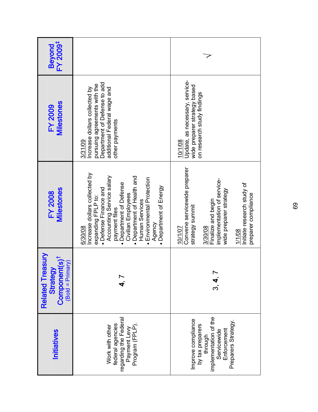| FY 2009 <sup>‡</sup><br><b>Beyond</b>                                                      |                                                                                                                                                                                                                                                                                                                            |                                                                                                                                                                                                                    |  |
|--------------------------------------------------------------------------------------------|----------------------------------------------------------------------------------------------------------------------------------------------------------------------------------------------------------------------------------------------------------------------------------------------------------------------------|--------------------------------------------------------------------------------------------------------------------------------------------------------------------------------------------------------------------|--|
| <b>Milestones</b><br><b>FY 2009</b>                                                        | Department of Defense to add<br>pursuing agreements with the<br>additional Federal wage and<br>Increase dollars collected by<br>other payments<br>3/31/09                                                                                                                                                                  | Update, as necessary, service-<br>wide preparer strategy based<br>on research study findings<br>10/1/08                                                                                                            |  |
| Milestones<br><b>FY 2008</b>                                                               | Increase dollars collected by<br>Accounting Service salary<br>Department of Health and<br>Environmental Protection<br>Department of Defense<br>Department of Energy<br>• Defense Finance and<br>Civilian Employees<br>expanding FPLP to:<br>Human Services<br>payment files<br>Agency<br>6/30/08<br>$\bullet$<br>$\bullet$ | Convene servicewide preparer<br>implementation of service-<br>Initiate research study of<br>wide preparer strategy<br>preparer compliance<br>Finalize and begin<br>strategy summit<br>3/30/08<br>10/1/07<br>1/1/08 |  |
| <b>Related Treasury</b><br>Component(s) <sup>†</sup><br>$($ Bold = Primary $)$<br>Strategy |                                                                                                                                                                                                                                                                                                                            | .<br>က                                                                                                                                                                                                             |  |
| <b>Initiatives</b>                                                                         | regarding the Federal<br>federal agencies<br>Program (FPLP).<br>Work with other<br>Payment Levy                                                                                                                                                                                                                            | implementation of the<br>Improve compliance<br>Preparers Strategy.<br>by tax preparers<br>Enforcement<br>Servicewide<br>through                                                                                    |  |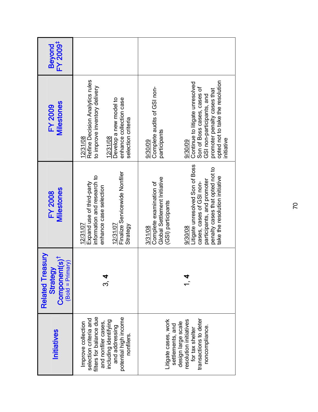| FY 2009 <sup>‡</sup><br><b>Beyond</b>                                                      |                                                                                                                                                                                  |                                                                                                                                                                                                                                                                       |
|--------------------------------------------------------------------------------------------|----------------------------------------------------------------------------------------------------------------------------------------------------------------------------------|-----------------------------------------------------------------------------------------------------------------------------------------------------------------------------------------------------------------------------------------------------------------------|
| <b>Milestones</b><br><b>FY 2009</b>                                                        | Refine Decision Analytics rules<br>to improve inventory delivery<br>Develop a new model to<br>enhance collection case<br>selection criteria<br>12/31/08<br>12/31/08              | opted not to take the resolution<br>Continue to litigate unresolved<br>Complete audits of GSI non-<br>Son of Boss cases, cases of<br>promoter penalty cases that<br>GSI non-participants, and<br>participants<br>initiative<br>9/30/09<br>9/30/09                     |
| Milestones<br><b>FY 2008</b>                                                               | Finalize Servicewide Nonfiler<br>information and research to<br>Expand use of third-party<br>enhance case selection<br>12/31/07<br>12/31/07<br>Strategy                          | Litigate unresolved Son of Boss<br>penalty cases that opted not to<br>take the resolution initiative<br>Global Settlement Initiative<br>participants, and promoter<br>Complete examination of<br>cases, cases of GSI non-<br>(GSI) participants<br>3/31/08<br>9/30/08 |
| <b>Related Treasury</b><br>Component(s) <sup>1</sup><br>$($ Bold = Primary $)$<br>Strategy |                                                                                                                                                                                  |                                                                                                                                                                                                                                                                       |
| <b>Initiatives</b>                                                                         | filters for balance due<br>potential high income<br>selection criteria and<br>and nonfiler cases,<br>including identifying<br>Improve collection<br>and addressing<br>nonfilers. | Litigate cases, work<br>transactions to deter<br>design large scale<br>resolution initiatives<br>settlements, and<br>noncompliance.<br>for tax shelter                                                                                                                |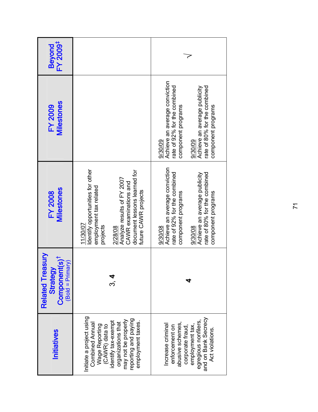| FY 2009 <sup>‡</sup><br><b>Beyond</b>                                                      |                                                                                                                                                                                                              |                                                                                                                                                                                                 |  |
|--------------------------------------------------------------------------------------------|--------------------------------------------------------------------------------------------------------------------------------------------------------------------------------------------------------------|-------------------------------------------------------------------------------------------------------------------------------------------------------------------------------------------------|--|
| <b>Milestones</b><br><b>FY 2009</b>                                                        |                                                                                                                                                                                                              | Achieve an average conviction<br>rate of 92% for the combined<br>rate of 80% for the combined<br>Achieve an average publicity<br>component programs<br>component programs<br>9/30/09<br>9/30/09 |  |
| <b>Milestones</b><br><b>FY 2008</b>                                                        | Identify opportunities for other<br>document lessons learned for<br>Analyze results of FY 2007<br>CAWR examinations and<br>employment tax related<br>future CAWR projects<br>11/30/07<br>projects<br>2/28/08 | Achieve an average conviction<br>rate of 92% for the combined<br>rate of 80% for the combined<br>Achieve an average publicity<br>component programs<br>component programs<br>9/30/08<br>9/30/08 |  |
| <b>Related Treasury</b><br>Component(s) <sup>†</sup><br>$($ Bold = Primary $)$<br>Strategy |                                                                                                                                                                                                              |                                                                                                                                                                                                 |  |
| <b>Initiatives</b>                                                                         | Initiate a project using<br>may not be properly<br>reporting and paying<br>identify tax-exempt<br>employment taxes<br>organizations that<br><b>Combined Annual</b><br>Wage Reporting<br>(CAWR) data to       | and on Bank Secrecy<br>egregious nonfilers<br>Increase criminal<br>abusive schemes<br>employment tax,<br>corporate fraud,<br>enforcement on<br>Act violations.                                  |  |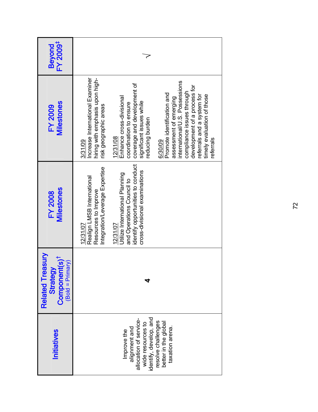| FY 2009 <sup>‡</sup><br><b>Beyond</b>                                                  |                                                                                                                                                                                                                                                                                                                                                                                                                                                                                                   |  |  |
|----------------------------------------------------------------------------------------|---------------------------------------------------------------------------------------------------------------------------------------------------------------------------------------------------------------------------------------------------------------------------------------------------------------------------------------------------------------------------------------------------------------------------------------------------------------------------------------------------|--|--|
| <b>Milestones</b><br><b>FY 2009</b>                                                    | Increase International Examiner<br>hiring with emphasis upon high-<br>international/U.S. Possessions<br>coverage and development of<br>development of a process for<br>compliance issues through<br>Promote identification and<br>referrals and a system for<br>timely evaluation of those<br>Enhance cross-divisional<br>assessment of emerging<br>significant issues while<br>coordination to ensure<br>risk geographic areas<br>reducing burden<br>12/31/08<br>referrals<br>3/31/09<br>6/30/09 |  |  |
| <b>Milestones</b><br><b>FY 2008</b>                                                    | identify opportunities to conduct<br>Integration/Leverage Expertise<br>cross-divisional examinations<br>Utilize International Planning<br>Realign LMSB International<br>and Operations Council to<br>Resources to Improve<br>12/31/07<br>12/31/07                                                                                                                                                                                                                                                 |  |  |
| <b>Related Treasury</b><br>Component(s) <sup>†</sup><br>$(Bold = Primary)$<br>Strategy |                                                                                                                                                                                                                                                                                                                                                                                                                                                                                                   |  |  |
| <b>Initiatives</b>                                                                     | identify, develop, and<br>allocation of service-<br>resolve challenges<br>better in the global<br>wide resources to<br>taxation arena.<br>alignment and<br>Improve the                                                                                                                                                                                                                                                                                                                            |  |  |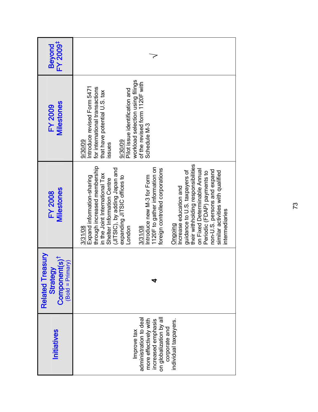| FY 2009 <sup>‡</sup><br><b>Beyond</b>                                                      |                                                                                                                                                                                                                                                                                                                                                                                                                                                                                                                                                                                               |
|--------------------------------------------------------------------------------------------|-----------------------------------------------------------------------------------------------------------------------------------------------------------------------------------------------------------------------------------------------------------------------------------------------------------------------------------------------------------------------------------------------------------------------------------------------------------------------------------------------------------------------------------------------------------------------------------------------|
| <b>Milestones</b><br><b>FY 2009</b>                                                        | workload selection using filings<br>of the revised form 1120F with<br>Introduce revised Form 5471<br>for international transactions<br>Pilot issue identification and<br>that have potential U.S. tax<br>Schedule M-3<br>9/30/09<br>9/30/09<br>issues                                                                                                                                                                                                                                                                                                                                         |
| <b>Milestones</b><br><b>FY 2008</b>                                                        | their withholding responsibilities<br>through increased membership<br>1120F to gather information on<br>(JITSIC), by adding Japan and<br>foreign controlled corporations<br>on Fixed Determinable Annual<br>guidance to U.S. taxpayers of<br>non-U.S. persons and expand<br>similar activities with qualified<br>Periodic (FDAP) payments to<br>in the Joint International Tax<br>Introduce new M-3 for Form<br>Expand information-sharing<br>expanding JITSIC offices to<br>Shelter Information Centre<br>Increase education and<br>ntermediaries<br>Ongoing<br>3/31/08<br>London<br>3/31/08 |
| <b>Related Treasury</b><br>Component(s) <sup>†</sup><br>$($ Bold = Primary $)$<br>Strategy |                                                                                                                                                                                                                                                                                                                                                                                                                                                                                                                                                                                               |
| Initiatives                                                                                | on globalization by all<br>administration to dea<br>more effectively with<br>increased emphasis<br>individual taxpayers.<br>corporate and<br>Improve tax                                                                                                                                                                                                                                                                                                                                                                                                                                      |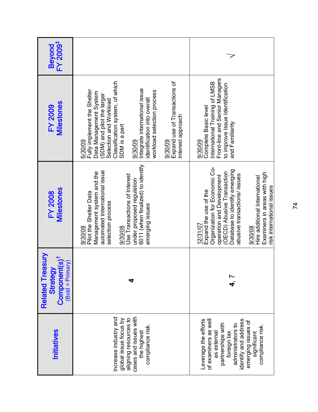| FY 2009 <sup>‡</sup><br>Beyond                                                  |                                                                                                                                                                                                                                                                                                                                                        |                                                                                                                                                                                                                                                                                                         |  |
|---------------------------------------------------------------------------------|--------------------------------------------------------------------------------------------------------------------------------------------------------------------------------------------------------------------------------------------------------------------------------------------------------------------------------------------------------|---------------------------------------------------------------------------------------------------------------------------------------------------------------------------------------------------------------------------------------------------------------------------------------------------------|--|
| Milestones<br><b>FY 2009</b>                                                    | Classification system, of which<br>Expand use of Transactions of<br>Integrate international issue<br>Fully implement the Shelter<br>workload selection process<br>Data Management System<br>(SDM) and pilot the larger<br>identification into overall<br>Selection and Workload<br>Interest approach<br>SDM is a part<br>6/30/09<br>9/30/09<br>9/30/09 | Front-line and Senior Managers<br>International Training of LMSB<br>to improve Issue Identification<br>Complete Basic level<br>and Familiarity<br>9/30/09                                                                                                                                               |  |
| <b>Milestones</b><br><b>FY 2008</b>                                             | 6011 (when finalized) to identify<br>automated international issue<br>Management system and the<br>Use Transactions of Interest<br>under proposed regulation<br>Pilot the Shelter Data<br>selection process<br>emerging issues<br>9/30/08<br>9/30/08                                                                                                   | Organization for Economic Co-<br>Database to identify emerging<br>(OECD) Abusive Transaction<br>Examiners in areas with high<br>abusive transactions/ issues<br>operation and Development<br>Hire additional International<br>risk international issues<br>Expand the use of the<br>12/31/07<br>9/30/08 |  |
| Related Treasury<br>Component(s) <sup>†</sup><br>$(Bold = Primary)$<br>Strategy |                                                                                                                                                                                                                                                                                                                                                        |                                                                                                                                                                                                                                                                                                         |  |
| <b>Initiatives</b>                                                              | cases and issues with<br>Increase industry and<br>aligning resources to<br>global issue focus by<br>compliance risk.<br>the highest                                                                                                                                                                                                                    | Leverage the efforts<br>of examiners as well<br>identify and address<br>emerging issues of<br>partnerships with<br>administrators to<br>compliance risk.<br>foreign tax<br>as external<br>significant                                                                                                   |  |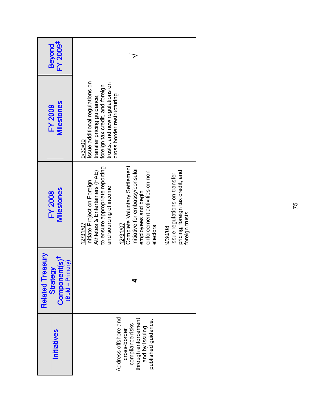| FY 2009 <sup>‡</sup><br><b>Beyond</b>                                                  |                                                                                                                                                                                                                                                                                                                                                                                              |  |  |
|----------------------------------------------------------------------------------------|----------------------------------------------------------------------------------------------------------------------------------------------------------------------------------------------------------------------------------------------------------------------------------------------------------------------------------------------------------------------------------------------|--|--|
| <b>Milestones</b><br><b>FY 2009</b>                                                    | ssue additional regulations on<br>trusts, and new regulations on<br>foreign tax credit, and foreign<br>cross border restructuring<br>transfer pricing guidance,<br>9/30/09                                                                                                                                                                                                                   |  |  |
| Milestones<br><b>FY 2008</b>                                                           | Complete Voluntary Settlement<br>to ensure appropriate reporting<br>Initiative for embassy/consular<br>enforcement activities on non-<br>pricing, foreign tax credit, and<br>Athletes & Entertainers (FAE)<br>Issue regulations on transfer<br>Initiate Project on Foreign<br>and sourcing of income<br>employees and begin<br>foreign trusts<br>12/31/07<br>12/31/07<br>electors<br>9/30/08 |  |  |
| <b>Related Treasury</b><br>Component(s) <sup>†</sup><br>$(Bold = Primary)$<br>Strategy |                                                                                                                                                                                                                                                                                                                                                                                              |  |  |
| <b>Initiatives</b>                                                                     | Address offshore and<br>through enforcement<br>published guidance.<br>compliance risks<br>and by issuing<br>cross-border                                                                                                                                                                                                                                                                     |  |  |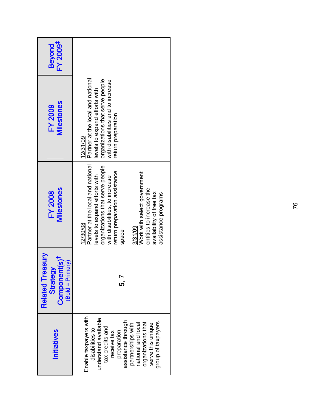| <b>Initiatives</b>                                                                                                                                                                                                                                  | <b>Related Treasury</b><br>Component(s) <sup>†</sup><br>$(Bold = Primary)$<br>Strategy | Milestones<br><b>FY 2008</b>                                                                                                                                                                                                                                                                                           | Milestones<br><b>FY 2009</b>                                                                                                                                                | FY 2009 <sup>‡</sup><br><b>Beyond</b> |
|-----------------------------------------------------------------------------------------------------------------------------------------------------------------------------------------------------------------------------------------------------|----------------------------------------------------------------------------------------|------------------------------------------------------------------------------------------------------------------------------------------------------------------------------------------------------------------------------------------------------------------------------------------------------------------------|-----------------------------------------------------------------------------------------------------------------------------------------------------------------------------|---------------------------------------|
| Enable taxpayers with<br>understand available<br>assistance through<br>group of taxpayers<br>organizations that<br>serve this unique<br>national and local<br>partnerships with<br>tax credits and<br>disabilities to<br>preparation<br>receive tax |                                                                                        | Partner at the local and national<br>organizations that serve people<br>return preparation assistance<br>Work with select government<br>levels to expand efforts with<br>with disabilities, to increase<br>entities to increase the<br>availability of free tax<br>assistance programs<br>12/30/08<br>3/31/09<br>space | Partner at the local and national<br>organizations that serve people<br>with disabilities and to increase<br>evels to expand efforts with<br>return preparation<br>12/31/09 |                                       |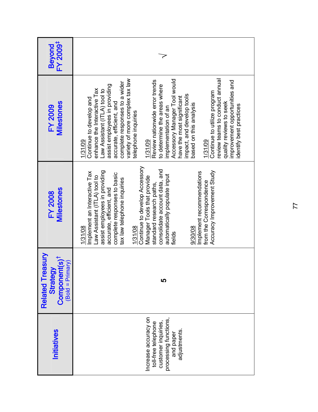| FY 2009 <sup>‡</sup><br><b>Beyond</b>                                                  |                                                                                                                                                                                                                                                                                                                                                                                                                                                                                                                                                                                                                                                       |
|----------------------------------------------------------------------------------------|-------------------------------------------------------------------------------------------------------------------------------------------------------------------------------------------------------------------------------------------------------------------------------------------------------------------------------------------------------------------------------------------------------------------------------------------------------------------------------------------------------------------------------------------------------------------------------------------------------------------------------------------------------|
| <b>Milestones</b><br><b>FY 2009</b>                                                    | review teams to conduct annual<br>variety of more complex tax law<br>Accessory Manager Tool would<br>Review nationwide error trends<br>improvement opportunities and<br>complete responses to a wider<br>assist employees in providing<br>to determine the areas where<br>enhance the Interactive Tax<br>Law Assistant (ITLA) tool to<br>Continue to utilize program<br>impact, and develop tools<br>have the most significant<br>Continue to develop and<br>accurate, efficient, and<br>quality reviews to seek<br>based on this analysis<br>identify best practices<br>implementation of an<br>telephone inquiries<br>1/31/09<br>1/31/09<br>1/31/09 |
| Milestones<br><b>FY 2008</b>                                                           | Continue to develop Accessory<br>consolidate account data, and<br>Accuracy Improvement Study<br>assist employees in providing<br>Implement an Interactive Tax<br>Implement recommendations<br>complete responses to basic<br>automatically populate input<br>Law Assistant (ITLA) tool to<br>Manager Tools that provide<br>tax law telephone inquiries<br>from the Correspondence<br>standard research paths,<br>accurate, efficient, and<br>1/31/08<br>9/30/08<br>1/31/08<br>fields                                                                                                                                                                  |
| <b>Related Treasury</b><br>Component(s) <sup>†</sup><br>$(Bold = Primary)$<br>Strategy | 5                                                                                                                                                                                                                                                                                                                                                                                                                                                                                                                                                                                                                                                     |
| Initiatives                                                                            | Increase accuracy on<br>processing functions,<br>customer inquiries,<br>toll-free telephone<br>adjustments<br>and paper                                                                                                                                                                                                                                                                                                                                                                                                                                                                                                                               |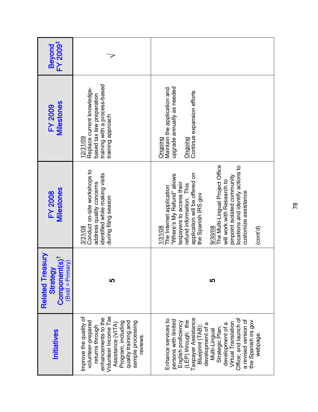| Beyond<br>FY 2009 <sup>‡</sup>                                                  |                                                                                                                                                                                                                    |                                                                                                                                                                                                                                                                                                                                                                          |
|---------------------------------------------------------------------------------|--------------------------------------------------------------------------------------------------------------------------------------------------------------------------------------------------------------------|--------------------------------------------------------------------------------------------------------------------------------------------------------------------------------------------------------------------------------------------------------------------------------------------------------------------------------------------------------------------------|
| <b>Milestones</b><br><b>FY 2009</b>                                             | training with a process-based<br>Replace current knowledge-<br>based tax law preparation<br>training approach<br>12/31/09                                                                                          | upgrade annually as needed<br>Maintain the application and<br>Continue expansion efforts<br>Ongoing<br>Ongoing                                                                                                                                                                                                                                                           |
| <b>Milestones</b><br><b>FY 2008</b>                                             | Conduct on-site workshops to<br>identified while making visits<br>address quality concerns<br>during filing season<br>3/31/08                                                                                      | The Multi-Lingual Project Office<br>locations and identify actions to<br>application will be offered on<br>"Where's My Refund" allows<br>pinpoint isolated community<br>will work with Research to<br>taxpayers to access their<br>refund information. This<br>The Internet application<br>customize assistance<br>the Spanish IRS.gov<br>1/31/08<br>9/30/08<br>(cont'd) |
| Related Treasury<br>Component(s) <sup>†</sup><br>$(Bold = Primary)$<br>Strategy | ທ                                                                                                                                                                                                                  | 5                                                                                                                                                                                                                                                                                                                                                                        |
| <b>Initiatives</b>                                                              | Improve the quality of<br>Volunteer Income Tax<br>enhancements to the<br>volunteer-prepared<br>sample processing<br>phe prinient villeup<br>Program, including<br>Assistance (VITA)<br>returns through<br>reviews. | Taxpayer Assistance<br>Office; and launch of<br>Enhance services to<br>persons with limited<br>a revised version of<br>the Spanish irs.gov<br>(LEP) through: the<br>English proficiency<br>Virtual Translation<br>development of a<br>development of a<br>Blueprint (TAB)<br>Strategic Plan<br>Multi-Lingual<br>webpage.                                                 |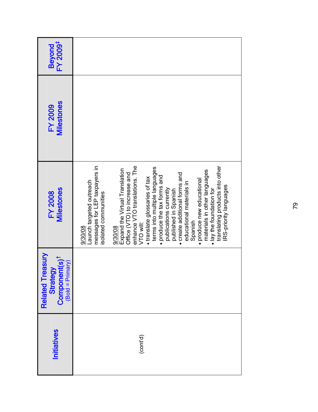| Initiatives | <b>Related Treasury</b><br>$Component(s)†$<br>(Bold = Primary)<br>Strategy | Milestones<br><b>FY 2008</b>                                                                                                                                                                                                                                                                                                                                                                                                                                                                                                                                                                                                       | <b>Milestones</b><br><b>FY 2009</b> | FY 2009 <sup>‡</sup><br><b>Beyond</b> |
|-------------|----------------------------------------------------------------------------|------------------------------------------------------------------------------------------------------------------------------------------------------------------------------------------------------------------------------------------------------------------------------------------------------------------------------------------------------------------------------------------------------------------------------------------------------------------------------------------------------------------------------------------------------------------------------------------------------------------------------------|-------------------------------------|---------------------------------------|
| (cont'd)    |                                                                            | translating products into other<br>messages for LEP taxpayers in<br>enhance VTO translations. The<br>terms into multiple languages<br>Expand the Virtual Translation<br>materials in other languages<br>create additional forms and<br>Office (VTO) to increase and<br>produce the tax forms and<br>· translate glossaries of tax<br>produce new educational<br>Launch targeted outreach<br>educational materials in<br><b>RS-priority languages</b><br>publications currently<br>· lay the foundation for<br>published in Spanish<br>isolated communities<br>Spanish<br>VTO will:<br>9/30/08<br>9/30/08<br>$\bullet$<br>$\bullet$ |                                     |                                       |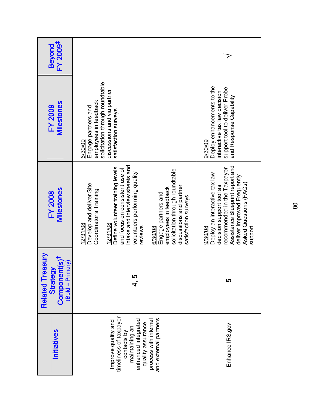| FY 2009 <sup>‡</sup><br><b>Beyond</b>                                                  |                                                                                                                                                                                                                                                                                                                                                                                  |                                                                                                                                                                                                            |
|----------------------------------------------------------------------------------------|----------------------------------------------------------------------------------------------------------------------------------------------------------------------------------------------------------------------------------------------------------------------------------------------------------------------------------------------------------------------------------|------------------------------------------------------------------------------------------------------------------------------------------------------------------------------------------------------------|
| <b>Milestones</b><br><b>FY 2009</b>                                                    | solicitation through roundtable<br>discussions and via partner<br>employees in feedback<br>Engage partners and<br>satisfaction surveys<br>6/30/09                                                                                                                                                                                                                                | Deploy enhancements to the<br>support tool to deliver Probe<br>interactive tax law decision<br>and Response Capability<br>9/30/09                                                                          |
| Milestones<br><b>FY 2008</b>                                                           | intake and interview sheets and<br>Define volunteer training levels<br>and focus on consistent use of<br>solicitation through roundtable<br>volunteers performing quality<br>Develop and deliver Site<br>discussions and partner<br>employees in feedback<br>Coordinator's Training<br>Engage partners and<br>satisfaction surveys<br>12/31/08<br>12/31/08<br>reviews<br>6/30/08 | Assistance Blueprint report and<br>recommended in the Taxpayer<br>Deploy an interactive tax law<br>deliver improved Frequently<br>Asked Questions (FAQs)<br>decision support tool as<br>9/30/08<br>support |
| <b>Related Treasury</b><br>Component(s) <sup>†</sup><br>$(Bold = Primary)$<br>Strategy | 4.<br>5                                                                                                                                                                                                                                                                                                                                                                          | 5                                                                                                                                                                                                          |
| Initiatives                                                                            | timeliness of taxpayer<br>and external partners.<br>enhanced integrated<br>process with internal<br>Improve quality and<br>quality assurance<br>maintaining an<br>contacts by                                                                                                                                                                                                    | Enhance IRS.gov.                                                                                                                                                                                           |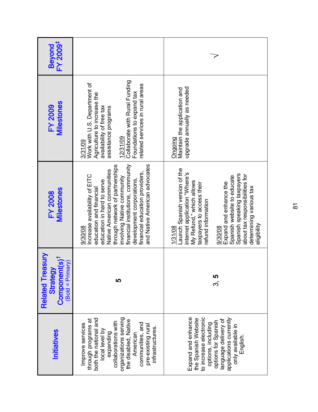| FY 2009 <sup>‡</sup><br><b>Beyond</b>                                                  |                                                                                                                                                                                                                                                                                                                                        |                                                                                                                                                                                                                                                                                                                                       |  |
|----------------------------------------------------------------------------------------|----------------------------------------------------------------------------------------------------------------------------------------------------------------------------------------------------------------------------------------------------------------------------------------------------------------------------------------|---------------------------------------------------------------------------------------------------------------------------------------------------------------------------------------------------------------------------------------------------------------------------------------------------------------------------------------|--|
| <b>Milestones</b><br><b>FY 2009</b>                                                    | Collaborate with Rural Funding<br>Work with U.S. Department of<br>related services in rural areas<br>Foundations to expand tax<br>Agriculture to increase the<br>availability of free tax<br>assistance programs<br>12/31/09<br>3/31/09                                                                                                | upgrade annually as needed<br>Maintain the application and<br>Ongoing                                                                                                                                                                                                                                                                 |  |
| <b>Milestones</b><br><b>FY 2008</b>                                                    | financial institutions, community<br>and Native American advocates<br>through network of partnerships<br>Native American communities<br>financial education providers,<br>Increase availability of EITC<br>involving Native community<br>development corporations,<br>education in hard to serve<br>education and financial<br>9/30/08 | Launch Spanish version of the<br>internet application "Where's<br>Spanish speaking taxpayers<br>about tax responsibilities for<br>Spanish website to educate<br>My Refund," which allows<br>Expand and enhance the<br>taxpayers to access their<br>determining various tax<br>refund information<br>eligibility<br>1/31/08<br>9/30/08 |  |
| <b>Related Treasury</b><br>Component(s) <sup>†</sup><br>$(Bold = Primary)$<br>Strategy | <u> LN </u>                                                                                                                                                                                                                                                                                                                            | <b>ເ</b><br>ຕ                                                                                                                                                                                                                                                                                                                         |  |
| Initiatives                                                                            | organizations serving<br>both the national and<br>through programs at<br>the disabled, Native<br>collaborations with<br>communities, and<br>Improve services<br>pre-existing rural<br>infrastructures.<br>local level by<br>expanding<br>American                                                                                      | Expand and enhance<br>to increase electronic<br>the Spanish Website<br>applications currently<br>language delivery of<br>options for Spanish<br>options, including<br>ni əldəliavə ylno<br>English                                                                                                                                    |  |

 $\overline{\circ}$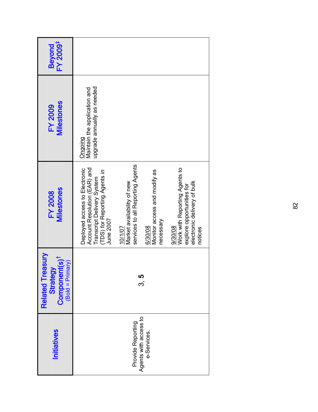| FY 2009 <sup>‡</sup><br><b>Beyond</b>                                                  |                                                                                                                                           |                                                                           |                                                      |                                                                                                                 |
|----------------------------------------------------------------------------------------|-------------------------------------------------------------------------------------------------------------------------------------------|---------------------------------------------------------------------------|------------------------------------------------------|-----------------------------------------------------------------------------------------------------------------|
| <b>Milestones</b><br><b>FY 2009</b>                                                    | upgrade annually as needed<br>Maintain the application and<br>Ongoing                                                                     |                                                                           |                                                      |                                                                                                                 |
| <b>Milestones</b><br><b>FY 2008</b>                                                    | Account Resolution (EAR) and<br>Deployed access to Electronic<br>(TDS) for Reporting Agents in<br>Transcript Delivery System<br>June 2007 | services to all Reporting Agents<br>Market availability of new<br>10/1/07 | Monitor access and modify as<br>necessary<br>6/30/08 | Work with Reporting Agents to<br>electronic delivery of bulk<br>explore opportunities for<br>9/30/08<br>notices |
| <b>Related Treasury</b><br>Component(s) <sup>†</sup><br>$(Bold = Primary)$<br>Strategy |                                                                                                                                           | L                                                                         | က                                                    |                                                                                                                 |
| Initiatives                                                                            |                                                                                                                                           | Provide Reporting                                                         | Agents with access to<br>e-Services.                 |                                                                                                                 |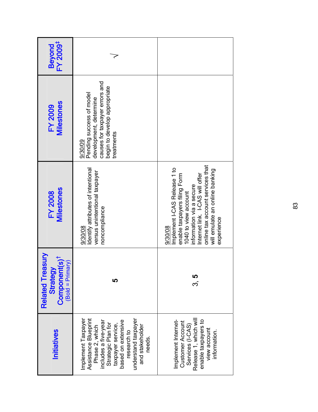| FY 2009 <sup>‡</sup><br><b>Beyond</b>                                                      |                                                                                                                                                                                                                          |                                                                                                                                                                                                                                                    |
|--------------------------------------------------------------------------------------------|--------------------------------------------------------------------------------------------------------------------------------------------------------------------------------------------------------------------------|----------------------------------------------------------------------------------------------------------------------------------------------------------------------------------------------------------------------------------------------------|
| <b>Milestones</b><br><b>FY 2009</b>                                                        | causes for taxpayer errors and<br>begin to develop appropriate<br>Pending success of model<br>development, determine<br>treatments<br>9/30/09                                                                            |                                                                                                                                                                                                                                                    |
| <b>Milestones</b><br><b>FY 2008</b>                                                        | Identify attributes of intentional<br>versus unintentional taxpayer<br>noncompliance<br>9/30/08                                                                                                                          | online tax account services that<br>Implement I-CAS Release 1 to<br>will emulate an online banking<br>enable taxpayers filing Form<br>Internet link. I-CAS will offer<br>information via a secure<br>1040 to view account<br>experience<br>9/30/08 |
| <b>Related Treasury</b><br>Component(s) <sup>†</sup><br>$($ Bold = Primary $)$<br>Strategy | ഥ                                                                                                                                                                                                                        | <b>ເ</b><br>ຕ                                                                                                                                                                                                                                      |
| <b>Initiatives</b>                                                                         | Implement Taxpayer<br>Assistance Blueprint<br>understand taxpayer<br>taxpayer service,<br>based on extensive<br>includes a five-year<br>Strategic Plan for<br>Phase 2, which<br>and stakeholder<br>research to<br>needs. | Release 1, which will<br>Implement Internet-<br>enable taxpayers to<br>Customer Account<br>Services (I-CAS)<br>view account<br>information.                                                                                                        |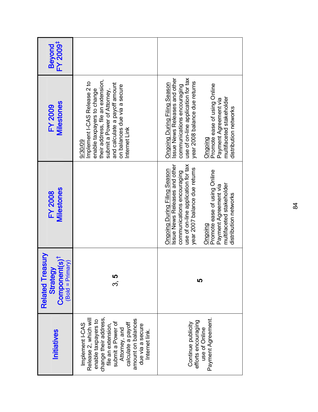| Initiatives                                                                                                                                                                                                                            | <b>Related Treasury</b><br>Component(s) <sup>†</sup><br>$(Bold = Primary)$<br>Strategy | Milestones<br><b>FY 2008</b>                                                                                                                                                                                                                                                                       | <b>Milestones</b><br><b>FY 2009</b>                                                                                                                                                                                                                                                         | FY 2009 <sup>‡</sup><br><b>Beyond</b> |
|----------------------------------------------------------------------------------------------------------------------------------------------------------------------------------------------------------------------------------------|----------------------------------------------------------------------------------------|----------------------------------------------------------------------------------------------------------------------------------------------------------------------------------------------------------------------------------------------------------------------------------------------------|---------------------------------------------------------------------------------------------------------------------------------------------------------------------------------------------------------------------------------------------------------------------------------------------|---------------------------------------|
| change their address,<br>Release 2, which will<br>amount on balances<br>enable taxpayers to<br>submit a Power of<br>calculate a payoff<br>Implement I-CAS<br>file an extension,<br>due via a secure<br>Attorney, and<br>Internet link. | ი<br>ს.                                                                                |                                                                                                                                                                                                                                                                                                    | their address, file an extension,<br>Implement I-CAS Release 2 to<br>and calculate a payoff amount<br>on balances due via a secure<br>submit a Power of Attorney,<br>enable taxpayers to change<br>Internet Link<br>9/30/09                                                                 |                                       |
| Payment Agreement.<br>efforts encouraging<br>Continue publicity<br>use of Online                                                                                                                                                       | い                                                                                      | use of on-line application for tax<br>Issue News Releases and other<br>year 2007 balance due returns<br><b>Ongoing During Filing Season</b><br>Promote ease of using Online<br>communications encouraging<br>multifaceted stakeholder<br>Payment Agreement via<br>distribution networks<br>Ongoing | use of on-line application for tax<br>Issue News Releases and other<br>year 2008 balance due returns<br>Ongoing During Filing Season<br>Promote ease of using Online<br>communications encouraging<br>multifaceted stakeholder<br>Payment Agreement via<br>distribution networks<br>Ongoing |                                       |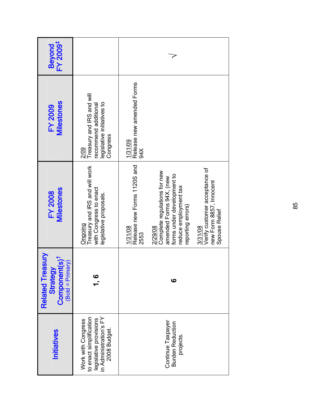| FY 2009 <sup>‡</sup><br><b>Beyond</b>                                                  |                                                                                                                   |                                                                                                                                                                                                                                                                                          |  |
|----------------------------------------------------------------------------------------|-------------------------------------------------------------------------------------------------------------------|------------------------------------------------------------------------------------------------------------------------------------------------------------------------------------------------------------------------------------------------------------------------------------------|--|
| <b>Milestones</b><br><b>FY 2009</b>                                                    | Treasury and IRS and will<br>egislative initiatives to<br>recommend additional<br>Congress<br>2/09                | Release new amended Forms<br>1/31/09<br>34 <sub>X</sub>                                                                                                                                                                                                                                  |  |
| <b>Milestones</b><br><b>FY 2008</b>                                                    | Treasury and IRS and will work<br>with Congress to enact<br>legislative proposals<br>Ongoing                      | Release new Forms 1120S and<br>Verify customer acceptance of<br>Complete regulations for new<br>forms under development to<br>amended Forms 94X, (new<br>new Form 8857, Innocent<br>reduce employment tax<br>reporting errors)<br>Spouse Relief<br>3/31/08<br>2/29/08<br>1/31/08<br>2553 |  |
| <b>Related Treasury</b><br>Component(s) <sup>t</sup><br>$(Bold = Primary)$<br>Strategy | $\mathbf{c}$                                                                                                      | ဖ                                                                                                                                                                                                                                                                                        |  |
| <b>Initiatives</b>                                                                     | to enact simplification<br>legislative provisions<br>in Administration's FY<br>Work with Congress<br>2008 Budget. | Continue Taxpayer<br><b>Burden Reduction</b><br>projects.                                                                                                                                                                                                                                |  |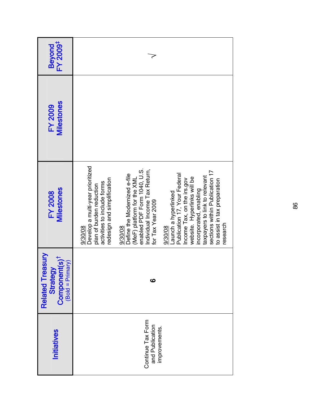| Initiatives                                           | <b>Related Treasury</b><br>Component(s) <sup>†</sup><br>$(Bold = Primary)$<br>Strategy | Milestones<br><b>FY 2008</b>                                                                                                                                                                                                                                                                                                                                                                                                                                                                                                                                                 | <b>Milestones</b><br><b>FY 2009</b> | FY 2009 <sup>‡</sup><br><b>Beyond</b> |
|-------------------------------------------------------|----------------------------------------------------------------------------------------|------------------------------------------------------------------------------------------------------------------------------------------------------------------------------------------------------------------------------------------------------------------------------------------------------------------------------------------------------------------------------------------------------------------------------------------------------------------------------------------------------------------------------------------------------------------------------|-------------------------------------|---------------------------------------|
| Continue Tax Form<br>and Publication<br>improvements. | ဖ                                                                                      | Develop a multi-year prioritized<br>enabled PDF Form 1040, U.S.<br>Individual Income Tax Return,<br>sections within Publication 17<br>Define the Modernized e-file<br>Publication 17, Your Federal<br>taxpayers to link to relevant<br>website. Hyperlinks will be<br>(MeF) platform for the XML<br>redesign and simplification<br>Income Tax, on the irs.gov<br>to assist in tax preparation<br>activities to include forms<br>plan of burden reduction<br>incorporated, enabling<br>Launch a hyperlinked<br>for Tax Year 2009<br>research<br>9/30/08<br>9/30/08<br>9/30/08 |                                     |                                       |
|                                                       |                                                                                        |                                                                                                                                                                                                                                                                                                                                                                                                                                                                                                                                                                              |                                     |                                       |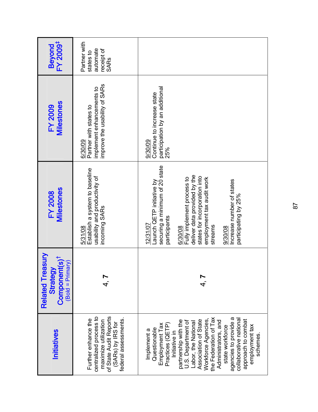| FY 2009 <sup>‡</sup><br>Beyond                                                         | Partner with<br>automate<br>receipt of<br>states to<br>SARs                                                                                  |                                                                                                                                                                                                                                                                                                                                                                               |
|----------------------------------------------------------------------------------------|----------------------------------------------------------------------------------------------------------------------------------------------|-------------------------------------------------------------------------------------------------------------------------------------------------------------------------------------------------------------------------------------------------------------------------------------------------------------------------------------------------------------------------------|
| <b>Milestones</b><br><b>FY 2009</b>                                                    | improve the usability of SARs<br>implement enhancements to<br>Partner with states to<br>6/30/09                                              | participation by an additional<br>Continue to increase state<br>9/30/09<br>25%                                                                                                                                                                                                                                                                                                |
| <b>Milestones</b><br><b>FY 2008</b>                                                    | Establish a system to baseline<br>usability and productivity of<br>incoming SARs<br>5/31/08                                                  | securing a minimum of 20 state<br>deliver data provided by the<br>states for incorporation into<br>Fully implement process to<br>employment tax audit work<br>Increase number of states<br>Launch QETP initiative by<br>participating by 25%<br>participants<br>12/31/07<br>streams<br>6/30/08<br>9/30/08                                                                     |
| <b>Related Treasury</b><br>Component(s) <sup>1</sup><br>$(Bold = Primary)$<br>Strategy |                                                                                                                                              |                                                                                                                                                                                                                                                                                                                                                                               |
| <b>Initiatives</b>                                                                     | centralized process to<br>of State Audit Reports<br>Further enhance the<br>federal assessments.<br>maximize utilization<br>(SARs) by IRS for | the Federation of Tax<br>agencies to provide a<br>collaborative national<br>approach to combat<br>partnership with the<br>Association of State<br>Workforce Agencies<br>U.S. Department of<br>Administrators, and<br>abor, the National<br>Employment Tax<br>Practices (QETP)<br>employment tax<br>state workforce<br>Questionable<br>Implement a<br>Initiative in<br>schemes |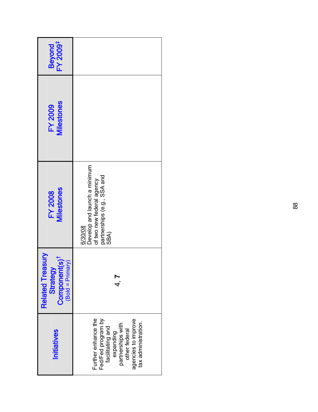| Beyond<br>FY 2009 <sup>‡</sup>                                                                    |                                                                                                                                                                |
|---------------------------------------------------------------------------------------------------|----------------------------------------------------------------------------------------------------------------------------------------------------------------|
| <b>Milestones</b><br><b>FY 2009</b>                                                               |                                                                                                                                                                |
| Milestones<br><b>FY 2008</b>                                                                      | Develop and launch a minimum<br>partnerships (e.g., SSA and<br>of two new federal agency<br>6/30/08<br>SBA)                                                    |
| <b>Alnse</b><br>Component(s) <sup>1</sup><br>$(Bold = Primary)$<br>Strategy<br><b>Related Tre</b> |                                                                                                                                                                |
| <b>Initiatives</b>                                                                                | Further enhance the<br>Fed/Fed program by<br>agencies to improve<br>tax administration.<br>partnerships with<br>facilitating and<br>other federal<br>expanding |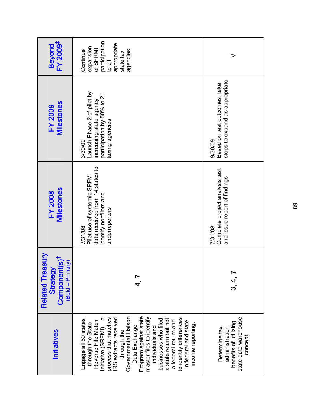| FY 2009 <sup>‡</sup><br><b>Beyond</b>                                                      | participation<br>appropriate<br>expansion<br>of SFRMI<br>Continue<br>agencies<br>state tax<br>lle ot                                                                                                                                                                                                                                                                                                                        |                                                                                             |
|--------------------------------------------------------------------------------------------|-----------------------------------------------------------------------------------------------------------------------------------------------------------------------------------------------------------------------------------------------------------------------------------------------------------------------------------------------------------------------------------------------------------------------------|---------------------------------------------------------------------------------------------|
| <b>Milestones</b><br><b>FY 2009</b>                                                        | Launch Phase 2 of pilot by<br>participation by 50% to 21<br>increasing state agency<br>taxing agencies<br>6/30/09                                                                                                                                                                                                                                                                                                           | steps to expand as appropriate<br>Based on test outcomes, take<br>9/30/09                   |
| Milestones<br><b>FY 2008</b>                                                               | data received from 14 states to<br>Pilot use of systemic SRFMI<br>identify nonfilers and<br>underreporters<br>7/31/08                                                                                                                                                                                                                                                                                                       | Complete project analysis test<br>and issue report of findings<br>7/31/08                   |
| <b>Related Treasury</b><br>Component(s) <sup>1</sup><br>$($ Bold = Primary $)$<br>Strategy |                                                                                                                                                                                                                                                                                                                                                                                                                             | .<br>ಇ.<br>೧                                                                                |
| <b>Initiatives</b>                                                                         | Governmental Liaison<br>Program against state<br>RS extracts received<br>master files to identify<br>to identify differences<br>Initiative (SRFMI) – a<br>process that matches<br>a state return but not<br>businesses who filed<br>Engage all 50 states<br>Reverse File Match<br>a federal return and<br>in federal and state<br>through the State<br>income reporting.<br>Data Exchange<br>individuals and<br>through the | state data warehouse<br>benefits of utilizing<br>Determine tax<br>administration<br>concept |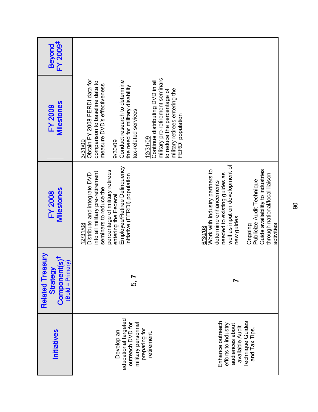| FY 2009 <sup>#</sup><br>Beyond                                                                |                                                                                                                                                                                                                                                                                                                                                                                            |                                                                                                                                                                                                                                                                                  |
|-----------------------------------------------------------------------------------------------|--------------------------------------------------------------------------------------------------------------------------------------------------------------------------------------------------------------------------------------------------------------------------------------------------------------------------------------------------------------------------------------------|----------------------------------------------------------------------------------------------------------------------------------------------------------------------------------------------------------------------------------------------------------------------------------|
| <b>Milestones</b><br><b>FY 2009</b>                                                           | military pre-retirement seminars<br>Obtain FY 2008 FERDI data for<br>Continue distributing DVD in all<br>Conduct research to determine<br>comparison to baseline data to<br>measure DVD's effectiveness<br>the need for military disability<br>military retirees entering the<br>to reduce the percentage of<br>tax-related services<br>FERDI population<br>12/31/09<br>3/31/09<br>9/30/09 |                                                                                                                                                                                                                                                                                  |
| Milestones<br><b>FY 2008</b>                                                                  | Employee/Retiree Delinquency<br>percentage of military retirees<br>into all military pre-retirement<br>Distribute and integrate DVD<br>Initiative (FERDI) population<br>seminars to reduce the<br>entering the Federal<br>12/31/08                                                                                                                                                         | well as input on development of<br>Guide availability to industries<br>Work with industry partners to<br>needed to existing guides as<br>through national/local liaison<br>Publicize Audit Technique<br>determine enhancements<br>new guides<br>activities<br>Ongoing<br>6/30/08 |
| <b>Related Treasury</b><br>Component(s) <sup>†</sup><br>$(Bold = Primary)$<br><b>Strategy</b> | .<br>ທົ                                                                                                                                                                                                                                                                                                                                                                                    |                                                                                                                                                                                                                                                                                  |
| Initiatives                                                                                   | educational targeted<br>outreach DVD for<br>military personnel<br>preparing for<br>Develop an<br>retirement.                                                                                                                                                                                                                                                                               | Technique Guides<br>Enhance outreach<br>efforts to industry<br>audiences about<br>available Audit<br>and Tax Tips.                                                                                                                                                               |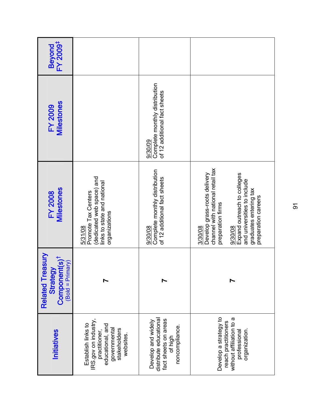| FY 2009 <sup>#</sup><br>Beyond                                             |                                                                                                                              |                                                                                                   |                                                                                                                                                                                                                            |
|----------------------------------------------------------------------------|------------------------------------------------------------------------------------------------------------------------------|---------------------------------------------------------------------------------------------------|----------------------------------------------------------------------------------------------------------------------------------------------------------------------------------------------------------------------------|
| Milestones<br><b>FY 2009</b>                                               |                                                                                                                              | Complete monthly distribution<br>of 12 additional fact sheets<br>9/30/09                          |                                                                                                                                                                                                                            |
| <b>Milestones</b><br><b>FY 2008</b>                                        | dedicated web space) and<br>links to state and national<br>Promote Tax Centers<br>organizations<br>5/31/08                   | Complete monthly distribution<br>of 12 additional fact sheets<br>9/30/08                          | channel with national retail tax<br>Expand outreach to colleges<br>Develop grass-roots delivery<br>and universities to include<br>graduates entering tax<br>preparation careers<br>preparation firms<br>3/30/08<br>9/30/08 |
| <b>Related Treasury</b><br>$Component(s)†$<br>(Bold = Primary)<br>Strategy |                                                                                                                              |                                                                                                   |                                                                                                                                                                                                                            |
| <b>Initiatives</b>                                                         | IRS.gov on industry,<br>Establish links to<br>educational, and<br>governmental<br>practitioner,<br>stakeholders<br>websites. | distribute educational<br>fact sheets on areas<br>Develop and widely<br>noncompliance.<br>of high | Develop a strategy to<br>without affiliation to a<br>reach practitioners<br>organization.<br>professional                                                                                                                  |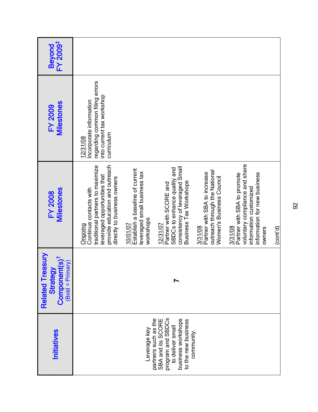| Beyond<br>FY 2009 <sup>‡</sup>                                                         |                                                                                                                                                                        |                                                                                          |                                                                                                                                 |                                                                                                      |                                                                                                                                              |          |
|----------------------------------------------------------------------------------------|------------------------------------------------------------------------------------------------------------------------------------------------------------------------|------------------------------------------------------------------------------------------|---------------------------------------------------------------------------------------------------------------------------------|------------------------------------------------------------------------------------------------------|----------------------------------------------------------------------------------------------------------------------------------------------|----------|
| <b>Milestones</b><br><b>FY 2009</b>                                                    | regarding common filing errors<br>into current tax workshop<br>Incorporate information<br>curriculum<br>12/31/08                                                       |                                                                                          |                                                                                                                                 |                                                                                                      |                                                                                                                                              |          |
| <b>Milestones</b><br><b>FY 2008</b>                                                    | provide education and outreach<br>traditional partners to maximize<br>leveraged opportunities that<br>directly to business owners<br>Continue contacts with<br>Ongoing | Establish a baseline of current<br>leveraged small business tax<br>workshops<br>10/01/07 | consistency of leveraged Small<br>SBDCs to enhance quality and<br>Business Tax Workshops<br>Partner with SCORE and<br>12/31/07  | outreach through the National<br>Partner with SBA to increase<br>Women's Business Council<br>3/31/08 | voluntary compliance and share<br>information for new business<br>Partner with SBA to promote<br>information customized<br>3/31/08<br>owners | (cont'd) |
| <b>Related Treasury</b><br>Component(s) <sup>†</sup><br>$(Bold = Primary)$<br>Strategy |                                                                                                                                                                        |                                                                                          |                                                                                                                                 |                                                                                                      |                                                                                                                                              |          |
| Initiatives                                                                            |                                                                                                                                                                        | Leverage key                                                                             | program and SBDCs<br>partners such as the<br>business workshops<br>SBA and its SCORE<br>to the new business<br>to deliver small | community                                                                                            |                                                                                                                                              |          |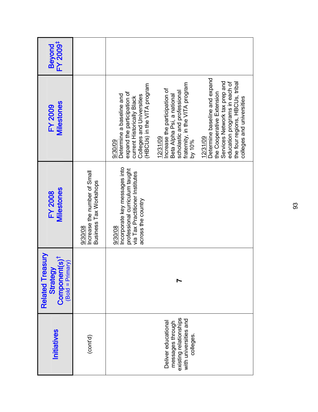| FY 2009 <sup>‡</sup><br><b>Beyond</b>                                                  |                                                                   |                                                                                                                                                                                                                                                                                                                                                                                                                                                                                                                                 |
|----------------------------------------------------------------------------------------|-------------------------------------------------------------------|---------------------------------------------------------------------------------------------------------------------------------------------------------------------------------------------------------------------------------------------------------------------------------------------------------------------------------------------------------------------------------------------------------------------------------------------------------------------------------------------------------------------------------|
| <b>Milestones</b><br><b>FY 2009</b>                                                    |                                                                   | Determine baseline and expand<br>Services Network tax prep and<br>education programs in each of<br>the four regions, HBCUs, tribal<br>fraternity, in the VITA program<br>Colleges and Universities<br>(HBCUs) in the VITA program<br>Increase the participation of<br>scholastic and professional<br>expand the participation of<br>the Cooperative Extension<br>Determine a baseline and<br>Beta Alpha Psi, a national<br>current Historically Black<br>colleges and universities<br>12/31/09<br>12/31/09<br>by 10%<br>9/30/09 |
| <b>Milestones</b><br><b>FY 2008</b>                                                    | Increase the number of Small<br>Business Tax Workshops<br>9/30/08 | Incorporate key messages into<br>professional curriculum taught<br>via Tax Practitioner Institutes<br>across the country<br>9/30/08                                                                                                                                                                                                                                                                                                                                                                                             |
| <b>Related Treasury</b><br>Component(s) <sup>1</sup><br>$(Bold = Primary)$<br>Strategy |                                                                   |                                                                                                                                                                                                                                                                                                                                                                                                                                                                                                                                 |
| Initiatives                                                                            | (cont'd)                                                          | existing relationships<br>with universities and<br>Deliver educational<br>messages through<br>colleges.                                                                                                                                                                                                                                                                                                                                                                                                                         |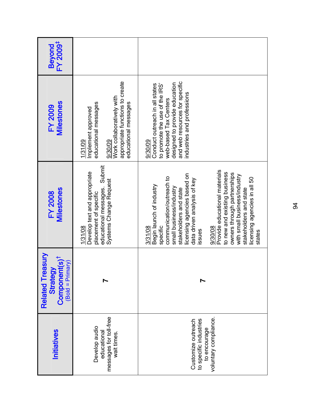| <b>Initiatives</b>                                                                    | <b>Related Treasury</b><br>$Componen(s)†$<br>(Bold = Primary)<br>Strategy | <b>Milestones</b><br><b>FY 2008</b>                                                                                                                                                                                                                                                                                                                                                                                      | <b>Milestones</b><br><b>FY 2009</b>                                                                                                                                                                   | FY 2009 <sup>‡</sup><br><b>Beyond</b> |
|---------------------------------------------------------------------------------------|---------------------------------------------------------------------------|--------------------------------------------------------------------------------------------------------------------------------------------------------------------------------------------------------------------------------------------------------------------------------------------------------------------------------------------------------------------------------------------------------------------------|-------------------------------------------------------------------------------------------------------------------------------------------------------------------------------------------------------|---------------------------------------|
| messages for toll-free<br>Develop audio<br>educational<br>wait times.                 |                                                                           | educational messages. Submit<br>Develop text and appropriate<br>Systems Change Request<br>placement of specific<br>1/31/08                                                                                                                                                                                                                                                                                               | appropriate functions to create<br>Work collaboratively with<br>educational messages<br>educational messages<br>Implement approved<br>1/31/09<br>9/30/09                                              |                                       |
| voluntary compliance.<br>to specific industries<br>Customize outreach<br>to encourage |                                                                           | Provide educational materials<br>to new and existing business<br>owners through partnerships<br>licensing agencies based on<br>with small business/industry<br>communication/outreach to<br>licensing agencies in all 50<br>data driven analysis of key<br>Begin launch of industry<br>small business/industry<br>stakeholders and state<br>stakeholders and state<br>specific<br>3/31/08<br>9/30/08<br>issues<br>states | and web resources for specific<br>designed to provide education<br>Conduct outreach in all states<br>to promote the use of the IRS'<br>industries and professions<br>web-based Tax Centers<br>9/30/09 |                                       |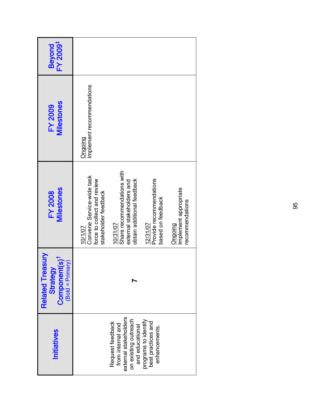| FY 2009 <sup>‡</sup><br><b>Beyond</b>                                                             |                                                                                             |                                                                                                           |                                                             |                                                     |
|---------------------------------------------------------------------------------------------------|---------------------------------------------------------------------------------------------|-----------------------------------------------------------------------------------------------------------|-------------------------------------------------------------|-----------------------------------------------------|
| Milestones<br><b>FY 2009</b>                                                                      | Implement recommendations<br>Ongoing                                                        |                                                                                                           |                                                             |                                                     |
| Milestones<br><b>FY 2008</b>                                                                      | Convene Service-wide task<br>force to collect and review<br>stakeholder feedback<br>10/1/07 | Share recommendations with<br>obtain additional feedback<br>external stakeholders and<br>10/31/07         | Provide recommendations<br>based on feedback<br>12/31/07    | Implement appropriate<br>recommendations<br>Ongoing |
| <b>Alnse</b><br>Component(s) <sup>t</sup><br>$(Bold = Primary)$<br>Strategy<br><b>Related Tre</b> |                                                                                             |                                                                                                           |                                                             |                                                     |
| <b>Initiatives</b>                                                                                |                                                                                             | external stakeholders<br>on existing outreach<br>Request feedback<br>from internal and<br>and educational | programs to identify<br>best practices and<br>enhancements. |                                                     |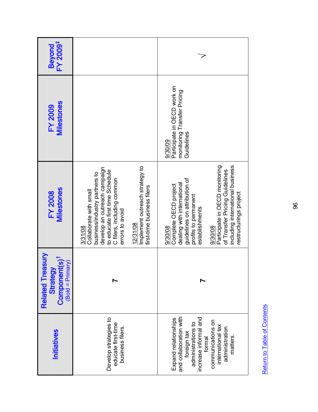| Initiatives                                                                                                  | <b>Related Treasury</b><br>Component(s) <sup>†</sup><br>$(Bold = Primary)$<br>Strategy | Milestones<br><b>FY 2008</b>                                                                                                                                                          | <b>Milestones</b><br><b>FY 2009</b>                                                 | FY 2009 <sup>‡</sup><br><b>Beyond</b> |
|--------------------------------------------------------------------------------------------------------------|----------------------------------------------------------------------------------------|---------------------------------------------------------------------------------------------------------------------------------------------------------------------------------------|-------------------------------------------------------------------------------------|---------------------------------------|
| Develop strategies to<br>educate first-time<br>business filers.                                              |                                                                                        | develop an outreach campaign<br>to educate first time Schedule<br>business/industry partners to<br>C filers, including common<br>Collaborate with small<br>errors to avoid<br>3/31/08 |                                                                                     |                                       |
|                                                                                                              |                                                                                        | Implement outreach strategy to<br>first-time business filers<br>12/31/08                                                                                                              |                                                                                     |                                       |
| and collaboration with<br>increase informal and<br>Expand relationships<br>administrations to<br>foreign tax |                                                                                        | guidelines on attribution of<br>dealing with international<br>Complete OECD project<br>profits to permanent<br>establishments<br>9/30/08                                              | Participate in OECD work on<br>monitoring Transfer Pricing<br>Guidelines<br>9/30/09 |                                       |
| communications on<br>international tax<br>administration<br>matters.<br>formal                               |                                                                                        | including international business<br>Participate in OECD monitoring<br>of Transfer Pricing Guidelines<br>restructurings project<br>9/30/08                                             |                                                                                     |                                       |

Return to Table of Contents Return to Table of Contents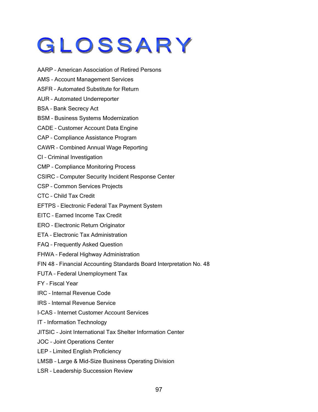## GLOSSARY

- AARP American Association of Retired Persons
- AMS Account Management Services
- ASFR Automated Substitute for Return
- AUR Automated Underreporter
- BSA Bank Secrecy Act
- BSM Business Systems Modernization
- CADE Customer Account Data Engine
- CAP Compliance Assistance Program
- CAWR Combined Annual Wage Reporting
- CI Criminal Investigation
- CMP Compliance Monitoring Process
- CSIRC Computer Security Incident Response Center
- CSP Common Services Projects
- CTC Child Tax Credit
- EFTPS Electronic Federal Tax Payment System
- EITC Earned Income Tax Credit
- ERO Electronic Return Originator
- ETA Electronic Tax Administration
- FAQ Frequently Asked Question
- FHWA Federal Highway Administration
- FIN 48 Financial Accounting Standards Board Interpretation No. 48
- FUTA Federal Unemployment Tax
- FY Fiscal Year
- IRC Internal Revenue Code
- IRS Internal Revenue Service
- I-CAS Internet Customer Account Services
- IT Information Technology
- JITSIC Joint International Tax Shelter Information Center
- JOC Joint Operations Center
- LEP Limited English Proficiency
- LMSB Large & Mid-Size Business Operating Division
- LSR Leadership Succession Review